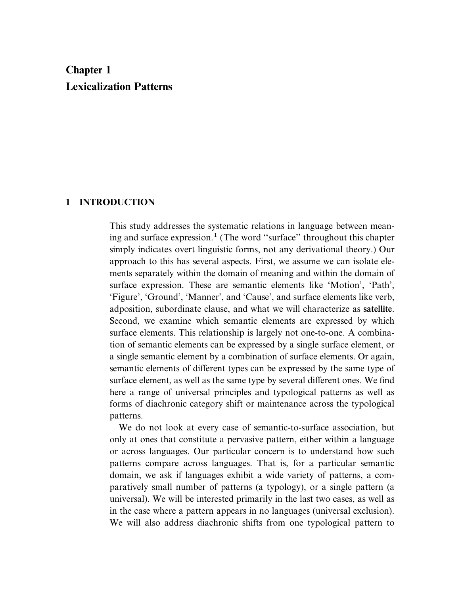# Chapter 1 Lexicalization Patterns

# 1 INTRODUCTION

This study addresses the systematic relations in language between meaning and surface expression.<sup>1</sup> (The word "surface" throughout this chapter simply indicates overt linguistic forms, not any derivational theory.) Our approach to this has several aspects. First, we assume we can isolate elements separately within the domain of meaning and within the domain of surface expression. These are semantic elements like 'Motion', 'Path', `Figure', `Ground', `Manner', and `Cause', and surface elements like verb, adposition, subordinate clause, and what we will characterize as satellite. Second, we examine which semantic elements are expressed by which surface elements. This relationship is largely not one-to-one. A combination of semantic elements can be expressed by a single surface element, or a single semantic element by a combination of surface elements. Or again, semantic elements of different types can be expressed by the same type of surface element, as well as the same type by several different ones. We find here a range of universal principles and typological patterns as well as forms of diachronic category shift or maintenance across the typological patterns.

We do not look at every case of semantic-to-surface association, but only at ones that constitute a pervasive pattern, either within a language or across languages. Our particular concern is to understand how such patterns compare across languages. That is, for a particular semantic [domain, we ask if languages exhibit a wide variety of patterns, a com](#page--1-0)paratively small number of patterns (a typology), or a single pattern (a universal). We will be interested primarily in the last two cases, as well as in the case where a pattern appears in no languages (universal exclusion). We will also address diachronic shifts from one typological pattern to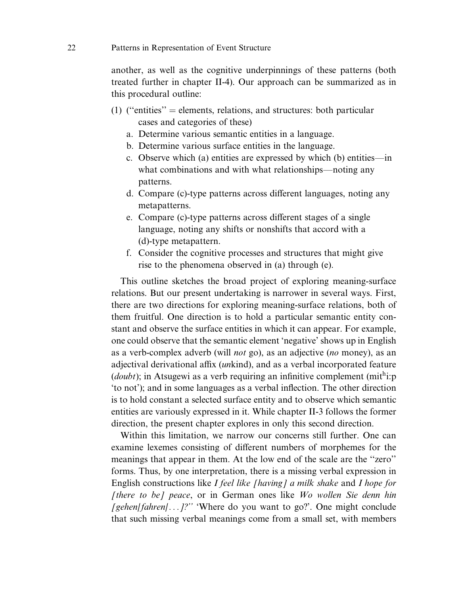another, as well as the cognitive underpinnings of these patterns (both treated further in chapter II-4). Our approach can be summarized as in this procedural outline:

- (1) ("entities" = elements, relations, and structures: both particular cases and categories of these)
	- a. Determine various semantic entities in a language.
	- b. Determine various surface entities in the language.
	- c. Observe which (a) entities are expressed by which (b) entities—in what combinations and with what relationships—noting any patterns.
	- d. Compare (c)-type patterns across different languages, noting any metapatterns.
	- e. Compare (c)-type patterns across different stages of a single language, noting any shifts or nonshifts that accord with a (d)-type metapattern.
	- f. Consider the cognitive processes and structures that might give rise to the phenomena observed in (a) through (e).

This outline sketches the broad project of exploring meaning-surface relations. But our present undertaking is narrower in several ways. First, there are two directions for exploring meaning-surface relations, both of them fruitful. One direction is to hold a particular semantic entity constant and observe the surface entities in which it can appear. For example, one could observe that the semantic element `negative' shows up in English as a verb-complex adverb (will not go), as an adjective (no money), as an adjectival derivational affix (*unkind*), and as a verbal incorporated feature (*doubt*); in Atsugewi as a verb requiring an infinitive complement (mit<sup>h</sup>i:p) to not'); and in some languages as a verbal inflection. The other direction is to hold constant a selected surface entity and to observe which semantic entities are variously expressed in it. While chapter II-3 follows the former direction, the present chapter explores in only this second direction.

Within this limitation, we narrow our concerns still further. One can examine lexemes consisting of different numbers of morphemes for the meanings that appear in them. At the low end of the scale are the "zero" forms. Thus, by one interpretation, there is a missing verbal expression in English constructions like I feel like [having] a milk shake and I hope for [there to be] peace, or in German ones like  $W_0$  wollen Sie denn hin [gehen] fahren]...]?" 'Where do you want to go?'. One might conclude that such missing verbal meanings come from a small set, with members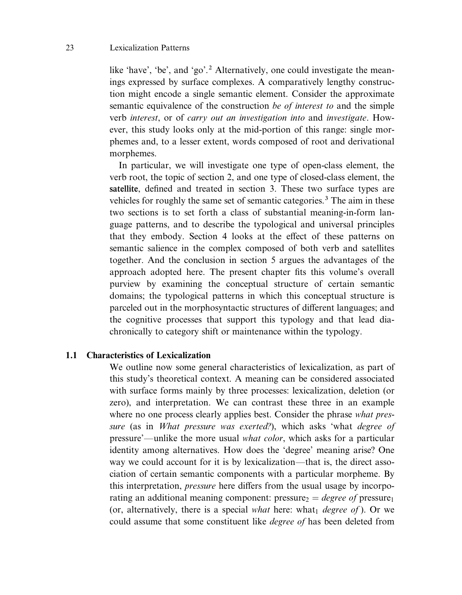like 'have', 'be', and 'go'.<sup>2</sup> Alternatively, one could investigate the meanings expressed by surface complexes. A comparatively lengthy construction might encode a single semantic element. Consider the approximate semantic equivalence of the construction be of interest to and the simple verb interest, or of carry out an investigation into and investigate. However, this study looks only at the mid-portion of this range: single morphemes and, to a lesser extent, words composed of root and derivational morphemes.

In particular, we will investigate one type of open-class element, the verb root, the topic of section 2, and one type of closed-class element, the satellite, defined and treated in section 3. These two surface types are vehicles for roughly the same set of semantic categories.<sup>3</sup> The aim in these two sections is to set forth a class of substantial meaning-in-form language patterns, and to describe the typological and universal principles that they embody. Section 4 looks at the effect of these patterns on semantic salience in the complex composed of both verb and satellites together. And the conclusion in section 5 argues the advantages of the approach adopted here. The present chapter fits this volume's overall purview by examining the conceptual structure of certain semantic domains; the typological patterns in which this conceptual structure is parceled out in the morphosyntactic structures of different languages; and the cognitive processes that support this typology and that lead diachronically to category shift or maintenance within the typology.

# 1.1 Characteristics of Lexicalization

We outline now some general characteristics of lexicalization, as part of this study's theoretical context. A meaning can be considered associated with surface forms mainly by three processes: lexicalization, deletion (or zero), and interpretation. We can contrast these three in an example where no one process clearly applies best. Consider the phrase what pressure (as in What pressure was exerted?), which asks 'what degree of pressure'—unlike the more usual *what color*, which asks for a particular identity among alternatives. How does the `degree' meaning arise? One way we could account for it is by lexicalization—that is, the direct association of certain semantic components with a particular morpheme. By this interpretation, *pressure* here differs from the usual usage by incorporating an additional meaning component: pressure $2 = degree$  of pressure (or, alternatively, there is a special what here: what  $degree of$ ). Or we could assume that some constituent like degree of has been deleted from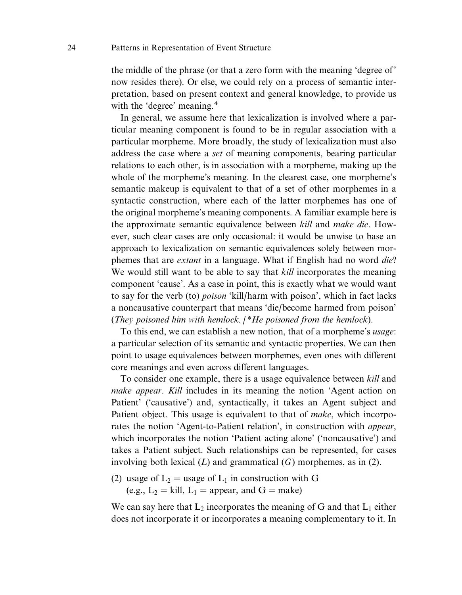the middle of the phrase (or that a zero form with the meaning `degree of' now resides there). Or else, we could rely on a process of semantic interpretation, based on present context and general knowledge, to provide us with the 'degree' meaning.<sup>4</sup>

In general, we assume here that lexicalization is involved where a particular meaning component is found to be in regular association with a particular morpheme. More broadly, the study of lexicalization must also address the case where a set of meaning components, bearing particular relations to each other, is in association with a morpheme, making up the whole of the morpheme's meaning. In the clearest case, one morpheme's semantic makeup is equivalent to that of a set of other morphemes in a syntactic construction, where each of the latter morphemes has one of the original morpheme's meaning components. A familiar example here is the approximate semantic equivalence between kill and make die. However, such clear cases are only occasional: it would be unwise to base an approach to lexicalization on semantic equivalences solely between morphemes that are extant in a language. What if English had no word die? We would still want to be able to say that *kill* incorporates the meaning component `cause'. As a case in point, this is exactly what we would want to say for the verb (to) *poison* 'kill/harm with poison', which in fact lacks a noncausative counterpart that means `die/become harmed from poison' (They poisoned him with hemlock.  $\frac{1}{2}He$  poisoned from the hemlock).

To this end, we can establish a new notion, that of a morpheme's usage: a particular selection of its semantic and syntactic properties. We can then point to usage equivalences between morphemes, even ones with different core meanings and even across different languages.

To consider one example, there is a usage equivalence between kill and make appear. Kill includes in its meaning the notion 'Agent action on Patient' ('causative') and, syntactically, it takes an Agent subject and Patient object. This usage is equivalent to that of make, which incorporates the notion `Agent-to-Patient relation', in construction with appear, which incorporates the notion 'Patient acting alone' ('noncausative') and takes a Patient subject. Such relationships can be represented, for cases involving both lexical  $(L)$  and grammatical  $(G)$  morphemes, as in  $(2)$ .

(2) usage of  $L_2$  = usage of  $L_1$  in construction with G (e.g.,  $L_2 =$  kill,  $L_1 =$  appear, and  $G =$  make)

We can say here that  $L_2$  incorporates the meaning of G and that  $L_1$  either does not incorporate it or incorporates a meaning complementary to it. In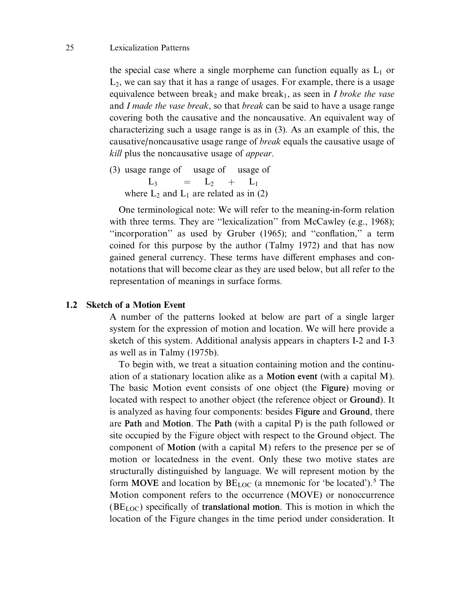the special case where a single morpheme can function equally as  $L_1$  or  $L<sub>2</sub>$ , we can say that it has a range of usages. For example, there is a usage equivalence between break<sub>2</sub> and make break<sub>1</sub>, as seen in I broke the vase and I made the vase break, so that break can be said to have a usage range covering both the causative and the noncausative. An equivalent way of characterizing such a usage range is as in (3). As an example of this, the causative/noncausative usage range of break equals the causative usage of kill plus the noncausative usage of *appear*.

(3) usage range of usage of usage of  $L<sub>3</sub>$  $L_2 + L_1$ where  $L_2$  and  $L_1$  are related as in (2)

One terminological note: We will refer to the meaning-in-form relation with three terms. They are "lexicalization" from McCawley (e.g., 1968);  $\lq$ incorporation" as used by Gruber (1965); and "conflation," a term coined for this purpose by the author (Talmy 1972) and that has now gained general currency. These terms have different emphases and connotations that will become clear as they are used below, but all refer to the representation of meanings in surface forms.

#### 1.2 Sketch of a Motion Event

A number of the patterns looked at below are part of a single larger system for the expression of motion and location. We will here provide a sketch of this system. Additional analysis appears in chapters I-2 and I-3 as well as in Talmy (1975b).

To begin with, we treat a situation containing motion and the continuation of a stationary location alike as a Motion event (with a capital M). The basic Motion event consists of one object (the Figure) moving or located with respect to another object (the reference object or Ground). It is analyzed as having four components: besides Figure and Ground, there are Path and Motion. The Path (with a capital P) is the path followed or site occupied by the Figure object with respect to the Ground object. The component of Motion (with a capital M) refers to the presence per se of motion or locatedness in the event. Only these two motive states are structurally distinguished by language. We will represent motion by the form MOVE and location by  $BE_{LOC}$  (a mnemonic for 'be located').<sup>5</sup> The Motion component refers to the occurrence (MOVE) or nonoccurrence  $(BE_{LOC})$  specifically of translational motion. This is motion in which the location of the Figure changes in the time period under consideration. It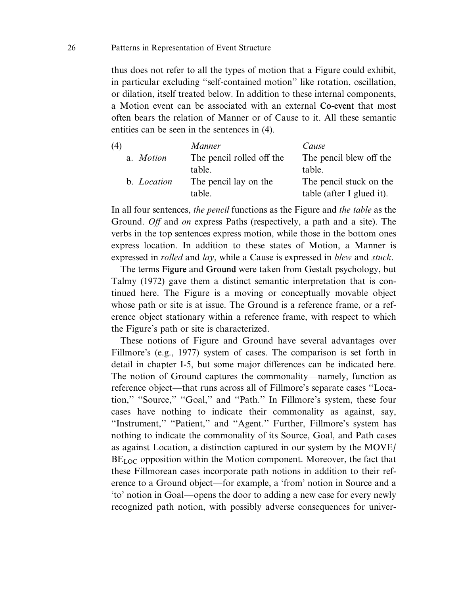thus does not refer to all the types of motion that a Figure could exhibit, in particular excluding "self-contained motion" like rotation, oscillation, or dilation, itself treated below. In addition to these internal components, a Motion event can be associated with an external Co-event that most often bears the relation of Manner or of Cause to it. All these semantic entities can be seen in the sentences in (4).

| (4)                | Manner                    | Cause                     |
|--------------------|---------------------------|---------------------------|
| a. <i>Motion</i>   | The pencil rolled off the | The pencil blew off the   |
|                    | table.                    | table.                    |
| b. <i>Location</i> | The pencil lay on the     | The pencil stuck on the   |
|                    | table.                    | table (after I glued it). |

In all four sentences, the pencil functions as the Figure and the table as the Ground. *Off* and *on* express Paths (respectively, a path and a site). The verbs in the top sentences express motion, while those in the bottom ones express location. In addition to these states of Motion, a Manner is expressed in rolled and lay, while a Cause is expressed in blew and stuck.

The terms Figure and Ground were taken from Gestalt psychology, but Talmy (1972) gave them a distinct semantic interpretation that is continued here. The Figure is a moving or conceptually movable object whose path or site is at issue. The Ground is a reference frame, or a reference object stationary within a reference frame, with respect to which the Figure's path or site is characterized.

These notions of Figure and Ground have several advantages over Fillmore's (e.g., 1977) system of cases. The comparison is set forth in detail in chapter I-5, but some major differences can be indicated here. The notion of Ground captures the commonality—namely, function as reference object—that runs across all of Fillmore's separate cases "Location," "Source," "Goal," and "Path." In Fillmore's system, these four cases have nothing to indicate their commonality as against, say, ``Instrument,'' ``Patient,'' and ``Agent.'' Further, Fillmore's system has nothing to indicate the commonality of its Source, Goal, and Path cases as against Location, a distinction captured in our system by the MOVE/  $BE_{LOC}$  opposition within the Motion component. Moreover, the fact that these Fillmorean cases incorporate path notions in addition to their reference to a Ground object—for example, a 'from' notion in Source and a to' notion in Goal—opens the door to adding a new case for every newly recognized path notion, with possibly adverse consequences for univer-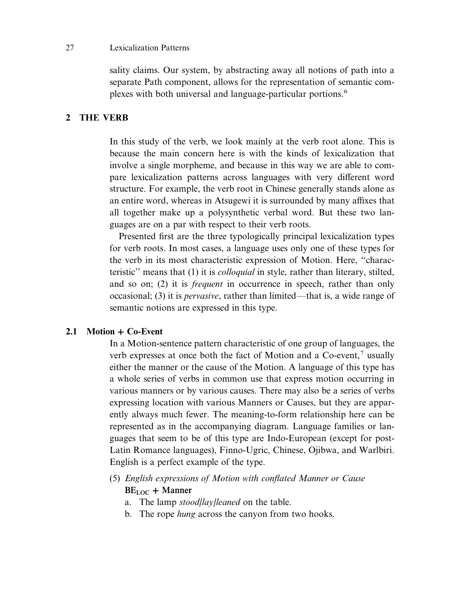sality claims. Our system, by abstracting away all notions of path into a separate Path component, allows for the representation of semantic complexes with both universal and language-particular portions.6

# 2 THE VERB

In this study of the verb, we look mainly at the verb root alone. This is because the main concern here is with the kinds of lexicalization that involve a single morpheme, and because in this way we are able to compare lexicalization patterns across languages with very different word structure. For example, the verb root in Chinese generally stands alone as an entire word, whereas in Atsugewi it is surrounded by many affixes that all together make up a polysynthetic verbal word. But these two languages are on a par with respect to their verb roots.

Presented first are the three typologically principal lexicalization types for verb roots. In most cases, a language uses only one of these types for the verb in its most characteristic expression of Motion. Here, "characteristic'' means that (1) it is colloquial in style, rather than literary, stilted, and so on; (2) it is frequent in occurrence in speech, rather than only occasional; (3) it is *pervasive*, rather than limited—that is, a wide range of semantic notions are expressed in this type.

# $2.1$  Motion + Co-Event

In a Motion-sentence pattern characteristic of one group of languages, the verb expresses at once both the fact of Motion and a Co-event,<sup>7</sup> usually either the manner or the cause of the Motion. A language of this type has a whole series of verbs in common use that express motion occurring in various manners or by various causes. There may also be a series of verbs expressing location with various Manners or Causes, but they are apparently always much fewer. The meaning-to-form relationship here can be represented as in the accompanying diagram. Language families or languages that seem to be of this type are Indo-European (except for post-Latin Romance languages), Finno-Ugric, Chinese, Ojibwa, and Warlbiri. English is a perfect example of the type.

- $(5)$  English expressions of Motion with conflated Manner or Cause  $BE_{LOC} + Manner$ 
	- a. The lamp stood/lay/leaned on the table.
	- b. The rope *hung* across the canyon from two hooks.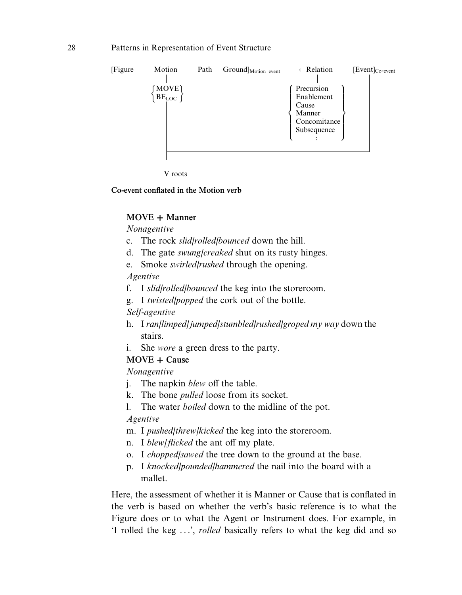



#### Co-event conflated in the Motion verb

#### $Move + Manner$

#### Nonagentive

- c. The rock slid/rolled/bounced down the hill.
- d. The gate swung/creaked shut on its rusty hinges.
- e. Smoke swirled/rushed through the opening.

# Agentive

- f. I slid/rolled/bounced the keg into the storeroom.
- g. I twisted/popped the cork out of the bottle.

# Self-agentive

- h. I ran/limped/jumped/stumbled/rushed/groped my way down the stairs.
- i. She wore a green dress to the party.

# $Move + Cause$

## Nonagentive

- j. The napkin *blew* off the table.
- k. The bone pulled loose from its socket.
- l. The water boiled down to the midline of the pot.

# Agentive

- m. I *pushed/threw/kicked* the keg into the storeroom.
- n. I blew/ $\frac{f}{\text{clicked}}$  the ant off my plate.
- o. I chopped/sawed the tree down to the ground at the base.
- p. I knocked/pounded/hammered the nail into the board with a mallet.

Here, the assessment of whether it is Manner or Cause that is conflated in the verb is based on whether the verb's basic reference is to what the Figure does or to what the Agent or Instrument does. For example, in `I rolled the keg . . .', rolled basically refers to what the keg did and so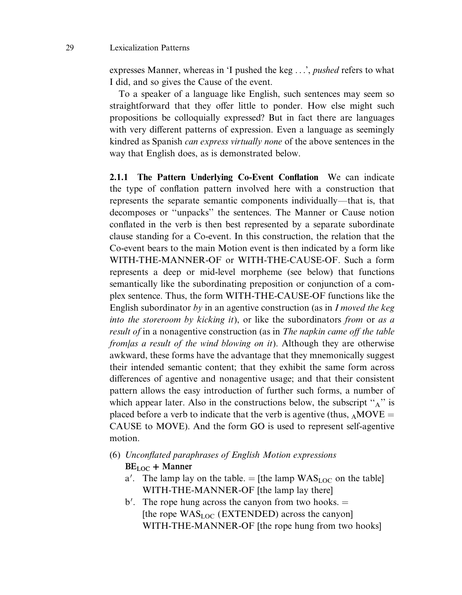expresses Manner, whereas in 'I pushed the keg ...', *pushed* refers to what I did, and so gives the Cause of the event.

To a speaker of a language like English, such sentences may seem so straightforward that they offer little to ponder. How else might such propositions be colloquially expressed? But in fact there are languages with very different patterns of expression. Even a language as seemingly kindred as Spanish can express virtually none of the above sentences in the way that English does, as is demonstrated below.

2.1.1 The Pattern Underlying Co-Event Conflation We can indicate the type of conflation pattern involved here with a construction that represents the separate semantic components individually—that is, that decomposes or "unpacks" the sentences. The Manner or Cause notion conflated in the verb is then best represented by a separate subordinate clause standing for a Co-event. In this construction, the relation that the Co-event bears to the main Motion event is then indicated by a form like WITH-THE-MANNER-OF or WITH-THE-CAUSE-OF. Such a form represents a deep or mid-level morpheme (see below) that functions semantically like the subordinating preposition or conjunction of a complex sentence. Thus, the form WITH-THE-CAUSE-OF functions like the English subordinator by in an agentive construction (as in  $I$  moved the keg into the storeroom by kicking it), or like the subordinators from or as a result of in a nonagentive construction (as in The napkin came off the table from/as a result of the wind blowing on it). Although they are otherwise awkward, these forms have the advantage that they mnemonically suggest their intended semantic content; that they exhibit the same form across differences of agentive and nonagentive usage; and that their consistent pattern allows the easy introduction of further such forms, a number of which appear later. Also in the constructions below, the subscript  $``A"$  is placed before a verb to indicate that the verb is agentive (thus,  $_A MOVE =$ CAUSE to MOVE). And the form GO is used to represent self-agentive motion.

 $(6)$  Unconflated paraphrases of English Motion expressions

# $BE_{LOC} + Manner$

- a'. The lamp lay on the table.  $=$  [the lamp  $WAS_{LOC}$  on the table] WITH-THE-MANNER-OF [the lamp lay there]
- $b'$ . The rope hung across the canyon from two hooks.  $=$ [the rope  $WAS<sub>LOC</sub>$  (EXTENDED) across the canyon] WITH-THE-MANNER-OF [the rope hung from two hooks]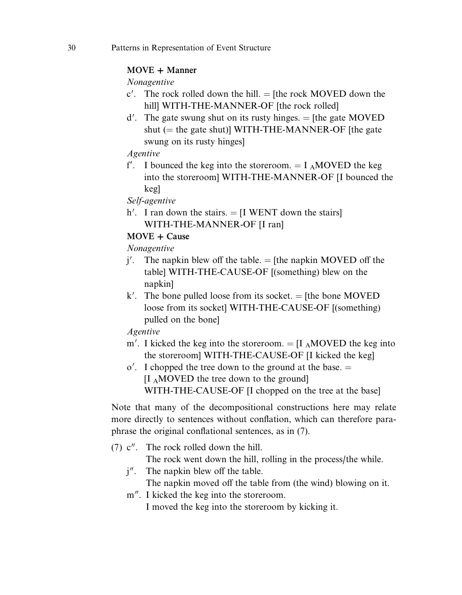# $Move + Manner$

# Nonagentive

- $c'$ . The rock rolled down the hill.  $=$  [the rock MOVED down the hill] WITH-THE-MANNER-OF [the rock rolled]
- $d'$ . The gate swung shut on its rusty hinges.  $=$  [the gate MOVED shut ( $=$  the gate shut)] WITH-THE-MANNER-OF [the gate swung on its rusty hinges]

# Agentive

f'. I bounced the keg into the storeroom.  $= I_AMOVED the keg$ into the storeroom] WITH-THE-MANNER-OF [I bounced the keg]

Self-agentive

h'. I ran down the stairs.  $=$  [I WENT down the stairs] WITH-THE-MANNER-OF [I ran]

# $Move + Cause$

Nonagentive

- $j'$ . The napkin blew off the table.  $=$  [the napkin MOVED off the table] WITH-THE-CAUSE-OF [(something) blew on the napkin]
- $k'$ . The bone pulled loose from its socket.  $=$  [the bone MOVED loose from its socket] WITH-THE-CAUSE-OF [(something) pulled on the bone]

# Agentive

- m'. I kicked the keg into the storeroom.  $=$  [I <sub>A</sub>MOVED the keg into the storeroom] WITH-THE-CAUSE-OF [I kicked the keg]
- $\circ'$ . I chopped the tree down to the ground at the base.  $=$  $[I_A MOVED$  the tree down to the ground] WITH-THE-CAUSE-OF [I chopped on the tree at the base]

Note that many of the decompositional constructions here may relate more directly to sentences without conflation, which can therefore paraphrase the original conflational sentences, as in  $(7)$ .

(7)  $c''$ . The rock rolled down the hill.

The rock went down the hill, rolling in the process/the while.

j". The napkin blew off the table.

The napkin moved off the table from (the wind) blowing on it.

 $m''$ . I kicked the keg into the storeroom.

I moved the keg into the storeroom by kicking it.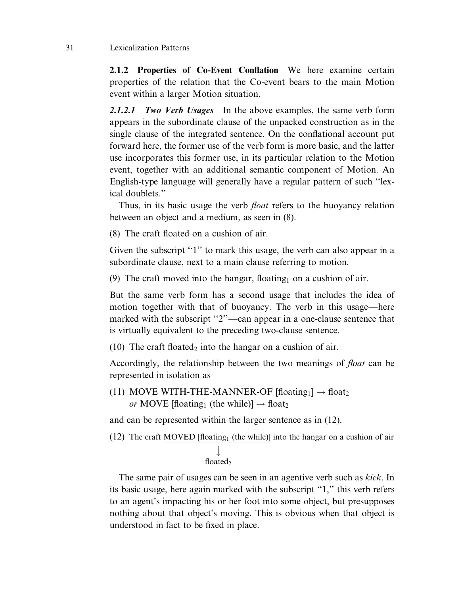2.1.2 Properties of Co-Event Conflation We here examine certain properties of the relation that the Co-event bears to the main Motion event within a larger Motion situation.

2.1.2.1 Two Verb Usages In the above examples, the same verb form appears in the subordinate clause of the unpacked construction as in the single clause of the integrated sentence. On the conflational account put forward here, the former use of the verb form is more basic, and the latter use incorporates this former use, in its particular relation to the Motion event, together with an additional semantic component of Motion. An English-type language will generally have a regular pattern of such "lexical doublets."

Thus, in its basic usage the verb *float* refers to the buoyancy relation between an object and a medium, as seen in (8).

 $(8)$  The craft floated on a cushion of air.

Given the subscript "1" to mark this usage, the verb can also appear in a subordinate clause, next to a main clause referring to motion.

(9) The craft moved into the hangar, floating<sub>1</sub> on a cushion of air.

But the same verb form has a second usage that includes the idea of motion together with that of buoyancy. The verb in this usage—here marked with the subscript  $2^{\prime\prime}$ —can appear in a one-clause sentence that is virtually equivalent to the preceding two-clause sentence.

(10) The craft floated, into the hangar on a cushion of air.

Accordingly, the relationship between the two meanings of *float* can be represented in isolation as

(11) MOVE WITH-THE-MANNER-OF  $[floating_1] \rightarrow float_2$ or MOVE [floating<sub>1</sub> (the while)]  $\rightarrow$  float<sub>2</sub>

and can be represented within the larger sentence as in (12).

(12) The craft MOVED [floating<sub>1</sub> (the while)] into the hangar on a cushion of air

 $\overline{1}$  $\downarrow$ floated<sub>2</sub>

The same pair of usages can be seen in an agentive verb such as *kick*. In its basic usage, here again marked with the subscript "1," this verb refers to an agent's impacting his or her foot into some object, but presupposes nothing about that object's moving. This is obvious when that object is understood in fact to be fixed in place.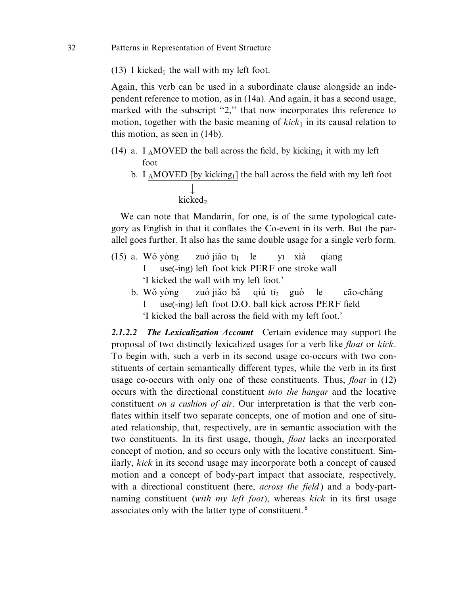(13) I kicked<sub>1</sub> the wall with my left foot.

Again, this verb can be used in a subordinate clause alongside an independent reference to motion, as in (14a). And again, it has a second usage, marked with the subscript "2," that now incorporates this reference to motion, together with the basic meaning of  $kick_1$  in its causal relation to this motion, as seen in (14b).

- (14) a. I AMOVED the ball across the field, by kicking<sub>1</sub> it with my left foot
	- b. I AMOVED [by kicking<sub>1</sub>] the ball across the field with my left foot ?  $\downarrow$ kicke $d_2$

We can note that Mandarin, for one, is of the same typological category as English in that it conflates the Co-event in its verb. But the parallel goes further. It also has the same double usage for a single verb form.

- $(15)$  a. Wǒ yòng I use(-ing) left foot kick PERF one stroke wall zuó jiǎo tī<sub>1</sub> le yī xià qíang `I kicked the wall with my left foot.'
	- b. Wǒ yòng I use(-ing) left foot D.O. ball kick across PERF field zuó jiǎo bǎ qiú ti<sub>2</sub> guò le cāo-chǎng `I kicked the ball across the ®eld with my left foot.'

2.1.2.2 The Lexicalization Account Certain evidence may support the proposal of two distinctly lexicalized usages for a verb like *float* or kick. To begin with, such a verb in its second usage co-occurs with two constituents of certain semantically different types, while the verb in its first usage co-occurs with only one of these constituents. Thus, float in  $(12)$ occurs with the directional constituent into the hangar and the locative constituent on a cushion of air. Our interpretation is that the verb con flates within itself two separate concepts, one of motion and one of situated relationship, that, respectively, are in semantic association with the two constituents. In its first usage, though, *float* lacks an incorporated concept of motion, and so occurs only with the locative constituent. Similarly, kick in its second usage may incorporate both a concept of caused motion and a concept of body-part impact that associate, respectively, with a directional constituent (here, *across the field*) and a body-partnaming constituent (with my left foot), whereas kick in its first usage associates only with the latter type of constituent.8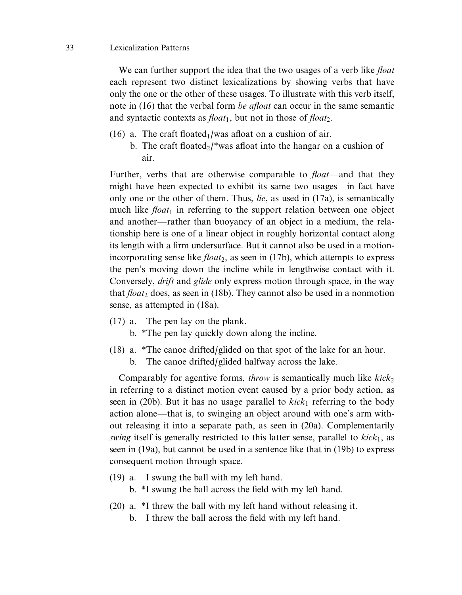We can further support the idea that the two usages of a verb like *float* each represent two distinct lexicalizations by showing verbs that have only the one or the other of these usages. To illustrate with this verb itself, note in  $(16)$  that the verbal form *be afloat* can occur in the same semantic and syntactic contexts as  $float_1$ , but not in those of  $float_2$ .

- (16) a. The craft floated<sub>1</sub>/was afloat on a cushion of air.
	- b. The craft floated $\frac{1}{2}$  was afloat into the hangar on a cushion of air.

Further, verbs that are otherwise comparable to *float*—and that they might have been expected to exhibit its same two usages—in fact have only one or the other of them. Thus, lie, as used in (17a), is semantically much like  $float_1$  in referring to the support relation between one object and another—rather than buoyancy of an object in a medium, the relationship here is one of a linear object in roughly horizontal contact along its length with a firm undersurface. But it cannot also be used in a motionincorporating sense like  $float_2$ , as seen in (17b), which attempts to express the pen's moving down the incline while in lengthwise contact with it. Conversely, drift and glide only express motion through space, in the way that  $float_2$  does, as seen in (18b). They cannot also be used in a nonmotion sense, as attempted in (18a).

- (17) a. The pen lay on the plank.
	- b. \*The pen lay quickly down along the incline.
- (18) a. \*The canoe drifted/glided on that spot of the lake for an hour.
	- b. The canoe drifted/glided halfway across the lake.

Comparably for agentive forms, *throw* is semantically much like  $kick_2$ in referring to a distinct motion event caused by a prior body action, as seen in (20b). But it has no usage parallel to  $kick_1$  referring to the body action alone—that is, to swinging an object around with one's arm without releasing it into a separate path, as seen in (20a). Complementarily swing itself is generally restricted to this latter sense, parallel to  $kick_1$ , as seen in (19a), but cannot be used in a sentence like that in (19b) to express consequent motion through space.

- (19) a. I swung the ball with my left hand.
	- b. \*I swung the ball across the field with my left hand.
- (20) a. \*I threw the ball with my left hand without releasing it.
	- b. I threw the ball across the field with my left hand.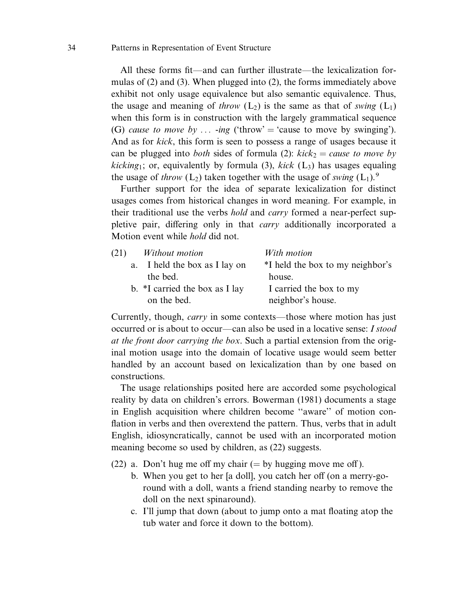All these forms fit—and can further illustrate—the lexicalization formulas of (2) and (3). When plugged into (2), the forms immediately above exhibit not only usage equivalence but also semantic equivalence. Thus, the usage and meaning of throw  $(L_2)$  is the same as that of swing  $(L_1)$ when this form is in construction with the largely grammatical sequence (G) cause to move by ... -ing ('throw' = 'cause to move by swinging'). And as for kick, this form is seen to possess a range of usages because it can be plugged into *both* sides of formula (2):  $kick_2 = cause$  to move by *kicking*<sub>1</sub>; or, equivalently by formula (3), *kick* ( $L_3$ ) has usages equaling the usage of throw  $(L_2)$  taken together with the usage of swing  $(L_1)$ .

Further support for the idea of separate lexicalization for distinct usages comes from historical changes in word meaning. For example, in their traditional use the verbs hold and carry formed a near-perfect suppletive pair, differing only in that *carry* additionally incorporated a Motion event while hold did not.

| (21) | Without motion                 | With motion                      |
|------|--------------------------------|----------------------------------|
|      | a. I held the box as I lay on  | *I held the box to my neighbor's |
|      | the bed.                       | house.                           |
|      | b. *I carried the box as I lay | I carried the box to my          |
|      | on the bed.                    | neighbor's house.                |

Currently, though, *carry* in some contexts—those where motion has just occurred or is about to occur—can also be used in a locative sense: I stood at the front door carrying the box. Such a partial extension from the original motion usage into the domain of locative usage would seem better handled by an account based on lexicalization than by one based on constructions.

The usage relationships posited here are accorded some psychological reality by data on children's errors. Bowerman (1981) documents a stage in English acquisition where children become "aware" of motion conflation in verbs and then overextend the pattern. Thus, verbs that in adult English, idiosyncratically, cannot be used with an incorporated motion meaning become so used by children, as (22) suggests.

(22) a. Don't hug me off my chair ( $=$  by hugging move me off).

- b. When you get to her [a doll], you catch her off (on a merry-goround with a doll, wants a friend standing nearby to remove the doll on the next spinaround).
- c. I'll jump that down (about to jump onto a mat floating atop the tub water and force it down to the bottom).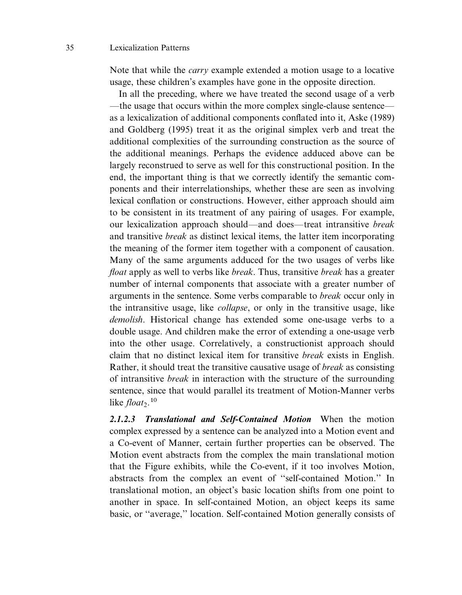Note that while the carry example extended a motion usage to a locative usage, these children's examples have gone in the opposite direction.

In all the preceding, where we have treated the second usage of a verb the usage that occurs within the more complex single-clause sentence as a lexicalization of additional components conflated into it, Aske (1989) and Goldberg (1995) treat it as the original simplex verb and treat the additional complexities of the surrounding construction as the source of the additional meanings. Perhaps the evidence adduced above can be largely reconstrued to serve as well for this constructional position. In the end, the important thing is that we correctly identify the semantic components and their interrelationships, whether these are seen as involving lexical conflation or constructions. However, either approach should aim to be consistent in its treatment of any pairing of usages. For example, our lexicalization approach should—and does—treat intransitive break and transitive break as distinct lexical items, the latter item incorporating the meaning of the former item together with a component of causation. Many of the same arguments adduced for the two usages of verbs like float apply as well to verbs like *break*. Thus, transitive *break* has a greater number of internal components that associate with a greater number of arguments in the sentence. Some verbs comparable to break occur only in the intransitive usage, like collapse, or only in the transitive usage, like demolish. Historical change has extended some one-usage verbs to a double usage. And children make the error of extending a one-usage verb into the other usage. Correlatively, a constructionist approach should claim that no distinct lexical item for transitive break exists in English. Rather, it should treat the transitive causative usage of break as consisting of intransitive break in interaction with the structure of the surrounding sentence, since that would parallel its treatment of Motion-Manner verbs like  $float<sub>2</sub>$ .<sup>10</sup>

2.1.2.3 Translational and Self-Contained Motion When the motion complex expressed by a sentence can be analyzed into a Motion event and a Co-event of Manner, certain further properties can be observed. The Motion event abstracts from the complex the main translational motion that the Figure exhibits, while the Co-event, if it too involves Motion, abstracts from the complex an event of "self-contained Motion." In translational motion, an object's basic location shifts from one point to another in space. In self-contained Motion, an object keeps its same basic, or "average," location. Self-contained Motion generally consists of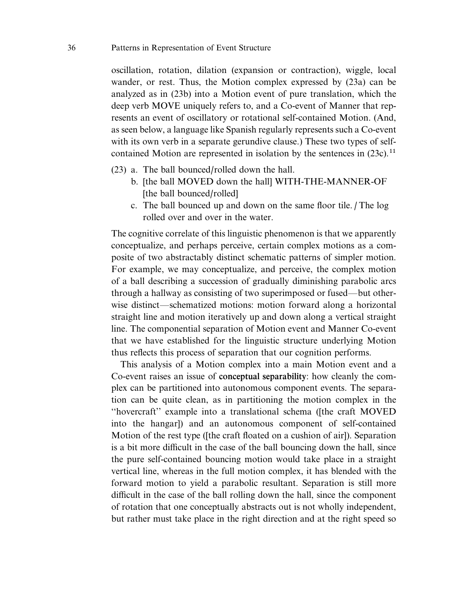#### 36 Patterns in Representation of Event Structure

oscillation, rotation, dilation (expansion or contraction), wiggle, local wander, or rest. Thus, the Motion complex expressed by (23a) can be analyzed as in (23b) into a Motion event of pure translation, which the deep verb MOVE uniquely refers to, and a Co-event of Manner that represents an event of oscillatory or rotational self-contained Motion. (And, as seen below, a language like Spanish regularly represents such a Co-event with its own verb in a separate gerundive clause.) These two types of selfcontained Motion are represented in isolation by the sentences in  $(23c)$ .<sup>11</sup>

- (23) a. The ball bounced/rolled down the hall.
	- b. [the ball MOVED down the hall] WITH-THE-MANNER-OF [the ball bounced/rolled]
	- c. The ball bounced up and down on the same floor tile. / The log rolled over and over in the water.

The cognitive correlate of this linguistic phenomenon is that we apparently conceptualize, and perhaps perceive, certain complex motions as a composite of two abstractably distinct schematic patterns of simpler motion. For example, we may conceptualize, and perceive, the complex motion of a ball describing a succession of gradually diminishing parabolic arcs through a hallway as consisting of two superimposed or fused—but otherwise distinct—schematized motions: motion forward along a horizontal straight line and motion iteratively up and down along a vertical straight line. The componential separation of Motion event and Manner Co-event that we have established for the linguistic structure underlying Motion thus reflects this process of separation that our cognition performs.

This analysis of a Motion complex into a main Motion event and a Co-event raises an issue of conceptual separability: how cleanly the complex can be partitioned into autonomous component events. The separation can be quite clean, as in partitioning the motion complex in the ``hovercraft'' example into a translational schema ([the craft MOVED into the hangar]) and an autonomous component of self-contained Motion of the rest type ([the craft floated on a cushion of air]). Separation is a bit more difficult in the case of the ball bouncing down the hall, since the pure self-contained bouncing motion would take place in a straight vertical line, whereas in the full motion complex, it has blended with the forward motion to yield a parabolic resultant. Separation is still more difficult in the case of the ball rolling down the hall, since the component of rotation that one conceptually abstracts out is not wholly independent, but rather must take place in the right direction and at the right speed so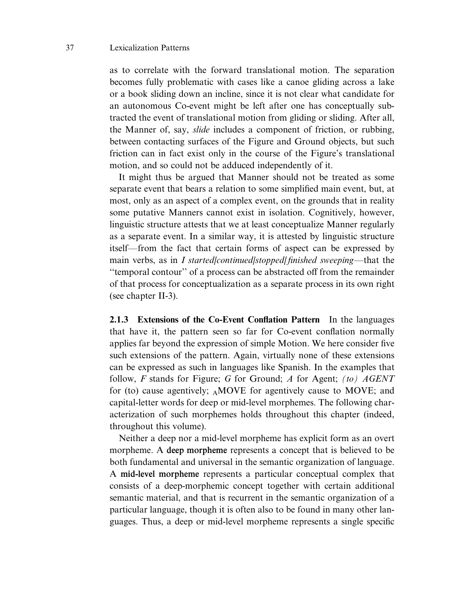as to correlate with the forward translational motion. The separation becomes fully problematic with cases like a canoe gliding across a lake or a book sliding down an incline, since it is not clear what candidate for an autonomous Co-event might be left after one has conceptually subtracted the event of translational motion from gliding or sliding. After all, the Manner of, say, slide includes a component of friction, or rubbing, between contacting surfaces of the Figure and Ground objects, but such friction can in fact exist only in the course of the Figure's translational motion, and so could not be adduced independently of it.

It might thus be argued that Manner should not be treated as some separate event that bears a relation to some simplified main event, but, at most, only as an aspect of a complex event, on the grounds that in reality some putative Manners cannot exist in isolation. Cognitively, however, linguistic structure attests that we at least conceptualize Manner regularly as a separate event. In a similar way, it is attested by linguistic structure itself—from the fact that certain forms of aspect can be expressed by main verbs, as in  $I$  started/continued/stopped/ finished sweeping—that the "temporal contour" of a process can be abstracted off from the remainder of that process for conceptualization as a separate process in its own right (see chapter II-3).

2.1.3 Extensions of the Co-Event Conflation Pattern In the languages that have it, the pattern seen so far for Co-event conflation normally applies far beyond the expression of simple Motion. We here consider five such extensions of the pattern. Again, virtually none of these extensions can be expressed as such in languages like Spanish. In the examples that follow,  $F$  stands for Figure;  $G$  for Ground;  $A$  for Agent; (to)  $AGENT$ for (to) cause agentively; AMOVE for agentively cause to MOVE; and capital-letter words for deep or mid-level morphemes. The following characterization of such morphemes holds throughout this chapter (indeed, throughout this volume).

Neither a deep nor a mid-level morpheme has explicit form as an overt morpheme. A deep morpheme represents a concept that is believed to be both fundamental and universal in the semantic organization of language. A mid-level morpheme represents a particular conceptual complex that consists of a deep-morphemic concept together with certain additional semantic material, and that is recurrent in the semantic organization of a particular language, though it is often also to be found in many other languages. Thus, a deep or mid-level morpheme represents a single specific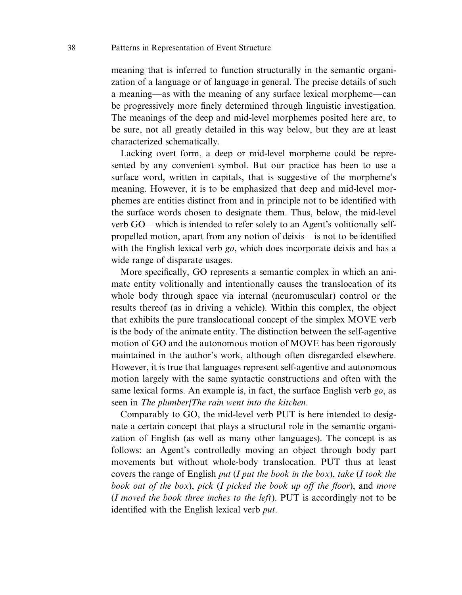meaning that is inferred to function structurally in the semantic organization of a language or of language in general. The precise details of such a meaning—as with the meaning of any surface lexical morpheme—can be progressively more finely determined through linguistic investigation. The meanings of the deep and mid-level morphemes posited here are, to be sure, not all greatly detailed in this way below, but they are at least characterized schematically.

Lacking overt form, a deep or mid-level morpheme could be represented by any convenient symbol. But our practice has been to use a surface word, written in capitals, that is suggestive of the morpheme's meaning. However, it is to be emphasized that deep and mid-level morphemes are entities distinct from and in principle not to be identified with the surface words chosen to designate them. Thus, below, the mid-level verb GO—which is intended to refer solely to an Agent's volitionally selfpropelled motion, apart from any notion of deixis—is not to be identified with the English lexical verb go, which does incorporate deixis and has a wide range of disparate usages.

More specifically, GO represents a semantic complex in which an animate entity volitionally and intentionally causes the translocation of its whole body through space via internal (neuromuscular) control or the results thereof (as in driving a vehicle). Within this complex, the object that exhibits the pure translocational concept of the simplex MOVE verb is the body of the animate entity. The distinction between the self-agentive motion of GO and the autonomous motion of MOVE has been rigorously maintained in the author's work, although often disregarded elsewhere. However, it is true that languages represent self-agentive and autonomous motion largely with the same syntactic constructions and often with the same lexical forms. An example is, in fact, the surface English verb  $q_0$ , as seen in The plumber/The rain went into the kitchen.

Comparably to GO, the mid-level verb PUT is here intended to designate a certain concept that plays a structural role in the semantic organization of English (as well as many other languages). The concept is as follows: an Agent's controlledly moving an object through body part movements but without whole-body translocation. PUT thus at least covers the range of English put (I put the book in the box), take (I took the book out of the box), pick  $(I$  picked the book up off the floor), and move (I moved the book three inches to the left). PUT is accordingly not to be identified with the English lexical verb *put*.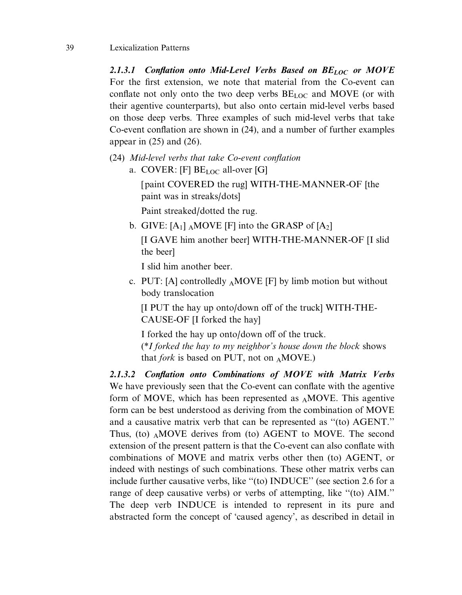2.1.3.1 Conflation onto Mid-Level Verbs Based on  $BE_{LOC}$  or MOVE For the first extension, we note that material from the Co-event can conflate not only onto the two deep verbs  $BE_{LOC}$  and MOVE (or with their agentive counterparts), but also onto certain mid-level verbs based on those deep verbs. Three examples of such mid-level verbs that take Co-event conflation are shown in (24), and a number of further examples appear in  $(25)$  and  $(26)$ .

- $(24)$  Mid-level verbs that take Co-event conflation
	- a. COVER:  $[F] BE_{LOC}$  all-over  $[G]$

[paint COVERED the rug] WITH-THE-MANNER-OF [the paint was in streaks/dots]

Paint streaked/dotted the rug.

b. GIVE:  $[A_1]$  AMOVE [F] into the GRASP of  $[A_2]$ 

[I GAVE him another beer] WITH-THE-MANNER-OF [I slid the beer]

I slid him another beer.

c. PUT: [A] controlledly  $_A MOVE$  [F] by limb motion but without body translocation

[I PUT the hay up onto/down off of the truck] WITH-THE-CAUSE-OF [I forked the hay]

I forked the hay up onto/down off of the truck. ( $*I$  forked the hay to my neighbor's house down the block shows that *fork* is based on PUT, not on  $_A MOVE$ .)

 $2.1.3.2$  Conflation onto Combinations of MOVE with Matrix Verbs We have previously seen that the Co-event can conflate with the agentive form of MOVE, which has been represented as  $_A$ MOVE. This agentive form can be best understood as deriving from the combination of MOVE and a causative matrix verb that can be represented as "(to) AGENT." Thus, (to) AMOVE derives from (to) AGENT to MOVE. The second extension of the present pattern is that the Co-event can also conflate with combinations of MOVE and matrix verbs other then (to) AGENT, or indeed with nestings of such combinations. These other matrix verbs can include further causative verbs, like "(to) INDUCE" (see section 2.6 for a range of deep causative verbs) or verbs of attempting, like "(to) AIM." The deep verb INDUCE is intended to represent in its pure and abstracted form the concept of `caused agency', as described in detail in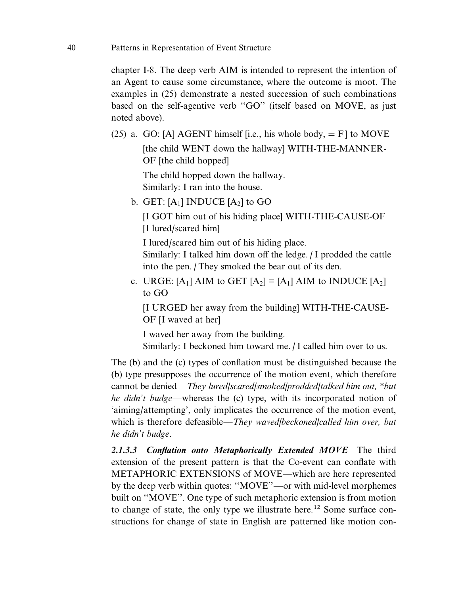chapter I-8. The deep verb AIM is intended to represent the intention of an Agent to cause some circumstance, where the outcome is moot. The examples in (25) demonstrate a nested succession of such combinations based on the self-agentive verb "GO" (itself based on MOVE, as just noted above).

(25) a. GO: [A] AGENT himself [i.e., his whole body,  $=$  F] to MOVE [the child WENT down the hallway] WITH-THE-MANNER-OF [the child hopped]

> The child hopped down the hallway. Similarly: I ran into the house.

- b. GET:  $[A_1]$  INDUCE  $[A_2]$  to GO
	- [I GOT him out of his hiding place] WITH-THE-CAUSE-OF [I lured/scared him]

I lured/scared him out of his hiding place.

Similarly: I talked him down off the ledge. / I prodded the cattle into the pen. / They smoked the bear out of its den.

c. URGE:  $[A_1]$  AIM to GET  $[A_2] = [A_1]$  AIM to INDUCE  $[A_2]$ to GO

[I URGED her away from the building] WITH-THE-CAUSE-OF [I waved at her]

I waved her away from the building.

Similarly: I beckoned him toward me. / I called him over to us.

The  $(b)$  and the  $(c)$  types of conflation must be distinguished because the (b) type presupposes the occurrence of the motion event, which therefore cannot be denied—They luredlscaredlsmokedlproddedltalked him out, \*but he didn't budge—whereas the (c) type, with its incorporated notion of `aiming/attempting', only implicates the occurrence of the motion event, which is therefore defeasible—They waved/beckoned/called him over, but he didn't budge.

 $2.1.3.3$  Conflation onto Metaphorically Extended MOVE The third extension of the present pattern is that the Co-event can conflate with METAPHORIC EXTENSIONS of MOVE—which are here represented by the deep verb within quotes: "MOVE"—or with mid-level morphemes built on "MOVE". One type of such metaphoric extension is from motion to change of state, the only type we illustrate here.<sup>12</sup> Some surface constructions for change of state in English are patterned like motion con-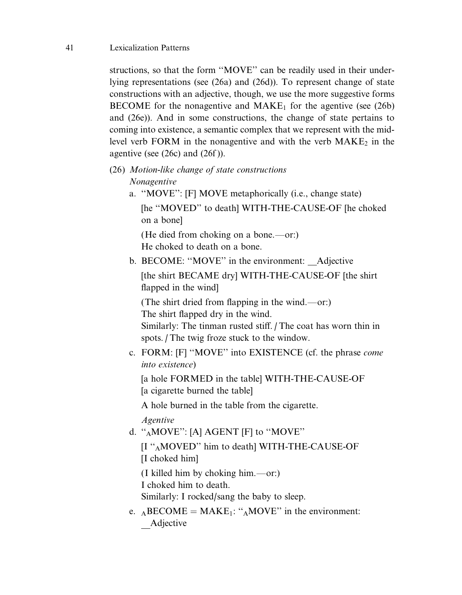structions, so that the form "MOVE" can be readily used in their underlying representations (see (26a) and (26d)). To represent change of state constructions with an adjective, though, we use the more suggestive forms BECOME for the nonagentive and  $MAKE<sub>1</sub>$  for the agentive (see (26b) and (26e)). And in some constructions, the change of state pertains to coming into existence, a semantic complex that we represent with the midlevel verb FORM in the nonagentive and with the verb  $MAKE_2$  in the agentive (see (26c) and (26f )).

- (26) Motion-like change of state constructions Nonagentive
	- a. "MOVE": [F] MOVE metaphorically (i.e., change state)

[he "MOVED" to death] WITH-THE-CAUSE-OF [he choked] on a bone]

(He died from choking on a bone. $-\text{or:}$ ) He choked to death on a bone.

b. BECOME: "MOVE" in the environment: Adjective

[the shirt BECAME dry] WITH-THE-CAUSE-OF [the shirt flapped in the wind

(The shirt dried from flapping in the wind. $–or$ .)

The shirt flapped dry in the wind.

Similarly: The tinman rusted stiff. The coat has worn thin in spots. / The twig froze stuck to the window.

c. FORM: [F] ``MOVE'' into EXISTENCE (cf. the phrase come into existence)

[a hole FORMED in the table] WITH-THE-CAUSE-OF [a cigarette burned the table]

A hole burned in the table from the cigarette.

Agentive

d. "<sub>A</sub>MOVE": [A] AGENT [F] to "MOVE"

[I ``AMOVED'' him to death] WITH-THE-CAUSE-OF [I choked him]

 $(I$  killed him by choking him. $-$ or:)

I choked him to death.

Similarly: I rocked/sang the baby to sleep.

e.  $_{A}$ BECOME = MAKE<sub>1</sub>: " $_{A}$ MOVE" in the environment: Adjective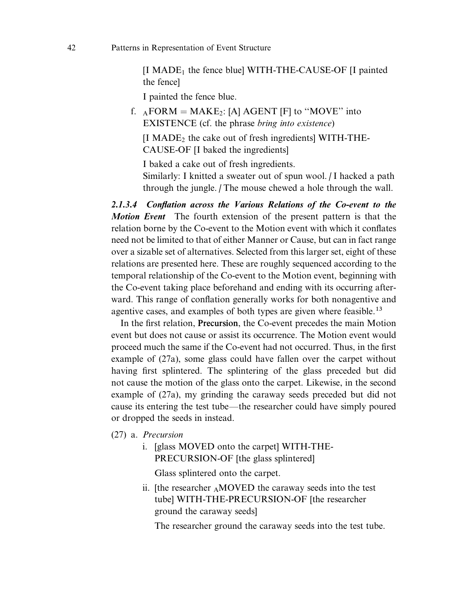$[I$  MADE<sub>1</sub> the fence blue] WITH-THE-CAUSE-OF  $[I$  painted the fence]

I painted the fence blue.

f.  $_{\Delta}$  FORM = MAKE<sub>2</sub>: [A] AGENT [F] to "MOVE" into EXISTENCE (cf. the phrase bring into existence)

 $[$ I MADE<sub>2</sub> the cake out of fresh ingredients] WITH-THE-CAUSE-OF [I baked the ingredients]

I baked a cake out of fresh ingredients. Similarly: I knitted a sweater out of spun wool. / I hacked a path through the jungle. / The mouse chewed a hole through the wall.

2.1.3.4 Conflation across the Various Relations of the Co-event to the Motion Event The fourth extension of the present pattern is that the relation borne by the Co-event to the Motion event with which it conflates need not be limited to that of either Manner or Cause, but can in fact range over a sizable set of alternatives. Selected from this larger set, eight of these relations are presented here. These are roughly sequenced according to the temporal relationship of the Co-event to the Motion event, beginning with the Co-event taking place beforehand and ending with its occurring afterward. This range of conflation generally works for both nonagentive and agentive cases, and examples of both types are given where feasible.<sup>13</sup>

In the first relation, **Precursion**, the Co-event precedes the main Motion event but does not cause or assist its occurrence. The Motion event would proceed much the same if the Co-event had not occurred. Thus, in the first example of (27a), some glass could have fallen over the carpet without having first splintered. The splintering of the glass preceded but did not cause the motion of the glass onto the carpet. Likewise, in the second example of (27a), my grinding the caraway seeds preceded but did not cause its entering the test tube—the researcher could have simply poured or dropped the seeds in instead.

- (27) a. Precursion
	- i. [glass MOVED onto the carpet] WITH-THE-PRECURSION-OF [the glass splintered]

Glass splintered onto the carpet.

ii. [the researcher AMOVED the caraway seeds into the test tube] WITH-THE-PRECURSION-OF [the researcher ground the caraway seeds]

The researcher ground the caraway seeds into the test tube.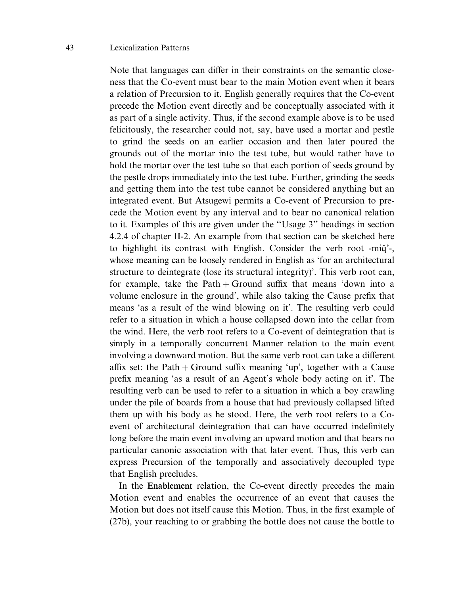Note that languages can differ in their constraints on the semantic closeness that the Co-event must bear to the main Motion event when it bears a relation of Precursion to it. English generally requires that the Co-event precede the Motion event directly and be conceptually associated with it as part of a single activity. Thus, if the second example above is to be used felicitously, the researcher could not, say, have used a mortar and pestle to grind the seeds on an earlier occasion and then later poured the grounds out of the mortar into the test tube, but would rather have to hold the mortar over the test tube so that each portion of seeds ground by the pestle drops immediately into the test tube. Further, grinding the seeds and getting them into the test tube cannot be considered anything but an integrated event. But Atsugewi permits a Co-event of Precursion to precede the Motion event by any interval and to bear no canonical relation to it. Examples of this are given under the "Usage 3" headings in section 4.2.4 of chapter II-2. An example from that section can be sketched here to highlight its contrast with English. Consider the verb root -mig'-, whose meaning can be loosely rendered in English as 'for an architectural structure to deintegrate (lose its structural integrity)'. This verb root can, for example, take the Path  $+$  Ground suffix that means 'down into a volume enclosure in the ground', while also taking the Cause prefix that means 'as a result of the wind blowing on it'. The resulting verb could refer to a situation in which a house collapsed down into the cellar from the wind. Here, the verb root refers to a Co-event of deintegration that is simply in a temporally concurrent Manner relation to the main event involving a downward motion. But the same verb root can take a different affix set: the Path  $+$  Ground suffix meaning 'up', together with a Cause prefix meaning 'as a result of an Agent's whole body acting on it'. The resulting verb can be used to refer to a situation in which a boy crawling under the pile of boards from a house that had previously collapsed lifted them up with his body as he stood. Here, the verb root refers to a Coevent of architectural deintegration that can have occurred indefinitely long before the main event involving an upward motion and that bears no particular canonic association with that later event. Thus, this verb can express Precursion of the temporally and associatively decoupled type that English precludes.

In the Enablement relation, the Co-event directly precedes the main Motion event and enables the occurrence of an event that causes the Motion but does not itself cause this Motion. Thus, in the first example of (27b), your reaching to or grabbing the bottle does not cause the bottle to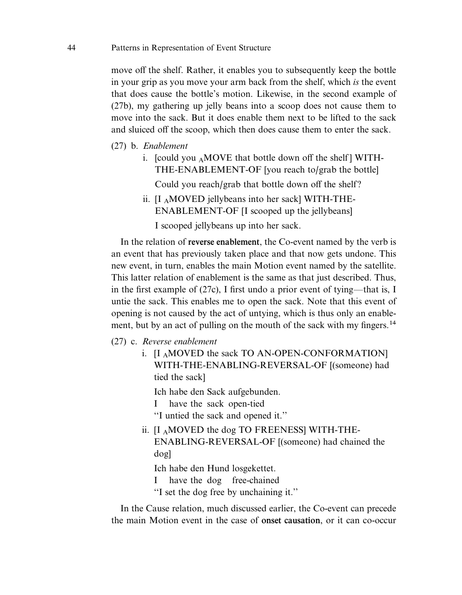# 44 Patterns in Representation of Event Structure

move off the shelf. Rather, it enables you to subsequently keep the bottle in your grip as you move your arm back from the shelf, which is the event that does cause the bottle's motion. Likewise, in the second example of (27b), my gathering up jelly beans into a scoop does not cause them to move into the sack. But it does enable them next to be lifted to the sack and sluiced off the scoop, which then does cause them to enter the sack.

- (27) b. Enablement
	- i. [could you  $_A$ MOVE that bottle down off the shelf ] WITH-THE-ENABLEMENT-OF [you reach to/grab the bottle] Could you reach/grab that bottle down off the shelf?
	- ii. [I AMOVED jellybeans into her sack] WITH-THE-ENABLEMENT-OF [I scooped up the jellybeans]

I scooped jellybeans up into her sack.

In the relation of reverse enablement, the Co-event named by the verb is an event that has previously taken place and that now gets undone. This new event, in turn, enables the main Motion event named by the satellite. This latter relation of enablement is the same as that just described. Thus, in the first example of (27c), I first undo a prior event of tying—that is, I untie the sack. This enables me to open the sack. Note that this event of opening is not caused by the act of untying, which is thus only an enablement, but by an act of pulling on the mouth of the sack with my fingers.<sup>14</sup>

- (27) c. Reverse enablement
	- i. [I AMOVED the sack TO AN-OPEN-CONFORMATION] WITH-THE-ENABLING-REVERSAL-OF [(someone) had tied the sack]

Ich habe den Sack aufgebunden.

I have the sack open-tied

``I untied the sack and opened it.''

ii. [I AMOVED the dog TO FREENESS] WITH-THE-ENABLING-REVERSAL-OF [(someone) had chained the dog]

Ich habe den Hund losgekettet.

I have the dog free-chained

``I set the dog free by unchaining it.''

In the Cause relation, much discussed earlier, the Co-event can precede the main Motion event in the case of onset causation, or it can co-occur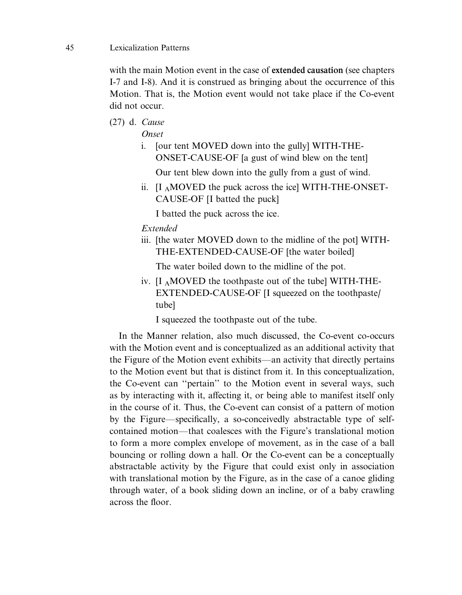with the main Motion event in the case of extended causation (see chapters I-7 and I-8). And it is construed as bringing about the occurrence of this Motion. That is, the Motion event would not take place if the Co-event did not occur.

(27) d. Cause

Onset

i. [our tent MOVED down into the gully] WITH-THE-ONSET-CAUSE-OF [a gust of wind blew on the tent]

Our tent blew down into the gully from a gust of wind.

ii.  $[I_{A}$ MOVED the puck across the ice] WITH-THE-ONSET-CAUSE-OF [I batted the puck]

I batted the puck across the ice.

# Extended

iii. [the water MOVED down to the midline of the pot] WITH-THE-EXTENDED-CAUSE-OF [the water boiled]

The water boiled down to the midline of the pot.

iv. [I AMOVED the toothpaste out of the tube] WITH-THE-EXTENDED-CAUSE-OF [I squeezed on the toothpaste/ tube]

I squeezed the toothpaste out of the tube.

In the Manner relation, also much discussed, the Co-event co-occurs with the Motion event and is conceptualized as an additional activity that the Figure of the Motion event exhibits—an activity that directly pertains to the Motion event but that is distinct from it. In this conceptualization, the Co-event can "pertain" to the Motion event in several ways, such as by interacting with it, affecting it, or being able to manifest itself only in the course of it. Thus, the Co-event can consist of a pattern of motion by the Figure—specifically, a so-conceivedly abstractable type of selfcontained motion—that coalesces with the Figure's translational motion to form a more complex envelope of movement, as in the case of a ball bouncing or rolling down a hall. Or the Co-event can be a conceptually abstractable activity by the Figure that could exist only in association with translational motion by the Figure, as in the case of a canoe gliding through water, of a book sliding down an incline, or of a baby crawling across the floor.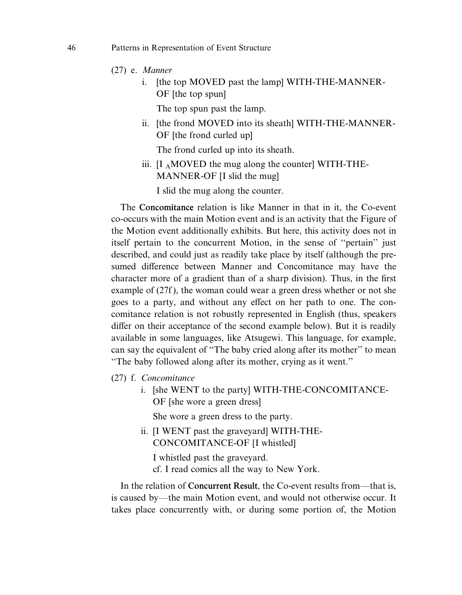- (27) e. Manner
	- i. [the top MOVED past the lamp] WITH-THE-MANNER-OF [the top spun]

The top spun past the lamp.

ii. [the frond MOVED into its sheath] WITH-THE-MANNER-OF [the frond curled up]

The frond curled up into its sheath.

iii.  $[I_{A}$ MOVED the mug along the counter] WITH-THE-MANNER-OF [I slid the mug]

I slid the mug along the counter.

The Concomitance relation is like Manner in that in it, the Co-event co-occurs with the main Motion event and is an activity that the Figure of the Motion event additionally exhibits. But here, this activity does not in itself pertain to the concurrent Motion, in the sense of "pertain" just described, and could just as readily take place by itself (although the presumed difference between Manner and Concomitance may have the character more of a gradient than of a sharp division). Thus, in the first example of (27f ), the woman could wear a green dress whether or not she goes to a party, and without any effect on her path to one. The concomitance relation is not robustly represented in English (thus, speakers differ on their acceptance of the second example below). But it is readily available in some languages, like Atsugewi. This language, for example, can say the equivalent of "The baby cried along after its mother" to mean ``The baby followed along after its mother, crying as it went.''

- (27) f. Concomitance
	- i. [she WENT to the party] WITH-THE-CONCOMITANCE-OF [she wore a green dress]

She wore a green dress to the party.

ii. [I WENT past the graveyard] WITH-THE-CONCOMITANCE-OF [I whistled]

I whistled past the graveyard.

cf. I read comics all the way to New York.

In the relation of Concurrent Result, the Co-event results from—that is, is caused by—the main Motion event, and would not otherwise occur. It takes place concurrently with, or during some portion of, the Motion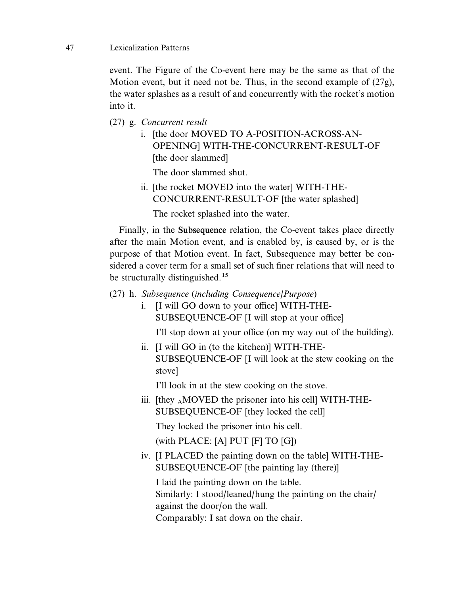event. The Figure of the Co-event here may be the same as that of the Motion event, but it need not be. Thus, in the second example of (27g), the water splashes as a result of and concurrently with the rocket's motion into it.

(27) g. Concurrent result

i. [the door MOVED TO A-POSITION-ACROSS-AN-OPENING] WITH-THE-CONCURRENT-RESULT-OF [the door slammed]

The door slammed shut.

ii. [the rocket MOVED into the water] WITH-THE-CONCURRENT-RESULT-OF [the water splashed]

The rocket splashed into the water.

Finally, in the Subsequence relation, the Co-event takes place directly after the main Motion event, and is enabled by, is caused by, or is the purpose of that Motion event. In fact, Subsequence may better be considered a cover term for a small set of such finer relations that will need to be structurally distinguished.<sup>15</sup>

- (27) h. Subsequence (including Consequence/Purpose)
	- i. [I will GO down to your office] WITH-THE-SUBSEQUENCE-OF [I will stop at your office]

I'll stop down at your office (on my way out of the building).

ii. [I will GO in (to the kitchen)] WITH-THE-SUBSEQUENCE-OF [I will look at the stew cooking on the stove]

I'll look in at the stew cooking on the stove.

iii. [they  $_A$ MOVED the prisoner into his cell] WITH-THE-SUBSEQUENCE-OF [they locked the cell]

They locked the prisoner into his cell.

(with PLACE: [A] PUT [F] TO [G])

iv. [I PLACED the painting down on the table] WITH-THE-SUBSEQUENCE-OF [the painting lay (there)]

I laid the painting down on the table. Similarly: I stood/leaned/hung the painting on the chair/ against the door/on the wall.

Comparably: I sat down on the chair.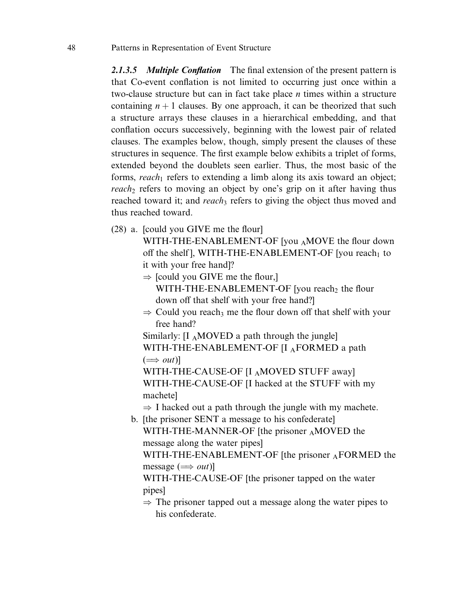### 48 Patterns in Representation of Event Structure

2.1.3.5 *Multiple Conflation* The final extension of the present pattern is that Co-event conflation is not limited to occurring just once within a two-clause structure but can in fact take place  $n$  times within a structure containing  $n + 1$  clauses. By one approach, it can be theorized that such a structure arrays these clauses in a hierarchical embedding, and that conflation occurs successively, beginning with the lowest pair of related clauses. The examples below, though, simply present the clauses of these structures in sequence. The first example below exhibits a triplet of forms, extended beyond the doublets seen earlier. Thus, the most basic of the forms, reach<sub>1</sub> refers to extending a limb along its axis toward an object; *reach* refers to moving an object by one's grip on it after having thus reached toward it; and reach3 refers to giving the object thus moved and thus reached toward.

 $(28)$  a. [could you GIVE me the flour]

WITH-THE-ENABLEMENT-OF  $\gamma$  [you AMOVE the flour down off the shelf ], WITH-THE-ENABLEMENT-OF [you reach<sub>1</sub> to it with your free hand]?

- $\Rightarrow$  [could you GIVE me the flour,] WITH-THE-ENABLEMENT-OF [you reach<sub>2</sub> the flour down off that shelf with your free hand?]
- $\Rightarrow$  Could you reach<sub>3</sub> me the flour down off that shelf with your free hand?

Similarly:  $[I_{A}$ MOVED a path through the jungle] WITH-THE-ENABLEMENT-OF [I<sub>A</sub>FORMED a path  $(\implies out)$ ]

WITH-THE-CAUSE-OF [I AMOVED STUFF away] WITH-THE-CAUSE-OF [I hacked at the STUFF with my machete]

 $\Rightarrow$  I hacked out a path through the jungle with my machete. b. [the prisoner SENT a message to his confederate]

WITH-THE-MANNER-OF [the prisoner <sub>A</sub>MOVED the message along the water pipes]

WITH-THE-ENABLEMENT-OF [the prisoner  $_A$  FORMED the message  $(\implies out)$ ]

WITH-THE-CAUSE-OF [the prisoner tapped on the water pipes]

 $\Rightarrow$  The prisoner tapped out a message along the water pipes to his confederate.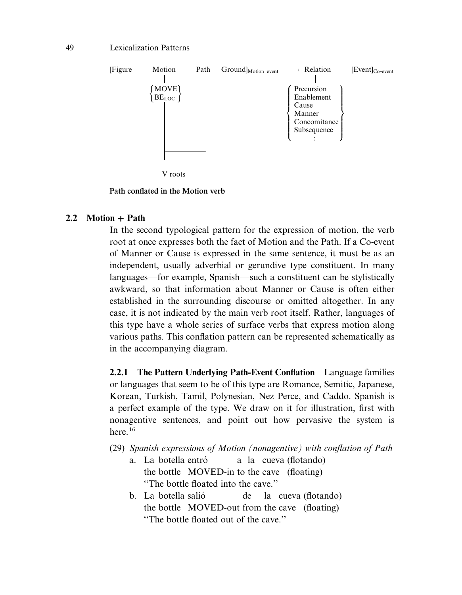

Path conflated in the Motion verb

# 2.2 Motion + Path

In the second typological pattern for the expression of motion, the verb root at once expresses both the fact of Motion and the Path. If a Co-event of Manner or Cause is expressed in the same sentence, it must be as an independent, usually adverbial or gerundive type constituent. In many languages—for example, Spanish—such a constituent can be stylistically awkward, so that information about Manner or Cause is often either established in the surrounding discourse or omitted altogether. In any case, it is not indicated by the main verb root itself. Rather, languages of this type have a whole series of surface verbs that express motion along various paths. This conflation pattern can be represented schematically as in the accompanying diagram.

2.2.1 The Pattern Underlying Path-Event Conflation Language families or languages that seem to be of this type are Romance, Semitic, Japanese, Korean, Turkish, Tamil, Polynesian, Nez Perce, and Caddo. Spanish is a perfect example of the type. We draw on it for illustration, first with nonagentive sentences, and point out how pervasive the system is here.<sup>16</sup>

(29) Spanish expressions of Motion (nonagentive) with conflation of Path

- a. La botella entró the bottle MOVED-in to the cave (floating) a la cueva (flotando) "The bottle floated into the cave."
- b. La botella salió the bottle MOVED-out from the cave (floating) de la cueva (flotando) "The bottle floated out of the cave."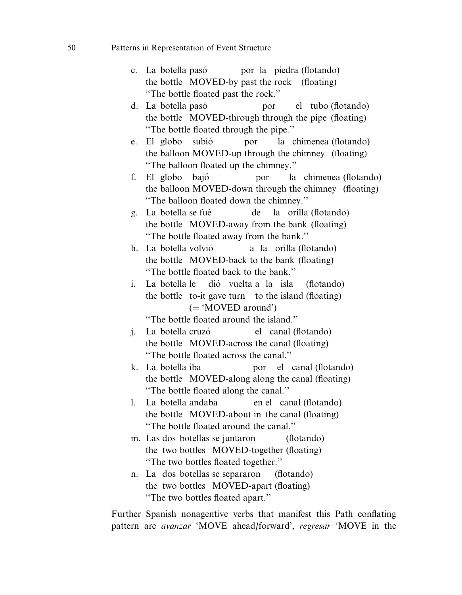#### 50 Patterns in Representation of Event Structure

- c. La botella pasó the bottle MOVED-by past the rock (floating) por la piedra (flotando) "The bottle floated past the rock."
- d. La botella pasó the bottle MOVED-through through the pipe (floating) por el tubo (flotando) "The bottle floated through the pipe."
- e. El globo subió the balloon MOVED-up through the chimney (floating) por la chimenea (flotando) "The balloon floated up the chimney."
- f. El globo bajó the balloon MOVED-down through the chimney (floating) por la chimenea (flotando) "The balloon floated down the chimney."
- g. La botella se fué the bottle MOVED-away from the bank (floating) de la orilla (flotando) "The bottle floated away from the bank."
- h. La botella volvió the bottle MOVED-back to the bank (floating) a la orilla (flotando) "The bottle floated back to the bank."
- i. La botella le dió vuelta a la isla (flotando) the bottle to-it gave turn to the island (floating)  $($  = 'MOVED around')

``The bottle ¯oated around the island.''

- j. La botella cruzó the bottle MOVED-across the canal (floating) el canal (flotando) "The bottle floated across the canal."
- k. La botella iba the bottle MOVED-along along the canal (floating) por el canal (flotando) "The bottle floated along the canal."
- l. La botella andaba the bottle MOVED-about in the canal (floating) en el canal (flotando) "The bottle floated around the canal."
- m. Las dos botellas se juntaron the two bottles MOVED-together (floating) (flotando) "The two bottles floated together."
- n. La dos botellas se separaron the two bottles MOVED-apart (floating) (flotando) "The two bottles floated apart."

Further Spanish nonagentive verbs that manifest this Path conflating pattern are *avanzar* 'MOVE ahead/forward', *regresar* 'MOVE in the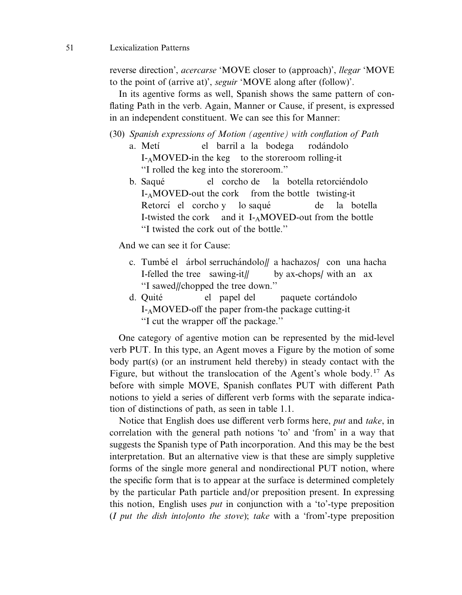reverse direction', *acercarse* 'MOVE closer to (approach)', *llegar* 'MOVE to the point of (arrive at)', seguir `MOVE along after (follow)'.

In its agentive forms as well, Spanish shows the same pattern of con flating Path in the verb. Again, Manner or Cause, if present, is expressed in an independent constituent. We can see this for Manner:

- (30) Spanish expressions of Motion (agentive) with conflation of Path
	- a. Metí I-AMOVED-in the keg to the storeroom rolling-it el barril a la bodega rodándolo ``I rolled the keg into the storeroom.''
	- b. Saqué I-AMOVED-out the cork from the bottle twisting-it el corcho de la botella retorciéndolo Retorcí el corcho y I-twisted the cork and it  $I-AMOVED$ -out from the bottle lo saqué de la botella ``I twisted the cork out of the bottle.''

And we can see it for Cause:

- c. Tumbé el árbol serruchándolo// a hachazos/ con una hacha I-felled the tree sawing-it// by ax-chops/ with an ax ``I sawed//chopped the tree down.''
- d. Quité I-AMOVED-off the paper from-the package cutting-it el papel del paquete cortándolo "I cut the wrapper off the package."

One category of agentive motion can be represented by the mid-level verb PUT. In this type, an Agent moves a Figure by the motion of some body part(s) (or an instrument held thereby) in steady contact with the Figure, but without the translocation of the Agent's whole body.<sup>17</sup> As before with simple MOVE, Spanish conflates PUT with different Path notions to yield a series of different verb forms with the separate indication of distinctions of path, as seen in table 1.1.

Notice that English does use different verb forms here, *put* and *take*, in correlation with the general path notions `to' and `from' in a way that suggests the Spanish type of Path incorporation. And this may be the best interpretation. But an alternative view is that these are simply suppletive forms of the single more general and nondirectional PUT notion, where the specific form that is to appear at the surface is determined completely by the particular Path particle and/or preposition present. In expressing this notion, English uses put in conjunction with a `to'-type preposition (I put the dish into/onto the stove); take with a 'from'-type preposition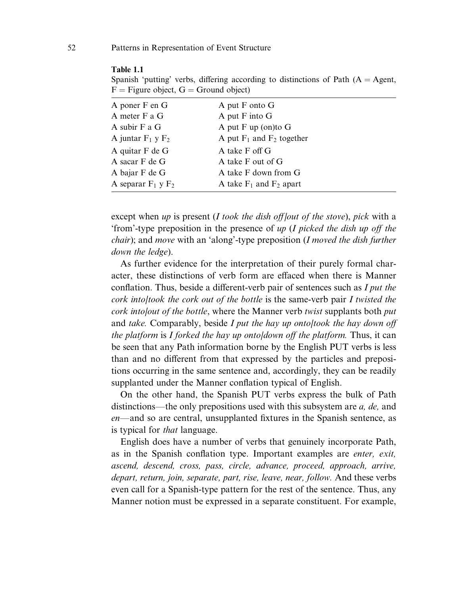### Table 1.1

Spanish 'putting' verbs, differing according to distinctions of Path ( $A = A$ gent,  $F =$  Figure object,  $G =$  Ground object)

| A poner F en G          | A put F onto G                 |
|-------------------------|--------------------------------|
| A meter F a G           | A put F into G                 |
| A subir F a G           | A put $F$ up (on)to $G$        |
| A juntar $F_1$ y $F_2$  | A put $F_1$ and $F_2$ together |
| A quitar F de G         | A take F off G                 |
| A sacar F de G          | A take F out of G              |
| A bajar F de G          | A take F down from G           |
| A separar $F_1$ y $F_2$ | A take $F_1$ and $F_2$ apart   |

except when up is present (I took the dish off | out of the stove), pick with a 'from'-type preposition in the presence of up (I picked the dish up off the chair); and move with an `along'-type preposition (I moved the dish further down the ledge).

As further evidence for the interpretation of their purely formal character, these distinctions of verb form are effaced when there is Manner conflation. Thus, beside a different-verb pair of sentences such as  $I$  put the cork into/took the cork out of the bottle is the same-verb pair I twisted the cork into out of the bottle, where the Manner verb twist supplants both put and take. Comparably, beside I put the hay up onto/took the hay down off the platform is I forked the hay up ontoldown off the platform. Thus, it can be seen that any Path information borne by the English PUT verbs is less than and no different from that expressed by the particles and prepositions occurring in the same sentence and, accordingly, they can be readily supplanted under the Manner conflation typical of English.

On the other hand, the Spanish PUT verbs express the bulk of Path distinctions—the only prepositions used with this subsystem are  $a$ ,  $de$ , and  $en$ —and so are central, unsupplanted fixtures in the Spanish sentence, as is typical for that language.

English does have a number of verbs that genuinely incorporate Path, as in the Spanish conflation type. Important examples are enter, exit, ascend, descend, cross, pass, circle, advance, proceed, approach, arrive, depart, return, join, separate, part, rise, leave, near, follow. And these verbs even call for a Spanish-type pattern for the rest of the sentence. Thus, any Manner notion must be expressed in a separate constituent. For example,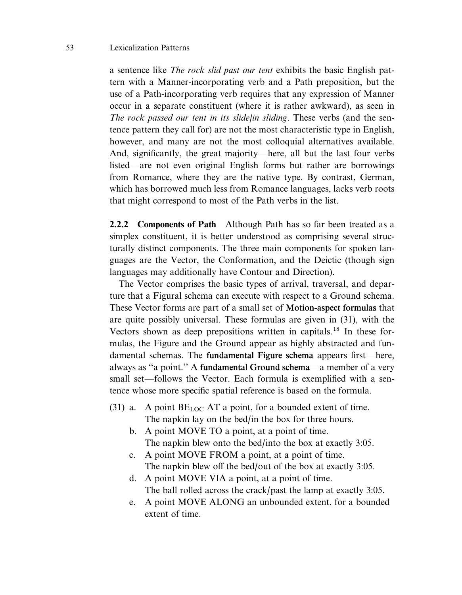a sentence like The rock slid past our tent exhibits the basic English pattern with a Manner-incorporating verb and a Path preposition, but the use of a Path-incorporating verb requires that any expression of Manner occur in a separate constituent (where it is rather awkward), as seen in The rock passed our tent in its slide/in sliding. These verbs (and the sentence pattern they call for) are not the most characteristic type in English, however, and many are not the most colloquial alternatives available. And, significantly, the great majority—here, all but the last four verbs listed—are not even original English forms but rather are borrowings from Romance, where they are the native type. By contrast, German, which has borrowed much less from Romance languages, lacks verb roots that might correspond to most of the Path verbs in the list.

2.2.2 Components of Path Although Path has so far been treated as a simplex constituent, it is better understood as comprising several structurally distinct components. The three main components for spoken languages are the Vector, the Conformation, and the Deictic (though sign languages may additionally have Contour and Direction).

The Vector comprises the basic types of arrival, traversal, and departure that a Figural schema can execute with respect to a Ground schema. These Vector forms are part of a small set of Motion-aspect formulas that are quite possibly universal. These formulas are given in (31), with the Vectors shown as deep prepositions written in capitals.18 In these formulas, the Figure and the Ground appear as highly abstracted and fundamental schemas. The fundamental Figure schema appears first—here, always as "a point." A fundamental Ground schema—a member of a very small set—follows the Vector. Each formula is exemplified with a sentence whose more specific spatial reference is based on the formula.

- (31) a. A point  $BE_{LOC}$  AT a point, for a bounded extent of time. The napkin lay on the bed/in the box for three hours.
	- b. A point MOVE TO a point, at a point of time. The napkin blew onto the bed/into the box at exactly 3:05.
	- c. A point MOVE FROM a point, at a point of time. The napkin blew off the bed/out of the box at exactly 3:05.
	- d. A point MOVE VIA a point, at a point of time. The ball rolled across the crack/past the lamp at exactly 3:05.
	- e. A point MOVE ALONG an unbounded extent, for a bounded extent of time.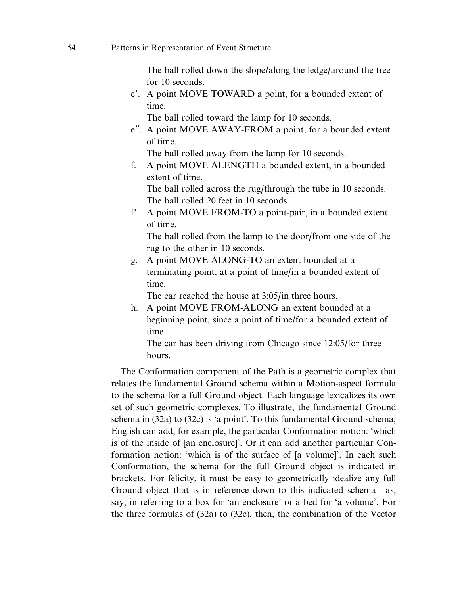#### 54 Patterns in Representation of Event Structure

The ball rolled down the slope/along the ledge/around the tree for 10 seconds.

e'. A point MOVE TOWARD a point, for a bounded extent of time.

The ball rolled toward the lamp for 10 seconds.

 $e^{\prime\prime}$ . A point MOVE AWAY-FROM a point, for a bounded extent of time.

The ball rolled away from the lamp for 10 seconds.

f. A point MOVE ALENGTH a bounded extent, in a bounded extent of time.

The ball rolled across the rug/through the tube in 10 seconds. The ball rolled 20 feet in 10 seconds.

f'. A point MOVE FROM-TO a point-pair, in a bounded extent of time.

The ball rolled from the lamp to the door/from one side of the rug to the other in 10 seconds.

g. A point MOVE ALONG-TO an extent bounded at a terminating point, at a point of time/in a bounded extent of time.

The car reached the house at 3:05/in three hours.

h. A point MOVE FROM-ALONG an extent bounded at a beginning point, since a point of time/for a bounded extent of time.

The car has been driving from Chicago since 12:05/for three hours.

The Conformation component of the Path is a geometric complex that relates the fundamental Ground schema within a Motion-aspect formula to the schema for a full Ground object. Each language lexicalizes its own set of such geometric complexes. To illustrate, the fundamental Ground schema in (32a) to (32c) is `a point'. To this fundamental Ground schema, English can add, for example, the particular Conformation notion: `which is of the inside of [an enclosure]'. Or it can add another particular Conformation notion: `which is of the surface of [a volume]'. In each such Conformation, the schema for the full Ground object is indicated in brackets. For felicity, it must be easy to geometrically idealize any full Ground object that is in reference down to this indicated schema—as, say, in referring to a box for 'an enclosure' or a bed for 'a volume'. For the three formulas of (32a) to (32c), then, the combination of the Vector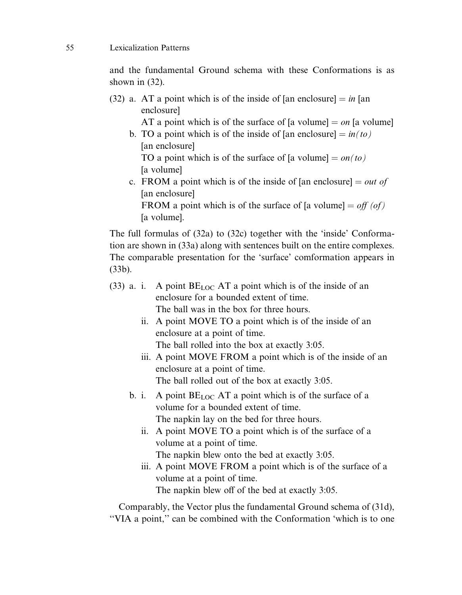and the fundamental Ground schema with these Conformations is as shown in (32).

- (32) a. AT a point which is of the inside of [an enclosure]  $=$  in [an enclosure]
	- AT a point which is of the surface of [a volume]  $=$  on [a volume]
	- b. TO a point which is of the inside of [an enclosure]  $=$  in(to) [an enclosure] TO a point which is of the surface of [a volume]  $= on(to)$ [a volume]
	- c. FROM a point which is of the inside of [an enclosure]  $= out of$ [an enclosure] FROM a point which is of the surface of [a volume]  $=$  of  $(f)$ [a volume].

The full formulas of (32a) to (32c) together with the `inside' Conformation are shown in (33a) along with sentences built on the entire complexes. The comparable presentation for the `surface' comformation appears in (33b).

- (33) a. i. A point  $BE_{LOC}$  AT a point which is of the inside of an enclosure for a bounded extent of time. The ball was in the box for three hours.
	- ii. A point MOVE TO a point which is of the inside of an enclosure at a point of time.

The ball rolled into the box at exactly 3:05.

- iii. A point MOVE FROM a point which is of the inside of an enclosure at a point of time. The ball rolled out of the box at exactly 3:05.
- b. i. A point  $BE_{LOC}$  AT a point which is of the surface of a volume for a bounded extent of time. The napkin lay on the bed for three hours.
	- ii. A point MOVE TO a point which is of the surface of a volume at a point of time. The napkin blew onto the bed at exactly 3:05.
	- iii. A point MOVE FROM a point which is of the surface of a volume at a point of time. The napkin blew off of the bed at exactly 3:05.

Comparably, the Vector plus the fundamental Ground schema of (31d), "VIA a point," can be combined with the Conformation 'which is to one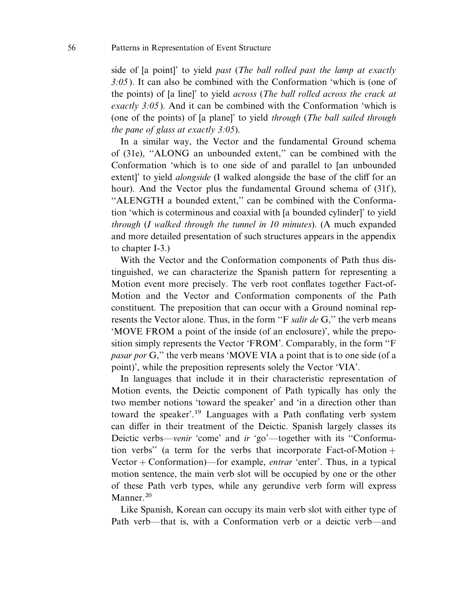side of [a point]' to yield *past* (*The ball rolled past the lamp at exactly*  $3:05$ ). It can also be combined with the Conformation 'which is (one of the points) of [a line]' to yield across (The ball rolled across the crack at *exactly 3:05*). And it can be combined with the Conformation 'which is (one of the points) of [a plane]' to yield through (The ball sailed through the pane of glass at exactly 3:05).

In a similar way, the Vector and the fundamental Ground schema of (31e), ``ALONG an unbounded extent,'' can be combined with the Conformation `which is to one side of and parallel to [an unbounded extent]' to yield *alongside* (I walked alongside the base of the cliff for an hour). And the Vector plus the fundamental Ground schema of (31f), ``ALENGTH a bounded extent,'' can be combined with the Conformation `which is coterminous and coaxial with [a bounded cylinder]' to yield through (I walked through the tunnel in 10 minutes). (A much expanded and more detailed presentation of such structures appears in the appendix to chapter I-3.)

With the Vector and the Conformation components of Path thus distinguished, we can characterize the Spanish pattern for representing a Motion event more precisely. The verb root conflates together Fact-of-Motion and the Vector and Conformation components of the Path constituent. The preposition that can occur with a Ground nominal represents the Vector alone. Thus, in the form "F *salir de G*," the verb means `MOVE FROM a point of the inside (of an enclosure)', while the preposition simply represents the Vector 'FROM'. Comparably, in the form "F pasar por G," the verb means 'MOVE VIA a point that is to one side (of a point)', while the preposition represents solely the Vector `VIA'.

In languages that include it in their characteristic representation of Motion events, the Deictic component of Path typically has only the two member notions 'toward the speaker' and 'in a direction other than toward the speaker'.<sup>19</sup> Languages with a Path conflating verb system can differ in their treatment of the Deictic. Spanish largely classes its Deictic verbs—*venir* 'come' and  $ir$  'go'—together with its "Conformation verbs" (a term for the verbs that incorporate Fact-of-Motion  $+$ Vector  $+$  Conformation)—for example, *entrar* 'enter'. Thus, in a typical motion sentence, the main verb slot will be occupied by one or the other of these Path verb types, while any gerundive verb form will express Manner.<sup>20</sup>

Like Spanish, Korean can occupy its main verb slot with either type of Path verb—that is, with a Conformation verb or a deictic verb—and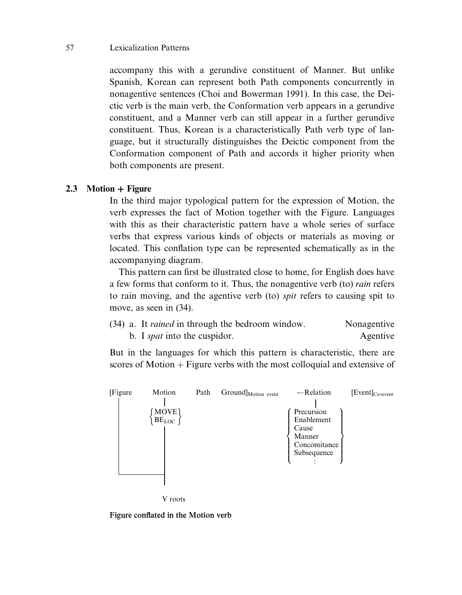accompany this with a gerundive constituent of Manner. But unlike Spanish, Korean can represent both Path components concurrently in nonagentive sentences (Choi and Bowerman 1991). In this case, the Deictic verb is the main verb, the Conformation verb appears in a gerundive constituent, and a Manner verb can still appear in a further gerundive constituent. Thus, Korean is a characteristically Path verb type of language, but it structurally distinguishes the Deictic component from the Conformation component of Path and accords it higher priority when both components are present.

## $2.3$  Motion + Figure

In the third major typological pattern for the expression of Motion, the verb expresses the fact of Motion together with the Figure. Languages with this as their characteristic pattern have a whole series of surface verbs that express various kinds of objects or materials as moving or located. This conflation type can be represented schematically as in the accompanying diagram.

This pattern can first be illustrated close to home, for English does have a few forms that conform to it. Thus, the nonagentive verb (to) rain refers to rain moving, and the agentive verb (to) spit refers to causing spit to move, as seen in (34).

(34) a. It *rained* in through the bedroom window. Nonagentive b. I *spat* into the cuspidor. Agentive

But in the languages for which this pattern is characteristic, there are scores of Motion  $+$  Figure verbs with the most colloquial and extensive of





Figure conflated in the Motion verb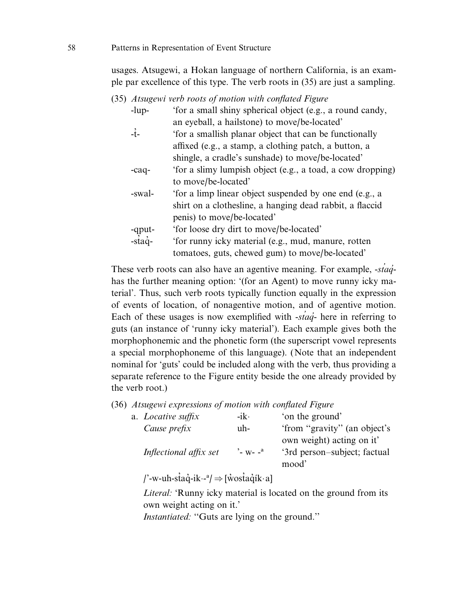usages. Atsugewi, a Hokan language of northern California, is an example par excellence of this type. The verb roots in (35) are just a sampling.

|  | (35) Atsugewi verb roots of motion with conflated Figure |  |  |  |
|--|----------------------------------------------------------|--|--|--|
|  |                                                          |  |  |  |

| -lup-  | 'for a small shiny spherical object (e.g., a round candy,  |
|--------|------------------------------------------------------------|
|        | an eyeball, a hailstone) to move/be-located'               |
| $-t-$  | for a smallish planar object that can be functionally      |
|        | affixed (e.g., a stamp, a clothing patch, a button, a      |
|        | shingle, a cradle's sunshade) to move/be-located'          |
| -caq-  | 'for a slimy lumpish object (e.g., a toad, a cow dropping) |
|        | to move/be-located                                         |
| -swal- | for a limp linear object suspended by one end (e.g., a     |
|        | shirt on a clothesline, a hanging dead rabbit, a flaccid   |
|        | penis) to move/be-located'                                 |
| -qput- | 'for loose dry dirt to move/be-located'                    |
| -staq- | for runny icky material (e.g., mud, manure, rotten)        |
|        | tomatoes, guts, chewed gum) to move/be-located'            |

These verb roots can also have an agentive meaning. For example, -staqhas the further meaning option: '(for an Agent) to move runny icky material'. Thus, such verb roots typically function equally in the expression of events of location, of nonagentive motion, and of agentive motion. Each of these usages is now exemplified with  $-s \nmid a \nmid$ -here in referring to guts (an instance of `runny icky material'). Each example gives both the morphophonemic and the phonetic form (the superscript vowel represents a special morphophoneme of this language). (Note that an independent nominal for `guts' could be included along with the verb, thus providing a separate reference to the Figure entity beside the one already provided by the verb root.)

 $(36)$  Atsugewi expressions of motion with conflated Figure

| a. Locative suffix     | $-ik$                      | 'on the ground'              |
|------------------------|----------------------------|------------------------------|
| Cause prefix           | uh-                        | 'from "gravity" (an object's |
|                        |                            | own weight) acting on it'    |
| Inflectional affix set | $\sim$ w- $-$ <sup>a</sup> | '3rd person-subject; factual |
|                        |                            | mood'                        |

/'-w-uh-staq̊-ik·-<sup>a</sup>/  $\Rightarrow$  [wostaq̊ik·a]

Literal: 'Runny icky material is located on the ground from its own weight acting on it.'

Instantiated: "Guts are lying on the ground."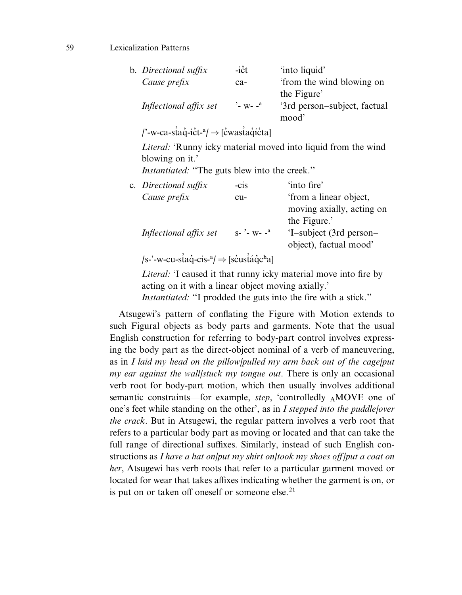| b. Directional suffix  | $-ict$                     | 'into liquid'                |
|------------------------|----------------------------|------------------------------|
| Cause prefix           | ca-                        | from the wind blowing on     |
|                        |                            | the Figure'                  |
| Inflectional affix set | $\sim$ W- $-$ <sup>a</sup> | '3rd person-subject, factual |
|                        |                            | mood'                        |

/'-w-ca-staqʻ-ict-<sup>a</sup>/  $\Rightarrow$  [cwastaq̃icta]

Literal: 'Runny icky material moved into liquid from the wind blowing on it.'

Instantiated: "The guts blew into the creek."

| c. Directional suffix  | -cis              | 'into fire'               |
|------------------------|-------------------|---------------------------|
| Cause prefix           | cu-               | 'from a linear object,    |
|                        |                   | moving axially, acting on |
|                        |                   | the Figure.'              |
| Inflectional affix set | $S - C - W - C^a$ | 'I-subject (3rd person-   |
|                        |                   | object), factual mood'    |
|                        |                   |                           |

/s-'-w-cu-staq'-cis-<sup>a</sup>/  $\Rightarrow$  [scustaqc<sup>h</sup>a]

Literal: 'I caused it that runny icky material move into fire by acting on it with a linear object moving axially.'

Instantiated: "I prodded the guts into the fire with a stick."

Atsugewi's pattern of conflating the Figure with Motion extends to such Figural objects as body parts and garments. Note that the usual English construction for referring to body-part control involves expressing the body part as the direct-object nominal of a verb of maneuvering, as in I laid my head on the pillow/pulled my arm back out of the cage/put my ear against the wall/stuck my tongue out. There is only an occasional verb root for body-part motion, which then usually involves additional semantic constraints—for example, *step*, 'controlledly  $_A MOVE$  one of one's feet while standing on the other', as in I stepped into the puddle/over the crack. But in Atsugewi, the regular pattern involves a verb root that refers to a particular body part as moving or located and that can take the full range of directional suffixes. Similarly, instead of such English constructions as I have a hat on/put my shirt on/took my shoes off/put a coat on her, Atsugewi has verb roots that refer to a particular garment moved or located for wear that takes affixes indicating whether the garment is on, or is put on or taken off oneself or someone else. $21$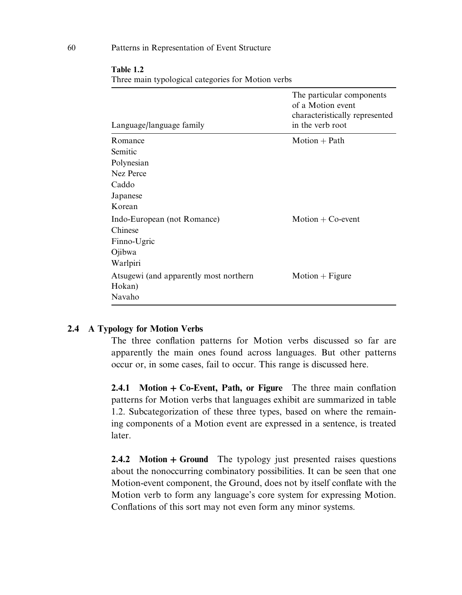| The particular components<br>of a Motion event<br>characteristically represented<br>in the verb root |
|------------------------------------------------------------------------------------------------------|
| $Motion + Path$                                                                                      |
|                                                                                                      |
|                                                                                                      |
|                                                                                                      |
|                                                                                                      |
|                                                                                                      |
|                                                                                                      |
| $Motion + Co-event$                                                                                  |
|                                                                                                      |
|                                                                                                      |
|                                                                                                      |
|                                                                                                      |
| $Motion + Figure$                                                                                    |
|                                                                                                      |
|                                                                                                      |
|                                                                                                      |

## Table 1.2 Three main typological categories for Motion verbs

# 2.4 A Typology for Motion Verbs

The three conflation patterns for Motion verbs discussed so far are apparently the main ones found across languages. But other patterns occur or, in some cases, fail to occur. This range is discussed here.

2.4.1 Motion  $+$  Co-Event, Path, or Figure The three main conflation patterns for Motion verbs that languages exhibit are summarized in table 1.2. Subcategorization of these three types, based on where the remaining components of a Motion event are expressed in a sentence, is treated later.

2.4.2 Motion  $+$  Ground The typology just presented raises questions about the nonoccurring combinatory possibilities. It can be seen that one Motion-event component, the Ground, does not by itself conflate with the Motion verb to form any language's core system for expressing Motion. Conflations of this sort may not even form any minor systems.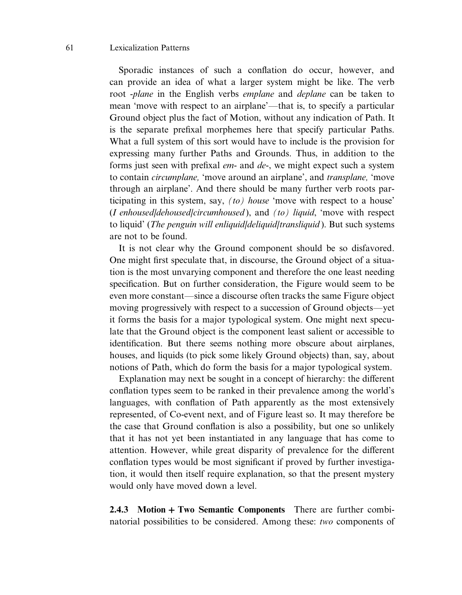Sporadic instances of such a conflation do occur, however, and can provide an idea of what a larger system might be like. The verb root -plane in the English verbs emplane and deplane can be taken to mean 'move with respect to an airplane'—that is, to specify a particular Ground object plus the fact of Motion, without any indication of Path. It is the separate prefixal morphemes here that specify particular Paths. What a full system of this sort would have to include is the provision for expressing many further Paths and Grounds. Thus, in addition to the forms just seen with prefixal em- and de-, we might expect such a system to contain circumplane, `move around an airplane', and transplane, `move through an airplane'. And there should be many further verb roots participating in this system, say,  $(to)$  house 'move with respect to a house'  $(I$  enhoused/dehoused/circumhoused), and  $(to)$  liquid, 'move with respect to liquid' (The penguin will enliquid/deliquid/transliquid ). But such systems are not to be found.

It is not clear why the Ground component should be so disfavored. One might first speculate that, in discourse, the Ground object of a situation is the most unvarying component and therefore the one least needing specification. But on further consideration, the Figure would seem to be even more constant—since a discourse often tracks the same Figure object moving progressively with respect to a succession of Ground objects—yet it forms the basis for a major typological system. One might next speculate that the Ground object is the component least salient or accessible to identification. But there seems nothing more obscure about airplanes, houses, and liquids (to pick some likely Ground objects) than, say, about notions of Path, which do form the basis for a major typological system.

Explanation may next be sought in a concept of hierarchy: the different conflation types seem to be ranked in their prevalence among the world's languages, with conflation of Path apparently as the most extensively represented, of Co-event next, and of Figure least so. It may therefore be the case that Ground conflation is also a possibility, but one so unlikely that it has not yet been instantiated in any language that has come to attention. However, while great disparity of prevalence for the different conflation types would be most significant if proved by further investigation, it would then itself require explanation, so that the present mystery would only have moved down a level.

2.4.3 Motion  $+$  Two Semantic Components There are further combinatorial possibilities to be considered. Among these: two components of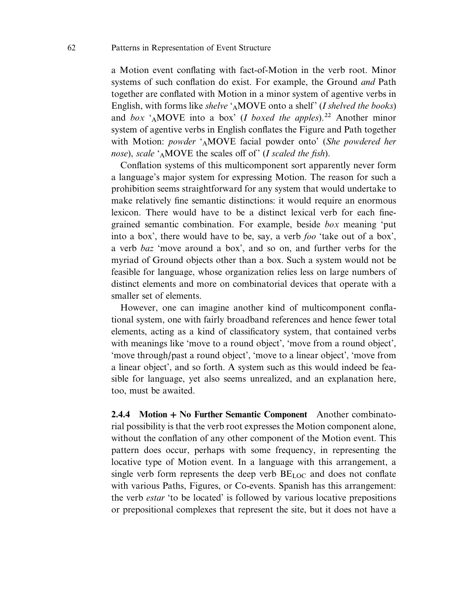a Motion event conflating with fact-of-Motion in the verb root. Minor systems of such conflation do exist. For example, the Ground *and* Path together are conflated with Motion in a minor system of agentive verbs in English, with forms like *shelve*  $^4$ <sub>A</sub>MOVE onto a shelf' (*I shelved the books*) and box  $^{\circ}$ AMOVE into a box' (*I boxed the apples*).<sup>22</sup> Another minor system of agentive verbs in English conflates the Figure and Path together with Motion: powder '<sub>A</sub>MOVE facial powder onto' (She powdered her nose), scale  $^{\circ}$ AMOVE the scales off of  $^{\circ}$  (I scaled the fish).

Conflation systems of this multicomponent sort apparently never form a language's major system for expressing Motion. The reason for such a prohibition seems straightforward for any system that would undertake to make relatively fine semantic distinctions: it would require an enormous lexicon. There would have to be a distinct lexical verb for each finegrained semantic combination. For example, beside  $box$  meaning 'put into a box', there would have to be, say, a verb *foo* 'take out of a box', a verb baz `move around a box', and so on, and further verbs for the myriad of Ground objects other than a box. Such a system would not be feasible for language, whose organization relies less on large numbers of distinct elements and more on combinatorial devices that operate with a smaller set of elements.

However, one can imagine another kind of multicomponent conflational system, one with fairly broadband references and hence fewer total elements, acting as a kind of classificatory system, that contained verbs with meanings like 'move to a round object', 'move from a round object', `move through/past a round object', `move to a linear object', `move from a linear object', and so forth. A system such as this would indeed be feasible for language, yet also seems unrealized, and an explanation here, too, must be awaited.

2.4.4 Motion  $+$  No Further Semantic Component Another combinatorial possibility is that the verb root expresses the Motion component alone, without the conflation of any other component of the Motion event. This pattern does occur, perhaps with some frequency, in representing the locative type of Motion event. In a language with this arrangement, a single verb form represents the deep verb  $BE_{LOC}$  and does not conflate with various Paths, Figures, or Co-events. Spanish has this arrangement: the verb estar `to be located' is followed by various locative prepositions or prepositional complexes that represent the site, but it does not have a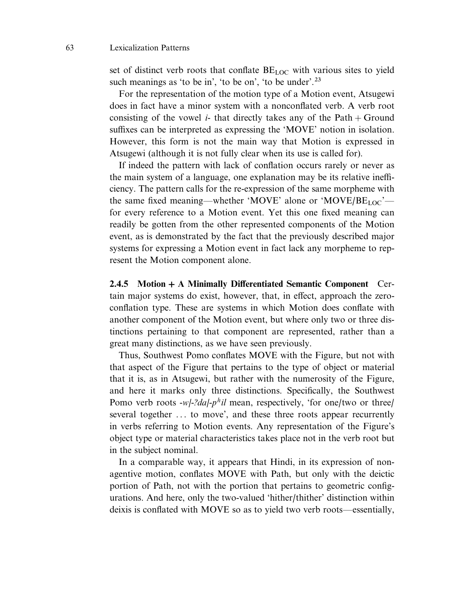set of distinct verb roots that conflate  $BE_{LOC}$  with various sites to yield such meanings as 'to be in', 'to be on', 'to be under'.<sup>23</sup>

For the representation of the motion type of a Motion event, Atsugewi does in fact have a minor system with a nonconflated verb. A verb root consisting of the vowel *i*- that directly takes any of the Path  $+$  Ground suffixes can be interpreted as expressing the 'MOVE' notion in isolation. However, this form is not the main way that Motion is expressed in Atsugewi (although it is not fully clear when its use is called for).

If indeed the pattern with lack of conflation occurs rarely or never as the main system of a language, one explanation may be its relative inefficiency. The pattern calls for the re-expression of the same morpheme with the same fixed meaning—whether 'MOVE' alone or 'MOVE/ $BE_{LOC}$ ' for every reference to a Motion event. Yet this one fixed meaning can readily be gotten from the other represented components of the Motion event, as is demonstrated by the fact that the previously described major systems for expressing a Motion event in fact lack any morpheme to represent the Motion component alone.

2.4.5 Motion  $+A$  Minimally Differentiated Semantic Component Certain major systems do exist, however, that, in effect, approach the zeroconflation type. These are systems in which Motion does conflate with another component of the Motion event, but where only two or three distinctions pertaining to that component are represented, rather than a great many distinctions, as we have seen previously.

Thus, Southwest Pomo conflates MOVE with the Figure, but not with that aspect of the Figure that pertains to the type of object or material that it is, as in Atsugewi, but rather with the numerosity of the Figure, and here it marks only three distinctions. Specifically, the Southwest Pomo verb roots -w/-?da/-phil mean, respectively, 'for one/two or three/ several together ... to move', and these three roots appear recurrently in verbs referring to Motion events. Any representation of the Figure's object type or material characteristics takes place not in the verb root but in the subject nominal.

In a comparable way, it appears that Hindi, in its expression of nonagentive motion, conflates MOVE with Path, but only with the deictic portion of Path, not with the portion that pertains to geometric configurations. And here, only the two-valued `hither/thither' distinction within deixis is conflated with MOVE so as to yield two verb roots—essentially,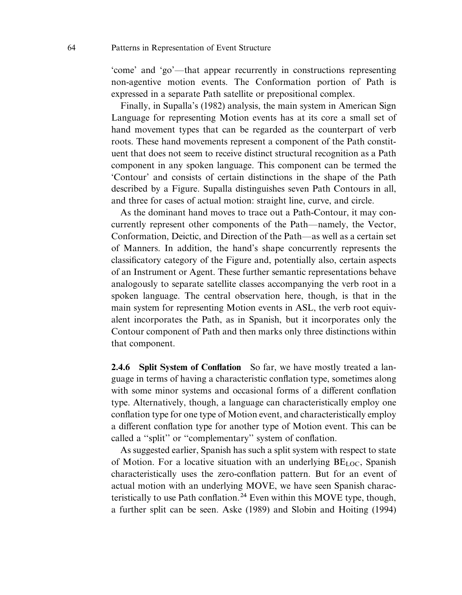'come' and 'go'—that appear recurrently in constructions representing non-agentive motion events. The Conformation portion of Path is expressed in a separate Path satellite or prepositional complex.

Finally, in Supalla's (1982) analysis, the main system in American Sign Language for representing Motion events has at its core a small set of hand movement types that can be regarded as the counterpart of verb roots. These hand movements represent a component of the Path constituent that does not seem to receive distinct structural recognition as a Path component in any spoken language. This component can be termed the `Contour' and consists of certain distinctions in the shape of the Path described by a Figure. Supalla distinguishes seven Path Contours in all, and three for cases of actual motion: straight line, curve, and circle.

As the dominant hand moves to trace out a Path-Contour, it may concurrently represent other components of the Path—namely, the Vector, Conformation, Deictic, and Direction of the Path—as well as a certain set of Manners. In addition, the hand's shape concurrently represents the classificatory category of the Figure and, potentially also, certain aspects of an Instrument or Agent. These further semantic representations behave analogously to separate satellite classes accompanying the verb root in a spoken language. The central observation here, though, is that in the main system for representing Motion events in ASL, the verb root equivalent incorporates the Path, as in Spanish, but it incorporates only the Contour component of Path and then marks only three distinctions within that component.

2.4.6 Split System of Conflation So far, we have mostly treated a language in terms of having a characteristic conflation type, sometimes along with some minor systems and occasional forms of a different conflation type. Alternatively, though, a language can characteristically employ one conflation type for one type of Motion event, and characteristically employ a different conflation type for another type of Motion event. This can be called a "split" or "complementary" system of conflation.

As suggested earlier, Spanish has such a split system with respect to state of Motion. For a locative situation with an underlying  $BE_{LOC}$ , Spanish characteristically uses the zero-conflation pattern. But for an event of actual motion with an underlying MOVE, we have seen Spanish characteristically to use Path conflation.<sup>24</sup> Even within this MOVE type, though, a further split can be seen. Aske (1989) and Slobin and Hoiting (1994)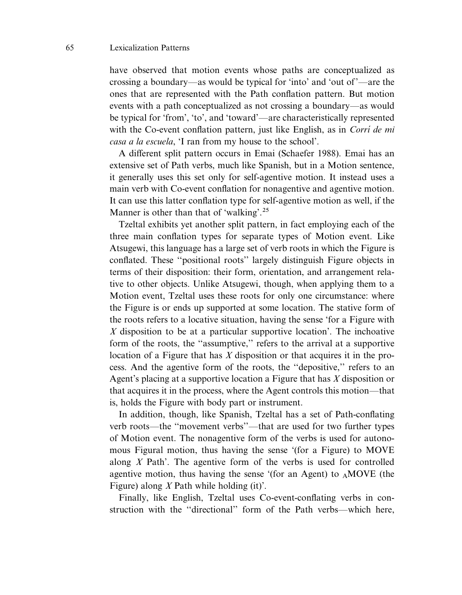have observed that motion events whose paths are conceptualized as crossing a boundary—as would be typical for 'into' and 'out of'—are the ones that are represented with the Path conflation pattern. But motion events with a path conceptualized as not crossing a boundary—as would be typical for 'from', 'to', and 'toward'—are characteristically represented with the Co-event conflation pattern, just like English, as in *Corri de mi* casa a la escuela, `I ran from my house to the school'.

A different split pattern occurs in Emai (Schaefer 1988). Emai has an extensive set of Path verbs, much like Spanish, but in a Motion sentence, it generally uses this set only for self-agentive motion. It instead uses a main verb with Co-event conflation for nonagentive and agentive motion. It can use this latter conflation type for self-agentive motion as well, if the Manner is other than that of 'walking'.<sup>25</sup>

Tzeltal exhibits yet another split pattern, in fact employing each of the three main conflation types for separate types of Motion event. Like Atsugewi, this language has a large set of verb roots in which the Figure is conflated. These "positional roots" largely distinguish Figure objects in terms of their disposition: their form, orientation, and arrangement relative to other objects. Unlike Atsugewi, though, when applying them to a Motion event, Tzeltal uses these roots for only one circumstance: where the Figure is or ends up supported at some location. The stative form of the roots refers to a locative situation, having the sense `for a Figure with  $X$  disposition to be at a particular supportive location'. The inchoative form of the roots, the "assumptive," refers to the arrival at a supportive location of a Figure that has  $X$  disposition or that acquires it in the process. And the agentive form of the roots, the ``depositive,'' refers to an Agent's placing at a supportive location a Figure that has  $X$  disposition or that acquires it in the process, where the Agent controls this motion—that is, holds the Figure with body part or instrument.

In addition, though, like Spanish, Tzeltal has a set of Path-conflating verb roots—the "movement verbs"—that are used for two further types of Motion event. The nonagentive form of the verbs is used for autonomous Figural motion, thus having the sense `(for a Figure) to MOVE along  $X$  Path'. The agentive form of the verbs is used for controlled agentive motion, thus having the sense '(for an Agent) to  $_A MOVE$  (the Figure) along  $X$  Path while holding (it)'.

Finally, like English, Tzeltal uses Co-event-conflating verbs in construction with the "directional" form of the Path verbs—which here,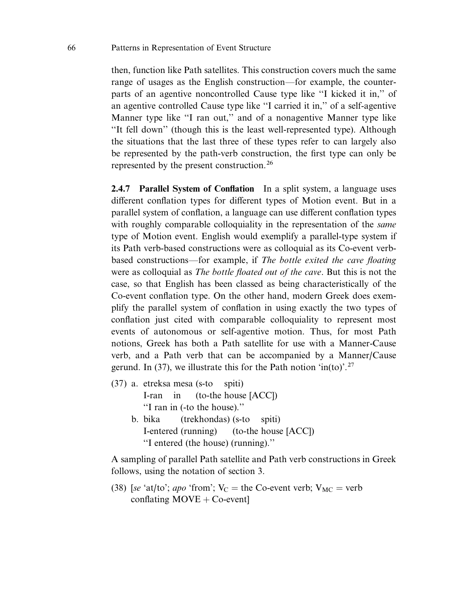then, function like Path satellites. This construction covers much the same range of usages as the English construction—for example, the counterparts of an agentive noncontrolled Cause type like "I kicked it in," of an agentive controlled Cause type like "I carried it in," of a self-agentive Manner type like "I ran out," and of a nonagentive Manner type like ``It fell down'' (though this is the least well-represented type). Although the situations that the last three of these types refer to can largely also be represented by the path-verb construction, the first type can only be represented by the present construction.26

**2.4.7 Parallel System of Conflation** In a split system, a language uses different conflation types for different types of Motion event. But in a parallel system of conflation, a language can use different conflation types with roughly comparable colloquiality in the representation of the *same* type of Motion event. English would exemplify a parallel-type system if its Path verb-based constructions were as colloquial as its Co-event verbbased constructions—for example, if The bottle exited the cave floating were as colloquial as *The bottle floated out of the cave*. But this is not the case, so that English has been classed as being characteristically of the Co-event conflation type. On the other hand, modern Greek does exemplify the parallel system of conflation in using exactly the two types of conflation just cited with comparable colloquiality to represent most events of autonomous or self-agentive motion. Thus, for most Path notions, Greek has both a Path satellite for use with a Manner-Cause verb, and a Path verb that can be accompanied by a Manner/Cause gerund. In (37), we illustrate this for the Path notion  $\text{in}(\text{to})$ .<sup>27</sup>

(37) a. etreksa mesa (s-to I-ran in (to-the house [ACC]) spiti) ``I ran in (-to the house).'' b. bika I-entered (running) (trekhondas) (s-to spiti) (to-the house [ACC]) ``I entered (the house) (running).''

A sampling of parallel Path satellite and Path verb constructions in Greek follows, using the notation of section 3.

(38) [se 'at/to'; apo 'from';  $V_C$  = the Co-event verb;  $V_{MC}$  verb conflating  $Move + Co$ -event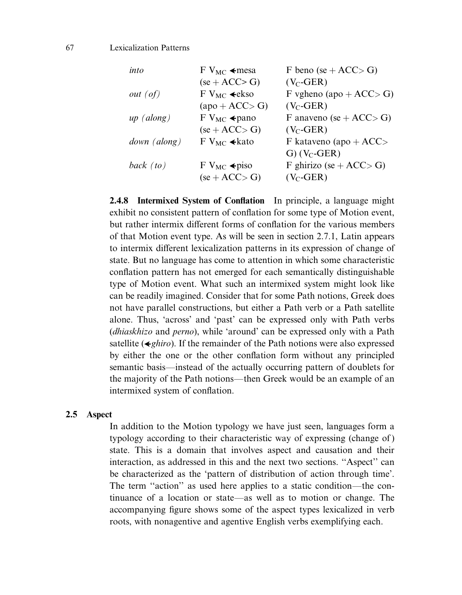| into         | F $V_{MC}$ $\leftarrow$ mesa                          | F beno (se + $ACC > G$ )    |
|--------------|-------------------------------------------------------|-----------------------------|
|              | $(se + ACC > G)$                                      | $(V_C-GER)$                 |
| out (of)     | F $V_{MC}$ $\leftarrow$ ekso                          | F vgheno (apo + $ACC > G$ ) |
|              | $(apo + ACC > G)$                                     | $(V_C-GER)$                 |
| $up$ (along) | $\rm{F}$ V <sub>MC</sub> $\triangleleft$ pano         | F anaveno (se + $ACC > G$ ) |
|              | $(se + ACC > G)$                                      | $(V_C-GER)$                 |
| down (along) | $\rm{F}$ $\rm{V}$ <sub>MC</sub> $\rm{\triangle}$ kato | F kataveno (apo + $ACC$ >   |
|              |                                                       | $G( V_C-GER)$               |
| back $(to)$  | F $V_{MC} \triangleleft piso$                         | F ghirizo (se + $ACC > G$ ) |
|              | $(se + ACC > G)$                                      | $(V_C-GER)$                 |
|              |                                                       |                             |

2.4.8 Intermixed System of Conflation In principle, a language might exhibit no consistent pattern of conflation for some type of Motion event, but rather intermix different forms of conflation for the various members of that Motion event type. As will be seen in section 2.7.1, Latin appears to intermix different lexicalization patterns in its expression of change of state. But no language has come to attention in which some characteristic conflation pattern has not emerged for each semantically distinguishable type of Motion event. What such an intermixed system might look like can be readily imagined. Consider that for some Path notions, Greek does not have parallel constructions, but either a Path verb or a Path satellite alone. Thus, `across' and `past' can be expressed only with Path verbs (dhiaskhizo and perno), while `around' can be expressed only with a Path satellite ( $\triangleleft$ *ghiro*). If the remainder of the Path notions were also expressed by either the one or the other conflation form without any principled semantic basis—instead of the actually occurring pattern of doublets for the majority of the Path notions—then Greek would be an example of an intermixed system of conflation.

#### 2.5 Aspect

In addition to the Motion typology we have just seen, languages form a typology according to their characteristic way of expressing (change of ) state. This is a domain that involves aspect and causation and their interaction, as addressed in this and the next two sections. "Aspect" can be characterized as the `pattern of distribution of action through time'. The term "action" as used here applies to a static condition—the continuance of a location or state—as well as to motion or change. The accompanying figure shows some of the aspect types lexicalized in verb roots, with nonagentive and agentive English verbs exemplifying each.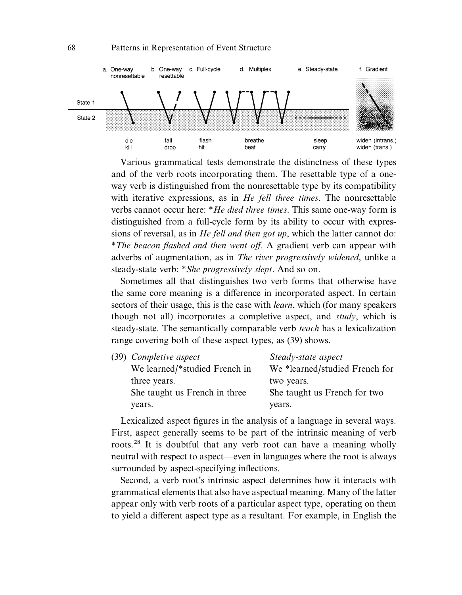

Various grammatical tests demonstrate the distinctness of these types and of the verb roots incorporating them. The resettable type of a oneway verb is distinguished from the nonresettable type by its compatibility with iterative expressions, as in *He fell three times*. The nonresettable verbs cannot occur here: \*He died three times. This same one-way form is distinguished from a full-cycle form by its ability to occur with expressions of reversal, as in He fell and then got up, which the latter cannot do:  $*$ The beacon flashed and then went off. A gradient verb can appear with adverbs of augmentation, as in The river progressively widened, unlike a steady-state verb: \*She progressively slept. And so on.

Sometimes all that distinguishes two verb forms that otherwise have the same core meaning is a difference in incorporated aspect. In certain sectors of their usage, this is the case with *learn*, which (for many speakers though not all) incorporates a completive aspect, and study, which is steady-state. The semantically comparable verb teach has a lexicalization range covering both of these aspect types, as (39) shows.

| (39) Completive aspect        | Steady-state aspect            |
|-------------------------------|--------------------------------|
| We learned/*studied French in | We *learned/studied French for |
| three years.                  | two years.                     |
| She taught us French in three | She taught us French for two   |
| years.                        | years.                         |

Lexicalized aspect figures in the analysis of a language in several ways. First, aspect generally seems to be part of the intrinsic meaning of verb roots.28 It is doubtful that any verb root can have a meaning wholly neutral with respect to aspect—even in languages where the root is always surrounded by aspect-specifying inflections.

Second, a verb root's intrinsic aspect determines how it interacts with grammatical elements that also have aspectual meaning. Many of the latter appear only with verb roots of a particular aspect type, operating on them to yield a different aspect type as a resultant. For example, in English the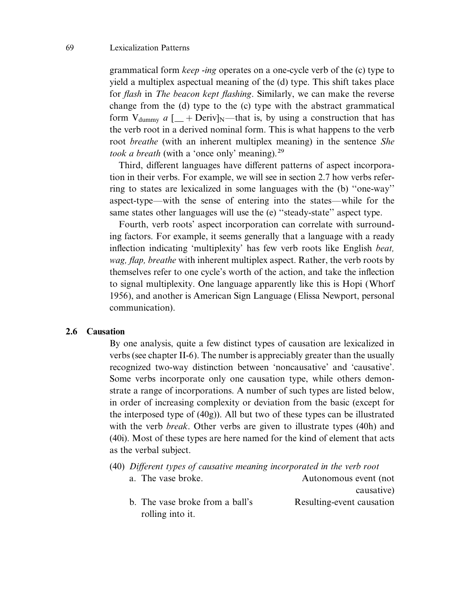grammatical form keep -ing operates on a one-cycle verb of the (c) type to yield a multiplex aspectual meaning of the (d) type. This shift takes place for *flash* in *The beacon kept flashing*. Similarly, we can make the reverse change from the (d) type to the (c) type with the abstract grammatical form  $V_{\text{dummy}} a$  [ + Deriv<sub>N</sub>—that is, by using a construction that has the verb root in a derived nominal form. This is what happens to the verb root breathe (with an inherent multiplex meaning) in the sentence She took a breath (with a 'once only' meaning).<sup>29</sup>

Third, different languages have different patterns of aspect incorporation in their verbs. For example, we will see in section 2.7 how verbs referring to states are lexicalized in some languages with the (b) "one-way" aspect-type—with the sense of entering into the states—while for the same states other languages will use the (e) "steady-state" aspect type.

Fourth, verb roots' aspect incorporation can correlate with surrounding factors. For example, it seems generally that a language with a ready inflection indicating 'multiplexity' has few verb roots like English beat, *wag, flap, breathe with inherent multiplex aspect. Rather, the verb roots by* themselves refer to one cycle's worth of the action, and take the inflection to signal multiplexity. One language apparently like this is Hopi (Whorf 1956), and another is American Sign Language (Elissa Newport, personal communication).

#### 2.6 Causation

By one analysis, quite a few distinct types of causation are lexicalized in verbs (see chapter II-6). The number is appreciably greater than the usually recognized two-way distinction between `noncausative' and `causative'. Some verbs incorporate only one causation type, while others demonstrate a range of incorporations. A number of such types are listed below, in order of increasing complexity or deviation from the basic (except for the interposed type of (40g)). All but two of these types can be illustrated with the verb *break*. Other verbs are given to illustrate types (40h) and (40i). Most of these types are here named for the kind of element that acts as the verbal subject.

| (40) Different types of causative meaning incorporated in the verb root |                           |  |
|-------------------------------------------------------------------------|---------------------------|--|
| a. The vase broke.                                                      | Autonomous event (not     |  |
|                                                                         | causative)                |  |
| b. The vase broke from a ball's<br>rolling into it.                     | Resulting-event causation |  |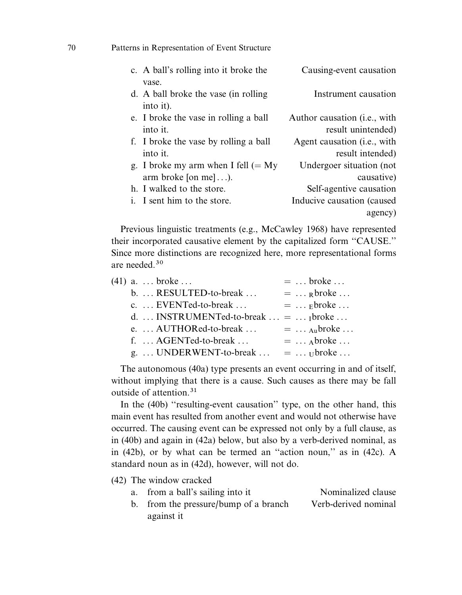70 Patterns in Representation of Event Structure

| c. A ball's rolling into it broke the | Causing-event causation      |
|---------------------------------------|------------------------------|
| vase.                                 |                              |
| d. A ball broke the vase (in rolling  | Instrument causation         |
| into it).                             |                              |
| e. I broke the vase in rolling a ball | Author causation (i.e., with |
| into it.                              | result unintended)           |
| f. I broke the vase by rolling a ball | Agent causation (i.e., with  |
| into it.                              | result intended)             |
| g. I broke my arm when I fell $(= My$ | Undergoer situation (not     |
| arm broke [on me]).                   | causative)                   |
| h. I walked to the store.             | Self-agentive causation      |
| i. I sent him to the store.           | Inducive causation (caused   |
|                                       | agency)                      |
|                                       |                              |

Previous linguistic treatments (e.g., McCawley 1968) have represented their incorporated causative element by the capitalized form "CAUSE." Since more distinctions are recognized here, more representational forms are needed.30

|  | $(41)$ a.  broke                            | $= \dots$ broke $\dots$   |
|--|---------------------------------------------|---------------------------|
|  | b.  RESULTED-to-break                       | $= \dots R$ broke $\dots$ |
|  | c.  EVENTed-to-break                        | $= \dots$ E broke $\dots$ |
|  | d.  INSTRUMENTed-to-break  = $\Delta$ broke |                           |
|  | e.  AUTHORed-to-break                       | $= \dots$ Aubroke $\dots$ |
|  | f.  AGENTed-to-break                        | $= \dots A$ broke $\dots$ |
|  | g.  UNDERWENT-to-break                      | $= \dots$ u broke $\dots$ |
|  |                                             |                           |

The autonomous (40a) type presents an event occurring in and of itself, without implying that there is a cause. Such causes as there may be fall outside of attention.<sup>31</sup>

In the (40b) "resulting-event causation" type, on the other hand, this main event has resulted from another event and would not otherwise have occurred. The causing event can be expressed not only by a full clause, as in (40b) and again in (42a) below, but also by a verb-derived nominal, as in  $(42b)$ , or by what can be termed an "action noun," as in  $(42c)$ . A standard noun as in (42d), however, will not do.

(42) The window cracked

| a. from a ball's sailing into it      | Nominalized clause   |
|---------------------------------------|----------------------|
| b. from the pressure/bump of a branch | Verb-derived nominal |
| against it                            |                      |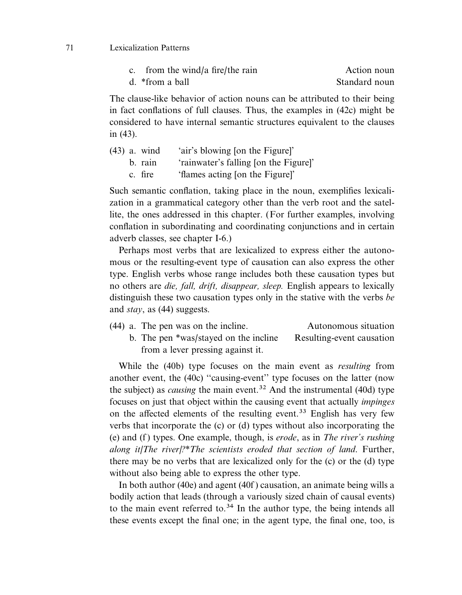| c. from the wind/a fire/the rain | Action noun   |
|----------------------------------|---------------|
| d. *from a ball                  | Standard noun |

The clause-like behavior of action nouns can be attributed to their being in fact conflations of full clauses. Thus, the examples in  $(42c)$  might be considered to have internal semantic structures equivalent to the clauses in (43).

| $(43)$ a. wind |         | 'air's blowing [on the Figure]'       |  |  |  |
|----------------|---------|---------------------------------------|--|--|--|
|                | b. rain | 'rainwater's falling [on the Figure]' |  |  |  |

c. fire 
<sup>'flames acting [on the Figure]'</sup>

Such semantic conflation, taking place in the noun, exemplifies lexicalization in a grammatical category other than the verb root and the satellite, the ones addressed in this chapter. (For further examples, involving conflation in subordinating and coordinating conjunctions and in certain adverb classes, see chapter I-6.)

Perhaps most verbs that are lexicalized to express either the autonomous or the resulting-event type of causation can also express the other type. English verbs whose range includes both these causation types but no others are die, fall, drift, disappear, sleep. English appears to lexically distinguish these two causation types only in the stative with the verbs be and stay, as (44) suggests.

|  | (44) a. The pen was on the incline.   | Autonomous situation      |
|--|---------------------------------------|---------------------------|
|  | b. The pen *was/stayed on the incline | Resulting-event causation |
|  | from a lever pressing against it.     |                           |

While the (40b) type focuses on the main event as resulting from another event, the (40c) "causing-event" type focuses on the latter (now the subject) as *causing* the main event.<sup>32</sup> And the instrumental  $(40d)$  type focuses on just that object within the causing event that actually impinges on the affected elements of the resulting event.<sup>33</sup> English has very few verbs that incorporate the (c) or (d) types without also incorporating the (e) and  $(f)$  types. One example, though, is erode, as in The river's rushing along it/The river/?\*The scientists eroded that section of land. Further, there may be no verbs that are lexicalized only for the (c) or the (d) type without also being able to express the other type.

In both author (40e) and agent (40f ) causation, an animate being wills a bodily action that leads (through a variously sized chain of causal events) to the main event referred to. $34$  In the author type, the being intends all these events except the final one; in the agent type, the final one, too, is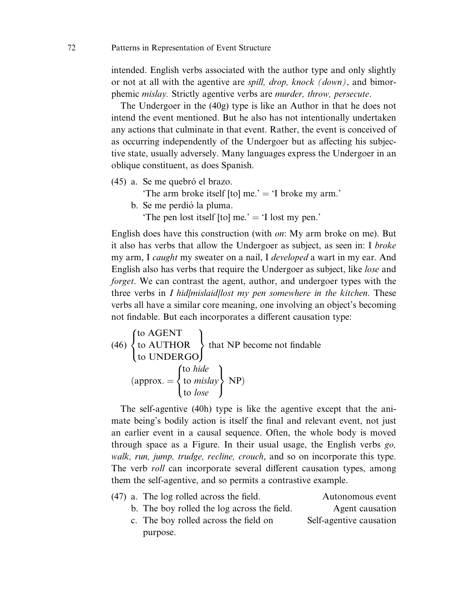intended. English verbs associated with the author type and only slightly or not at all with the agentive are spill, drop, knock (down), and bimorphemic mislay. Strictly agentive verbs are murder, throw, persecute.

The Undergoer in the (40g) type is like an Author in that he does not intend the event mentioned. But he also has not intentionally undertaken any actions that culminate in that event. Rather, the event is conceived of as occurring independently of the Undergoer but as affecting his subjective state, usually adversely. Many languages express the Undergoer in an oblique constituent, as does Spanish.

 $(45)$  a. Se me quebró el brazo.

'The arm broke itself  $[to]$  me.'  $=$  'I broke my arm.'

b. Se me perdió la pluma.

'The pen lost itself  $[$ to $]$  me.'  $=$  'I lost my pen.'

English does have this construction (with on: My arm broke on me). But it also has verbs that allow the Undergoer as subject, as seen in: I broke my arm, I caught my sweater on a nail, I developed a wart in my ear. And English also has verbs that require the Undergoer as subject, like lose and forget. We can contrast the agent, author, and undergoer types with the three verbs in *I hid/mislaid/lost my pen somewhere in the kitchen*. These verbs all have a similar core meaning, one involving an object's becoming not findable. But each incorporates a different causation type:

(46) 
$$
\begin{Bmatrix} \text{to AGENT} \\ \text{to AUTHOR} \\ \text{to UNDERGO} \end{Bmatrix}
$$
 that NP become not findable  
(approx. = 
$$
\begin{Bmatrix} \text{to hide} \\ \text{to mislay} \\ \text{to lose} \end{Bmatrix}
$$
 NP)

The self-agentive (40h) type is like the agentive except that the animate being's bodily action is itself the final and relevant event, not just an earlier event in a causal sequence. Often, the whole body is moved through space as a Figure. In their usual usage, the English verbs go, walk, run, jump, trudge, recline, crouch, and so on incorporate this type. The verb *roll* can incorporate several different causation types, among them the self-agentive, and so permits a contrastive example.

|  | $(47)$ a. The log rolled across the field.  | Autonomous event        |
|--|---------------------------------------------|-------------------------|
|  | b. The boy rolled the log across the field. | Agent causation         |
|  | c. The boy rolled across the field on       | Self-agentive causation |
|  | purpose.                                    |                         |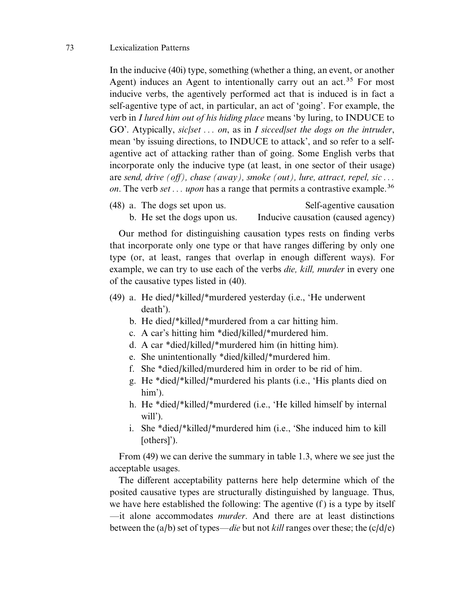In the inducive (40i) type, something (whether a thing, an event, or another Agent) induces an Agent to intentionally carry out an  $act.^35$  For most inducive verbs, the agentively performed act that is induced is in fact a self-agentive type of act, in particular, an act of `going'. For example, the verb in *I lured him out of his hiding place* means 'by luring, to INDUCE to GO'. Atypically, sic/set  $\dots$  on, as in I sicced/set the dogs on the intruder, mean 'by issuing directions, to INDUCE to attack', and so refer to a selfagentive act of attacking rather than of going. Some English verbs that incorporate only the inducive type (at least, in one sector of their usage) are send, drive (off), chase (away), smoke (out), lure, attract, repel, sic ... on. The verb set  $\ldots$  upon has a range that permits a contrastive example.<sup>36</sup>

(48) a. The dogs set upon us. Self-agentive causation b. He set the dogs upon us. Inducive causation (caused agency)

Our method for distinguishing causation types rests on finding verbs that incorporate only one type or that have ranges differing by only one type (or, at least, ranges that overlap in enough different ways). For example, we can try to use each of the verbs *die, kill, murder* in every one of the causative types listed in (40).

- (49) a. He died/\*killed/\*murdered yesterday (i.e., `He underwent death').
	- b. He died/\*killed/\*murdered from a car hitting him.
	- c. A car's hitting him \*died/killed/\*murdered him.
	- d. A car \*died/killed/\*murdered him (in hitting him).
	- e. She unintentionally \*died/killed/\*murdered him.
	- f. She \*died/killed/murdered him in order to be rid of him.
	- g. He \*died/\*killed/\*murdered his plants (i.e., `His plants died on him').
	- h. He \*died/\*killed/\*murdered (i.e., `He killed himself by internal will').
	- i. She \*died/\*killed/\*murdered him (i.e., `She induced him to kill [others]').

From (49) we can derive the summary in table 1.3, where we see just the acceptable usages.

The different acceptability patterns here help determine which of the posited causative types are structurally distinguished by language. Thus, we have here established the following: The agentive  $(f)$  is a type by itself Ðit alone accommodates murder. And there are at least distinctions between the (a/b) set of types—die but not kill ranges over these; the  $(c/d/e)$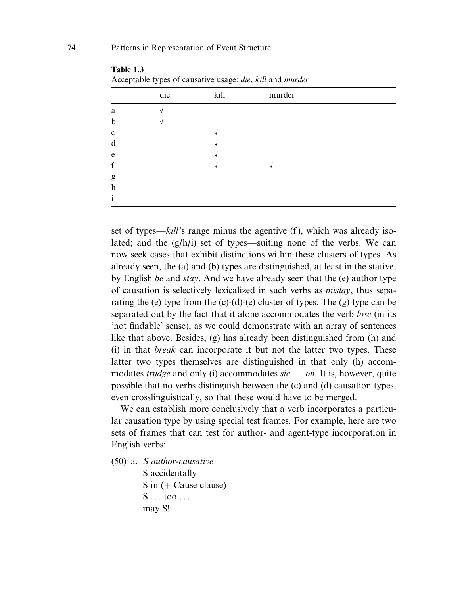|             | die | kill | murder |  |
|-------------|-----|------|--------|--|
| a           |     |      |        |  |
| $\mathbf b$ |     |      |        |  |
| $\mathbf c$ |     |      |        |  |
| d           |     |      |        |  |
| e           |     |      |        |  |
| f           |     |      |        |  |
| g           |     |      |        |  |
| h           |     |      |        |  |
| ٠           |     |      |        |  |
|             |     |      |        |  |

| Table 1.3                                                               |  |  |
|-------------------------------------------------------------------------|--|--|
| Acceptable types of causative usage: <i>die, kill</i> and <i>murder</i> |  |  |

set of types— $kill$ 's range minus the agentive (f), which was already isolated; and the  $(g/h/i)$  set of types—suiting none of the verbs. We can now seek cases that exhibit distinctions within these clusters of types. As already seen, the (a) and (b) types are distinguished, at least in the stative, by English be and stay. And we have already seen that the (e) author type of causation is selectively lexicalized in such verbs as mislay, thus separating the (e) type from the  $(c)-(d)-(e)$  cluster of types. The  $(g)$  type can be separated out by the fact that it alone accommodates the verb *lose* (in its 'not findable' sense), as we could demonstrate with an array of sentences like that above. Besides, (g) has already been distinguished from (h) and (i) in that break can incorporate it but not the latter two types. These latter two types themselves are distinguished in that only (h) accommodates *trudge* and only (i) accommodates *sic* ... *on*. It is, however, quite possible that no verbs distinguish between the (c) and (d) causation types, even crosslinguistically, so that these would have to be merged.

We can establish more conclusively that a verb incorporates a particular causation type by using special test frames. For example, here are two sets of frames that can test for author- and agent-type incorporation in English verbs:

(50) a. S author-causative

S accidentally  $S$  in (+ Cause clause)  $S \ldots$  too  $\ldots$ may S!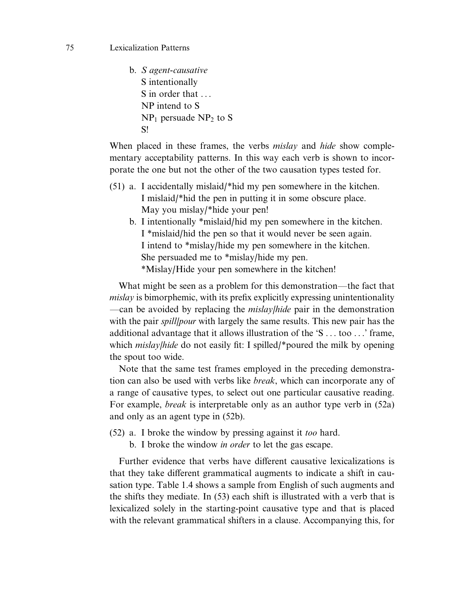b. S agent-causative S intentionally S in order that NP intend to S  $NP<sub>1</sub>$  persuade  $NP<sub>2</sub>$  to S S!

When placed in these frames, the verbs *mislay* and *hide* show complementary acceptability patterns. In this way each verb is shown to incorporate the one but not the other of the two causation types tested for.

- (51) a. I accidentally mislaid/\*hid my pen somewhere in the kitchen. I mislaid/\*hid the pen in putting it in some obscure place. May you mislay/\*hide your pen!
	- b. I intentionally \*mislaid/hid my pen somewhere in the kitchen. I \*mislaid/hid the pen so that it would never be seen again. I intend to \*mislay/hide my pen somewhere in the kitchen. She persuaded me to \*mislay/hide my pen. \*Mislay/Hide your pen somewhere in the kitchen!

What might be seen as a problem for this demonstration—the fact that  $mislay$  is bimorphemic, with its prefix explicitly expressing unintentionality —can be avoided by replacing the *mislay/hide* pair in the demonstration with the pair *spill/pour* with largely the same results. This new pair has the additional advantage that it allows illustration of the `S . . . too . . .' frame, which *mislay*/*hide* do not easily fit: I spilled/\*poured the milk by opening the spout too wide.

Note that the same test frames employed in the preceding demonstration can also be used with verbs like break, which can incorporate any of a range of causative types, to select out one particular causative reading. For example, break is interpretable only as an author type verb in (52a) and only as an agent type in (52b).

- (52) a. I broke the window by pressing against it too hard.
	- b. I broke the window in order to let the gas escape.

Further evidence that verbs have different causative lexicalizations is that they take different grammatical augments to indicate a shift in causation type. Table 1.4 shows a sample from English of such augments and the shifts they mediate. In (53) each shift is illustrated with a verb that is lexicalized solely in the starting-point causative type and that is placed with the relevant grammatical shifters in a clause. Accompanying this, for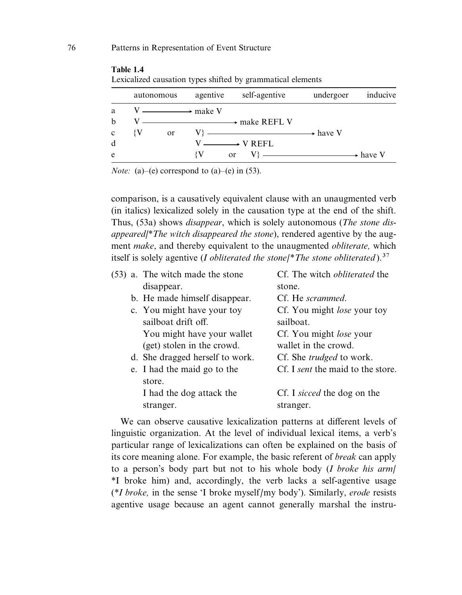|             | autonomous                            |     | agentive self-agentive undergoer inducive |  |
|-------------|---------------------------------------|-----|-------------------------------------------|--|
| a           | $V \longrightarrow \mathbb{R}$ make V |     |                                           |  |
| b           |                                       |     | $V \longrightarrow \text{make REFL V}$    |  |
| $\mathbf c$ | ₹V<br>or                              |     | $V\}$ $\longrightarrow$ have V            |  |
| d           |                                       |     | $V \longrightarrow V$ REFL                |  |
| e           |                                       | ₹V. | or $V$ $\longrightarrow$ have V           |  |

Table 1.4

Lexicalized causation types shifted by grammatical elements

*Note:* (a)–(e) correspond to (a)–(e) in (53).

comparison, is a causatively equivalent clause with an unaugmented verb (in italics) lexicalized solely in the causation type at the end of the shift. Thus, (53a) shows disappear, which is solely autonomous (The stone disappeared/\*The witch disappeared the stone), rendered agentive by the augment *make*, and thereby equivalent to the unaugmented *obliterate*, which itself is solely agentive (*I obliterated the stone*/\**The stone obliterated*).<sup>37</sup>

|  | (53) a. The witch made the stone | Cf. The witch <i>obliterated</i> the |
|--|----------------------------------|--------------------------------------|
|  | disappear.                       | stone.                               |
|  | b. He made himself disappear.    | Cf. He scrammed.                     |
|  | c. You might have your toy       | Cf. You might <i>lose</i> your toy   |
|  | sailboat drift off.              | sailboat.                            |
|  | You might have your wallet       | Cf. You might <i>lose</i> your       |
|  | (get) stolen in the crowd.       | wallet in the crowd.                 |
|  | d. She dragged herself to work.  | Cf. She <i>trudged</i> to work.      |
|  | e. I had the maid go to the      | Cf. I sent the maid to the store.    |
|  | store.                           |                                      |
|  | I had the dog attack the         | Cf. I <i>sicced</i> the dog on the   |
|  | stranger.                        | stranger.                            |

We can observe causative lexicalization patterns at different levels of linguistic organization. At the level of individual lexical items, a verb's particular range of lexicalizations can often be explained on the basis of its core meaning alone. For example, the basic referent of break can apply to a person's body part but not to his whole body (I broke his arm/ \*I broke him) and, accordingly, the verb lacks a self-agentive usage ( $*I$  broke, in the sense 'I broke myself/my body'). Similarly, erode resists agentive usage because an agent cannot generally marshal the instru-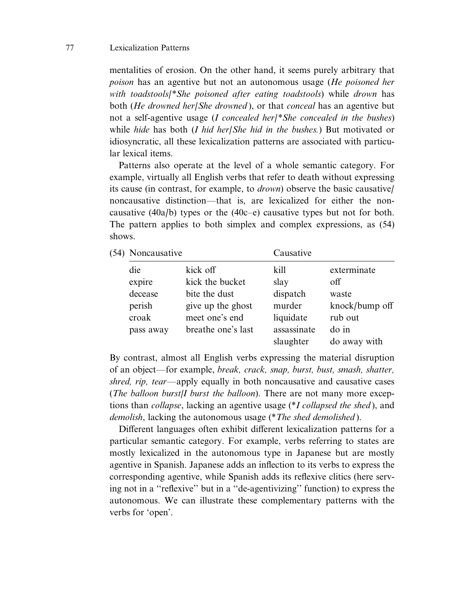mentalities of erosion. On the other hand, it seems purely arbitrary that poison has an agentive but not an autonomous usage (He poisoned her with toadstools/\*She poisoned after eating toadstools) while drown has both (He drowned her/She drowned), or that conceal has an agentive but not a self-agentive usage (*I concealed her*/\**She concealed in the bushes*) while hide has both (I hid her/She hid in the bushes.) But motivated or idiosyncratic, all these lexicalization patterns are associated with particular lexical items.

Patterns also operate at the level of a whole semantic category. For example, virtually all English verbs that refer to death without expressing its cause (in contrast, for example, to drown) observe the basic causative/ noncausative distinction—that is, are lexicalized for either the noncausative  $(40a/b)$  types or the  $(40c-e)$  causative types but not for both. The pattern applies to both simplex and complex expressions, as (54) shows.

(54) Noncausative Causative

| $1.011$ . The concernstance $\sim$ |                    |             |                |  |
|------------------------------------|--------------------|-------------|----------------|--|
| die                                | kick off           | kill        | exterminate    |  |
| expire                             | kick the bucket    | slay        | off            |  |
| decease                            | bite the dust      | dispatch    | waste          |  |
| perish                             | give up the ghost  | murder      | knock/bump off |  |
| croak                              | meet one's end     | liquidate   | rub out        |  |
| pass away                          | breathe one's last | assassinate | do in          |  |
|                                    |                    | slaughter   | do away with   |  |

By contrast, almost all English verbs expressing the material disruption of an object—for example, break, crack, snap, burst, bust, smash, shatter, shred, rip, tear $\equiv$ apply equally in both noncausative and causative cases (The balloon burst/I burst the balloon). There are not many more exceptions than collapse, lacking an agentive usage (\*I collapsed the shed ), and demolish, lacking the autonomous usage (\*The shed demolished).

Different languages often exhibit different lexicalization patterns for a particular semantic category. For example, verbs referring to states are mostly lexicalized in the autonomous type in Japanese but are mostly agentive in Spanish. Japanese adds an inflection to its verbs to express the corresponding agentive, while Spanish adds its reflexive clitics (here serving not in a "reflexive" but in a "de-agentivizing" function) to express the autonomous. We can illustrate these complementary patterns with the verbs for `open'.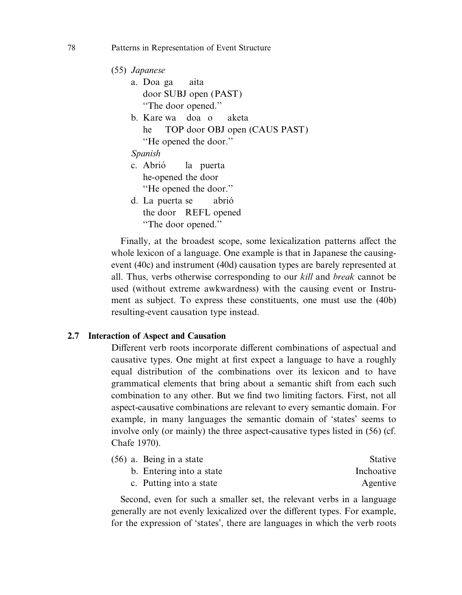78 Patterns in Representation of Event Structure

(55) Japanese a. Doa ga door SUBJ open (PAST ) aita ``The door opened.'' b. Kare wa doa o he TOP door OBJ open (CAUS PAST ) aketa ``He opened the door.'' Spanish c. Abrió he-opened the door la puerta ``He opened the door.'' d. La puerta se the door REFL opened abrió ``The door opened.''

Finally, at the broadest scope, some lexicalization patterns affect the whole lexicon of a language. One example is that in Japanese the causingevent (40c) and instrument (40d) causation types are barely represented at all. Thus, verbs otherwise corresponding to our kill and break cannot be used (without extreme awkwardness) with the causing event or Instrument as subject. To express these constituents, one must use the (40b) resulting-event causation type instead.

## 2.7 Interaction of Aspect and Causation

Different verb roots incorporate different combinations of aspectual and causative types. One might at first expect a language to have a roughly equal distribution of the combinations over its lexicon and to have grammatical elements that bring about a semantic shift from each such combination to any other. But we find two limiting factors. First, not all aspect-causative combinations are relevant to every semantic domain. For example, in many languages the semantic domain of `states' seems to involve only (or mainly) the three aspect-causative types listed in (56) (cf. Chafe 1970).

| $(56)$ a. Being in a state | <b>Stative</b> |
|----------------------------|----------------|
| b. Entering into a state   | Inchoative     |
| c. Putting into a state    | Agentive       |

Second, even for such a smaller set, the relevant verbs in a language generally are not evenly lexicalized over the different types. For example, for the expression of `states', there are languages in which the verb roots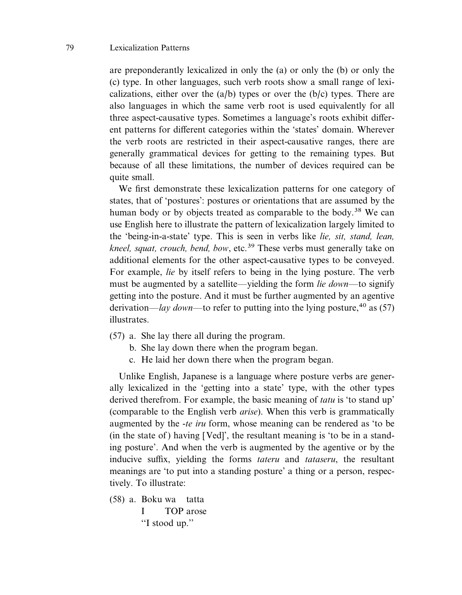are preponderantly lexicalized in only the (a) or only the (b) or only the (c) type. In other languages, such verb roots show a small range of lexicalizations, either over the  $(a/b)$  types or over the  $(b/c)$  types. There are also languages in which the same verb root is used equivalently for all three aspect-causative types. Sometimes a language's roots exhibit different patterns for different categories within the 'states' domain. Wherever the verb roots are restricted in their aspect-causative ranges, there are generally grammatical devices for getting to the remaining types. But because of all these limitations, the number of devices required can be quite small.

We first demonstrate these lexicalization patterns for one category of states, that of `postures': postures or orientations that are assumed by the human body or by objects treated as comparable to the body.<sup>38</sup> We can use English here to illustrate the pattern of lexicalization largely limited to the `being-in-a-state' type. This is seen in verbs like lie, sit, stand, lean, kneel, squat, crouch, bend, bow, etc.<sup>39</sup> These verbs must generally take on additional elements for the other aspect-causative types to be conveyed. For example, lie by itself refers to being in the lying posture. The verb must be augmented by a satellite—yielding the form *lie down*—to signify getting into the posture. And it must be further augmented by an agentive derivation—lay down—to refer to putting into the lying posture,  $40$  as (57) illustrates.

- (57) a. She lay there all during the program.
	- b. She lay down there when the program began.
	- c. He laid her down there when the program began.

Unlike English, Japanese is a language where posture verbs are generally lexicalized in the `getting into a state' type, with the other types derived therefrom. For example, the basic meaning of *tatu* is 'to stand up' (comparable to the English verb arise). When this verb is grammatically augmented by the *-te iru* form, whose meaning can be rendered as 'to be (in the state of ) having [ Ved]', the resultant meaning is `to be in a standing posture'. And when the verb is augmented by the agentive or by the inducive suffix, yielding the forms *tateru* and *tataseru*, the resultant meanings are 'to put into a standing posture' a thing or a person, respectively. To illustrate:

(58) a. Boku wa tatta I TOP arose

``I stood up.''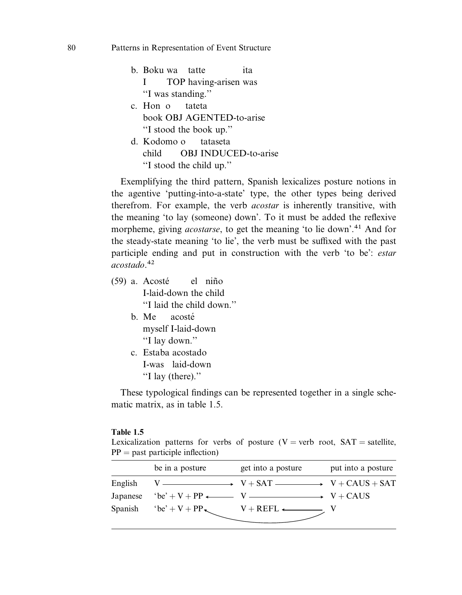| b. Boku wa tatte        |  |  | ita                        |
|-------------------------|--|--|----------------------------|
| I TOP having-arisen was |  |  |                            |
| "I was standing."       |  |  |                            |
| c. Hon o tateta         |  |  |                            |
|                         |  |  | book OBJ AGENTED-to-arise  |
| "I stood the book up."  |  |  |                            |
| d. Kodomo o tataseta    |  |  |                            |
|                         |  |  | child OBJ INDUCED-to-arise |
| "I stood the child up." |  |  |                            |

Exemplifying the third pattern, Spanish lexicalizes posture notions in the agentive `putting-into-a-state' type, the other types being derived therefrom. For example, the verb acostar is inherently transitive, with the meaning 'to lay (someone) down'. To it must be added the reflexive morpheme, giving *acostarse*, to get the meaning 'to lie down'.<sup>41</sup> And for the steady-state meaning 'to lie', the verb must be suffixed with the past participle ending and put in construction with the verb 'to be': *estar* acostado.42

- $(59)$  a. Acosté I-laid-down the child el niño ``I laid the child down.''
	- b. Me myself I-laid-down acosté ``I lay down.''
	- c. Estaba acostado I-was laid-down ``I lay (there).''

These typological findings can be represented together in a single schematic matrix, as in table 1.5.

# Table 1.5

Lexicalization patterns for verbs of posture ( $V =$  verb root,  $SAT =$  satellite,  $PP =$  past participle inflection)

|          | be in a posture | get into a posture                                         | put into a posture |
|----------|-----------------|------------------------------------------------------------|--------------------|
| English  |                 | $V \longrightarrow V + SAT \longrightarrow V + CAUS + SAT$ |                    |
| Japanese |                 | $V + C A US$                                               |                    |
|          |                 | Spanish 'be' + V + PP V + REFL $\longleftarrow$ V          |                    |
|          |                 |                                                            |                    |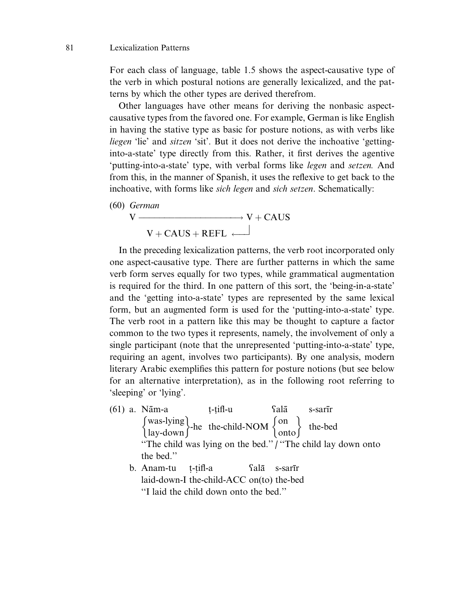For each class of language, table 1.5 shows the aspect-causative type of the verb in which postural notions are generally lexicalized, and the patterns by which the other types are derived therefrom.

Other languages have other means for deriving the nonbasic aspectcausative types from the favored one. For example, German is like English in having the stative type as basic for posture notions, as with verbs like liegen 'lie' and sitzen 'sit'. But it does not derive the inchoative 'gettinginto-a-state' type directly from this. Rather, it first derives the agentive `putting-into-a-state' type, with verbal forms like legen and setzen. And from this, in the manner of Spanish, it uses the reflexive to get back to the inchoative, with forms like *sich legen* and *sich setzen*. Schematically:

(60) German

 $V \longrightarrow V + CAUS$  $V + CAUS + REFL \longleftarrow$ 

In the preceding lexicalization patterns, the verb root incorporated only one aspect-causative type. There are further patterns in which the same verb form serves equally for two types, while grammatical augmentation is required for the third. In one pattern of this sort, the `being-in-a-state' and the `getting into-a-state' types are represented by the same lexical form, but an augmented form is used for the `putting-into-a-state' type. The verb root in a pattern like this may be thought to capture a factor common to the two types it represents, namely, the involvement of only a single participant (note that the unrepresented `putting-into-a-state' type, requiring an agent, involves two participants). By one analysis, modern literary Arabic exemplifies this pattern for posture notions (but see below for an alternative interpretation), as in the following root referring to 'sleeping' or 'lying'.

- (61) a. Nām-a t-ṭifl-u Salā s-sarīr<br>  $\begin{cases}$  was-lying<br>
lay-down  $\end{cases}$ -he the-child-NOM  $\begin{cases}$  on  $\end{cases}$  the-bed t-tifl-u falā s-sarīr  $\cdot$  The child was lying on the bed."  $\cdot$   $\cdot$  The child lay down onto the bed.''
	- b. Anam-tu laid-down-I the-child-ACC on(to) the-bed t-tifl-a Salā s-sarīr ``I laid the child down onto the bed.''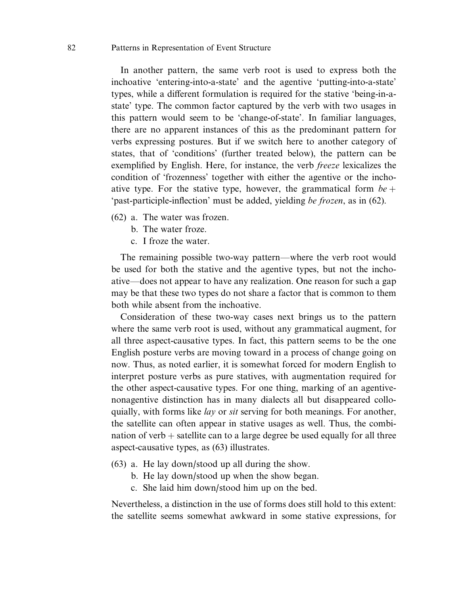In another pattern, the same verb root is used to express both the inchoative `entering-into-a-state' and the agentive `putting-into-a-state' types, while a different formulation is required for the stative 'being-in-astate' type. The common factor captured by the verb with two usages in this pattern would seem to be `change-of-state'. In familiar languages, there are no apparent instances of this as the predominant pattern for verbs expressing postures. But if we switch here to another category of states, that of `conditions' (further treated below), the pattern can be exemplified by English. Here, for instance, the verb freeze lexicalizes the condition of `frozenness' together with either the agentive or the inchoative type. For the stative type, however, the grammatical form  $be +$ 'past-participle-inflection' must be added, yielding be frozen, as in (62).

- (62) a. The water was frozen.
	- b. The water froze.
	- c. I froze the water.

The remaining possible two-way pattern—where the verb root would be used for both the stative and the agentive types, but not the inchoative—does not appear to have any realization. One reason for such a gap may be that these two types do not share a factor that is common to them both while absent from the inchoative.

Consideration of these two-way cases next brings us to the pattern where the same verb root is used, without any grammatical augment, for all three aspect-causative types. In fact, this pattern seems to be the one English posture verbs are moving toward in a process of change going on now. Thus, as noted earlier, it is somewhat forced for modern English to interpret posture verbs as pure statives, with augmentation required for the other aspect-causative types. For one thing, marking of an agentivenonagentive distinction has in many dialects all but disappeared colloquially, with forms like lay or sit serving for both meanings. For another, the satellite can often appear in stative usages as well. Thus, the combination of verb  $+$  satellite can to a large degree be used equally for all three aspect-causative types, as (63) illustrates.

- (63) a. He lay down/stood up all during the show.
	- b. He lay down/stood up when the show began.
	- c. She laid him down/stood him up on the bed.

Nevertheless, a distinction in the use of forms does still hold to this extent: the satellite seems somewhat awkward in some stative expressions, for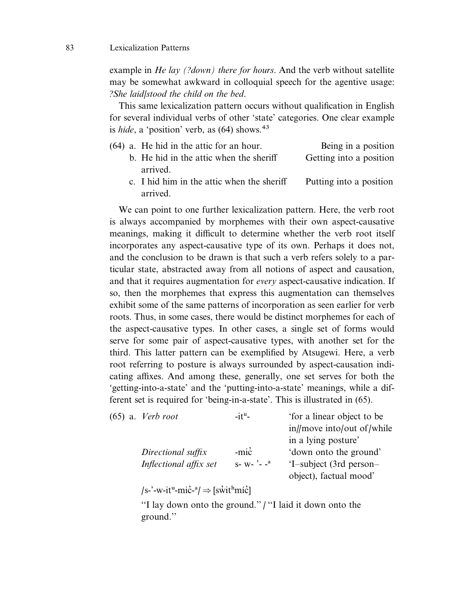example in He lay (?down) there for hours. And the verb without satellite may be somewhat awkward in colloquial speech for the agentive usage: ?She laid/stood the child on the bed.

This same lexicalization pattern occurs without qualification in English for several individual verbs of other `state' categories. One clear example is *hide*, a 'position' verb, as  $(64)$  shows.<sup>43</sup>

- (64) a. He hid in the attic for an hour. Being in a position  $b.$  He hid in the attic when the sheriff arrived. Getting into a position
	- $c.$  I hid him in the attic when the sheriff arrived. Putting into a position

We can point to one further lexicalization pattern. Here, the verb root is always accompanied by morphemes with their own aspect-causative meanings, making it difficult to determine whether the verb root itself incorporates any aspect-causative type of its own. Perhaps it does not, and the conclusion to be drawn is that such a verb refers solely to a particular state, abstracted away from all notions of aspect and causation, and that it requires augmentation for every aspect-causative indication. If so, then the morphemes that express this augmentation can themselves exhibit some of the same patterns of incorporation as seen earlier for verb roots. Thus, in some cases, there would be distinct morphemes for each of the aspect-causative types. In other cases, a single set of forms would serve for some pair of aspect-causative types, with another set for the third. This latter pattern can be exemplified by Atsugewi. Here, a verb root referring to posture is always surrounded by aspect-causation indicating affixes. And among these, generally, one set serves for both the `getting-into-a-state' and the `putting-into-a-state' meanings, while a different set is required for 'being-in-a-state'. This is illustrated in (65).

| (65) a. <i>Verb root</i> | $-itu$                              | 'for a linear object to be                        |
|--------------------------|-------------------------------------|---------------------------------------------------|
|                          |                                     | in//move into/out of/while                        |
|                          |                                     | in a lying posture'                               |
| Directional suffix       | -mic                                | 'down onto the ground'                            |
| Inflectional affix set   | $S - W - \frac{b}{2} - \frac{a}{2}$ | 'I-subject (3rd person-<br>object), factual mood' |
|                          |                                     |                                                   |

/s-'-w-it<sup>u</sup>-mic- $\alpha$   $\Rightarrow$  [swith mic]

``I lay down onto the ground.'' / ``I laid it down onto the ground.''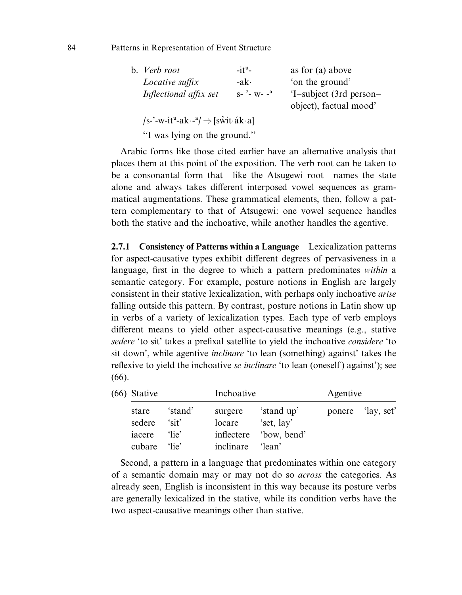|                              | b. <i>Verb root</i>                                                          | $-itu$                   | as for (a) above        |
|------------------------------|------------------------------------------------------------------------------|--------------------------|-------------------------|
|                              | Locative suffix                                                              | $-ak.$                   | 'on the ground'         |
|                              | Inflectional affix set                                                       | $S - \nu -$ <sup>a</sup> | 'I-subject (3rd person- |
|                              |                                                                              |                          | object), factual mood'  |
|                              | $\sqrt{s}$ -'-w-it <sup>u</sup> -ak·- <sup>a</sup> $\Rightarrow$ [swit·ák·a] |                          |                         |
| "I was lying on the ground." |                                                                              |                          |                         |

Arabic forms like those cited earlier have an alternative analysis that places them at this point of the exposition. The verb root can be taken to be a consonantal form that—like the Atsugewi root—names the state alone and always takes different interposed vowel sequences as grammatical augmentations. These grammatical elements, then, follow a pattern complementary to that of Atsugewi: one vowel sequence handles both the stative and the inchoative, while another handles the agentive.

2.7.1 Consistency of Patterns within a Language Lexicalization patterns for aspect-causative types exhibit different degrees of pervasiveness in a language, first in the degree to which a pattern predominates within a semantic category. For example, posture notions in English are largely consistent in their stative lexicalization, with perhaps only inchoative arise falling outside this pattern. By contrast, posture notions in Latin show up in verbs of a variety of lexicalization types. Each type of verb employs different means to yield other aspect-causative meanings (e.g., stative sedere 'to sit' takes a prefixal satellite to yield the inchoative *considere* 'to sit down', while agentive *inclinare* 'to lean (something) against' takes the reflexive to yield the inchoative se inclinare 'to lean (oneself) against'); see (66).

| (66) Stative              |                           | Inchoative                      |                                         |        | Agentive   |  |
|---------------------------|---------------------------|---------------------------------|-----------------------------------------|--------|------------|--|
| stare<br>sedere<br>iacere | 'stand'<br>'sit'<br>'lie' | surgere<br>locare<br>inflectere | 'stand up'<br>'set, lay'<br>'bow, bend' | ponere | 'lay, set' |  |
| cubare                    | 'lie'                     | inclinare                       | 'lean'                                  |        |            |  |

Second, a pattern in a language that predominates within one category of a semantic domain may or may not do so across the categories. As already seen, English is inconsistent in this way because its posture verbs are generally lexicalized in the stative, while its condition verbs have the two aspect-causative meanings other than stative.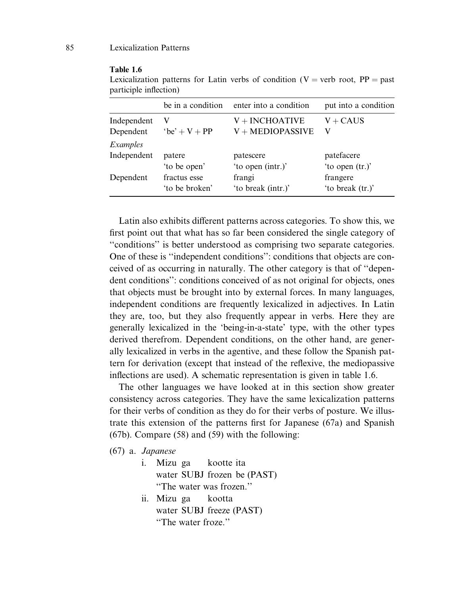#### Table 1.6

Lexicalization patterns for Latin verbs of condition (V = verb root, PP = past participle inflection)

|             | be in a condition | enter into a condition | put into a condition |
|-------------|-------------------|------------------------|----------------------|
| Independent | V                 | V + INCHOATIVE         | $V + CAUS$           |
| Dependent   | $be' + V + PP$    | $V + MEDIOPASSIVE$     | V                    |
| Examples    |                   |                        |                      |
| Independent | patere            | patescere              | patefacere           |
|             | 'to be open'      | 'to open (intr.)'      | 'to open (tr.)'      |
| Dependent   | fractus esse      | frangi                 | frangere             |
|             | 'to be broken'    | 'to break (intr.)'     | 'to break (tr.)'     |

Latin also exhibits different patterns across categories. To show this, we first point out that what has so far been considered the single category of ``conditions'' is better understood as comprising two separate categories. One of these is "independent conditions": conditions that objects are conceived of as occurring in naturally. The other category is that of ``dependent conditions'': conditions conceived of as not original for objects, ones that objects must be brought into by external forces. In many languages, independent conditions are frequently lexicalized in adjectives. In Latin they are, too, but they also frequently appear in verbs. Here they are generally lexicalized in the `being-in-a-state' type, with the other types derived therefrom. Dependent conditions, on the other hand, are generally lexicalized in verbs in the agentive, and these follow the Spanish pattern for derivation (except that instead of the reflexive, the mediopassive inflections are used). A schematic representation is given in table  $1.6$ .

The other languages we have looked at in this section show greater consistency across categories. They have the same lexicalization patterns for their verbs of condition as they do for their verbs of posture. We illustrate this extension of the patterns first for Japanese  $(67a)$  and Spanish (67b). Compare (58) and (59) with the following:

- (67) a. Japanese
	- i. Mizu ga water SUBJ frozen be (PAST) kootte ita ``The water was frozen.''
	- ii. Mizu ga water SUBJ freeze (PAST) kootta ``The water froze.''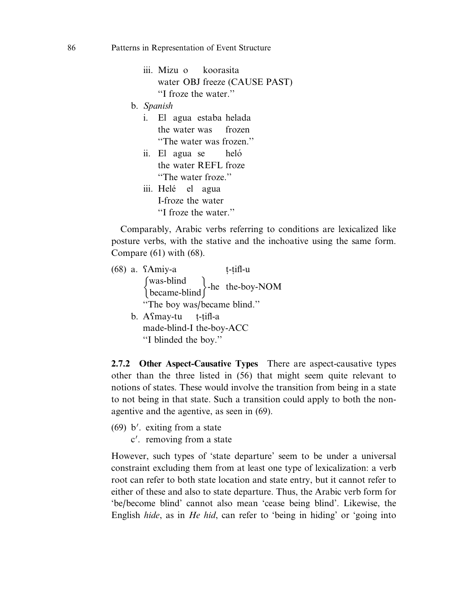- iii. Mizu o water OBJ freeze (CAUSE PAST) koorasita ``I froze the water.''
- b. Spanish
	- i. El agua estaba helada the water was frozen ``The water was frozen.''
	- ii. El agua se the water REFL froze heló ``The water froze.''
	- iii. Helé el agua I-froze the water ``I froze the water.''

Comparably, Arabic verbs referring to conditions are lexicalized like posture verbs, with the stative and the inchoative using the same form. Compare (61) with (68).

- (68) a.  $\{Amiy-a \atop \text{base-blind} \}$ -he the-boy-NOM -ṭifl-u ``The boy was/became blind.'' b. A smay-tu ț-țifl-a
	- made-blind-I the-boy-ACC ``I blinded the boy.''

2.7.2 Other Aspect-Causative Types There are aspect-causative types other than the three listed in (56) that might seem quite relevant to notions of states. These would involve the transition from being in a state to not being in that state. Such a transition could apply to both the nonagentive and the agentive, as seen in (69).

- $(69)$  b'. exiting from a state
	- c'. removing from a state

However, such types of 'state departure' seem to be under a universal constraint excluding them from at least one type of lexicalization: a verb root can refer to both state location and state entry, but it cannot refer to either of these and also to state departure. Thus, the Arabic verb form for `be/become blind' cannot also mean `cease being blind'. Likewise, the English hide, as in He hid, can refer to 'being in hiding' or 'going into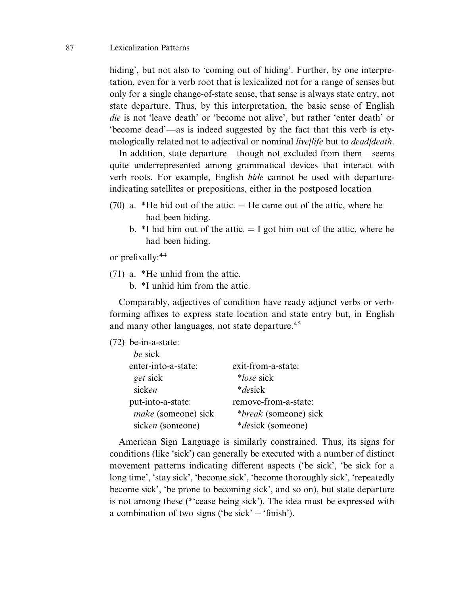hiding', but not also to 'coming out of hiding'. Further, by one interpretation, even for a verb root that is lexicalized not for a range of senses but only for a single change-of-state sense, that sense is always state entry, not state departure. Thus, by this interpretation, the basic sense of English die is not 'leave death' or 'become not alive', but rather 'enter death' or 'become dead'—as is indeed suggested by the fact that this verb is etymologically related not to adjectival or nominal live/life but to dead/death.

In addition, state departure—though not excluded from them—seems quite underrepresented among grammatical devices that interact with verb roots. For example, English hide cannot be used with departureindicating satellites or prepositions, either in the postposed location

- (70) a. \*He hid out of the attic.  $=$  He came out of the attic, where he had been hiding.
	- b.  $*I$  hid him out of the attic.  $= I$  got him out of the attic, where he had been hiding.

or prefixally:<sup>44</sup>

- (71) a. \*He unhid from the attic.
	- b. \*I unhid him from the attic.

Comparably, adjectives of condition have ready adjunct verbs or verbforming affixes to express state location and state entry but, in English and many other languages, not state departure.<sup>45</sup>

(72) be-in-a-state:

| <i>he</i> sick      |                       |
|---------------------|-----------------------|
| enter-into-a-state: | exit-from-a-state:    |
| get sick            | <i>*lose</i> sick     |
| sicken              | <i>*desick</i>        |
| put-into-a-state:   | remove-from-a-state:  |
| make (someone) sick | *break (someone) sick |
| sicken (someone)    | *desick (someone)     |

American Sign Language is similarly constrained. Thus, its signs for conditions (like `sick') can generally be executed with a number of distinct movement patterns indicating different aspects ('be sick', 'be sick for a long time', 'stay sick', 'become sick', 'become thoroughly sick', 'repeatedly become sick', 'be prone to becoming sick', and so on), but state departure is not among these (\*`cease being sick'). The idea must be expressed with a combination of two signs ('be sick'  $+$  'finish').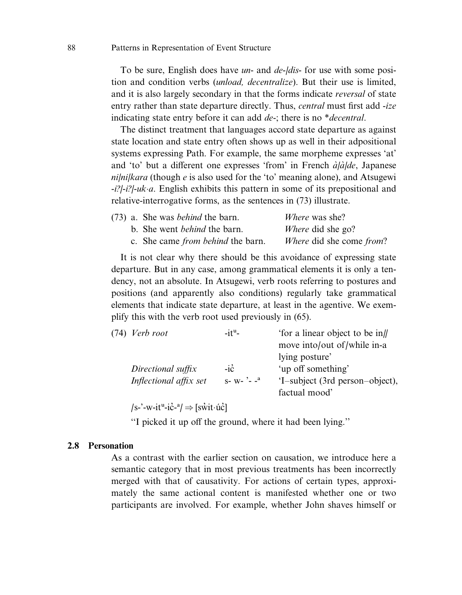To be sure, English does have *un*- and *de-|dis-* for use with some position and condition verbs (unload, decentralize). But their use is limited, and it is also largely secondary in that the forms indicate reversal of state entry rather than state departure directly. Thus, *central* must first add -ize indicating state entry before it can add *de*-; there is no *\*decentral*.

The distinct treatment that languages accord state departure as against state location and state entry often shows up as well in their adpositional systems expressing Path. For example, the same morpheme expresses 'at' and 'to' but a different one expresses 'from' in French  $\frac{\partial}{\partial \alpha}$  Japanese  $ni/ni/kara$  (though  $e$  is also used for the 'to' meaning alone), and Atsugewi  $-i^2$ - $i^2$ - $i^2$ - $uk \cdot a$ . English exhibits this pattern in some of its prepositional and relative-interrogative forms, as the sentences in (73) illustrate.

|  | (73) a. She was <i>behind</i> the barn.  | <i>Where</i> was she?    |
|--|------------------------------------------|--------------------------|
|  | b. She went <i>behind</i> the barn.      | <i>Where</i> did she go? |
|  | c. She came <i>from behind</i> the barn. | Where did she come from? |

It is not clear why there should be this avoidance of expressing state departure. But in any case, among grammatical elements it is only a tendency, not an absolute. In Atsugewi, verb roots referring to postures and positions (and apparently also conditions) regularly take grammatical elements that indicate state departure, at least in the agentive. We exemplify this with the verb root used previously in (65).

| (74) Verb root                                                            | $-itu$                              | 'for a linear object to be in// |
|---------------------------------------------------------------------------|-------------------------------------|---------------------------------|
|                                                                           |                                     | move into/out of/while in-a     |
|                                                                           |                                     | lying posture'                  |
| Directional suffix                                                        | $-i\dot{c}$                         | 'up off something'              |
| Inflectional affix set                                                    | $S - W - \frac{3}{2} - \frac{a}{2}$ | 'I-subject (3rd person-object), |
|                                                                           |                                     | factual mood'                   |
| $\sqrt{s}$ -'-w-it <sup>u</sup> -ic- <sup>a</sup> $\rightarrow$ [swit·uc] |                                     |                                 |

"I picked it up off the ground, where it had been lying."

#### 2.8 Personation

As a contrast with the earlier section on causation, we introduce here a semantic category that in most previous treatments has been incorrectly merged with that of causativity. For actions of certain types, approximately the same actional content is manifested whether one or two participants are involved. For example, whether John shaves himself or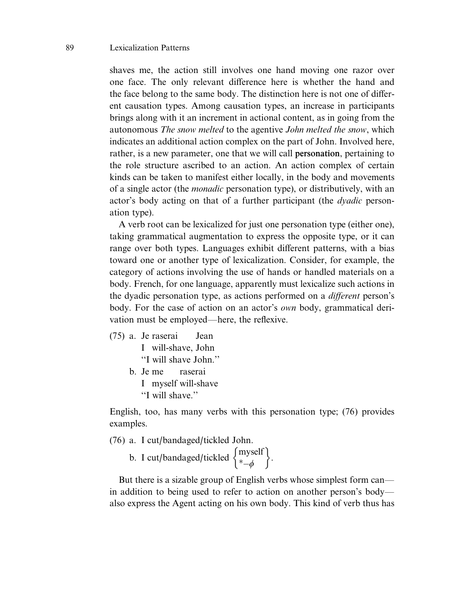shaves me, the action still involves one hand moving one razor over one face. The only relevant difference here is whether the hand and the face belong to the same body. The distinction here is not one of different causation types. Among causation types, an increase in participants brings along with it an increment in actional content, as in going from the autonomous The snow melted to the agentive John melted the snow, which indicates an additional action complex on the part of John. Involved here, rather, is a new parameter, one that we will call personation, pertaining to the role structure ascribed to an action. An action complex of certain kinds can be taken to manifest either locally, in the body and movements of a single actor (the monadic personation type), or distributively, with an actor's body acting on that of a further participant (the dyadic personation type).

A verb root can be lexicalized for just one personation type (either one), taking grammatical augmentation to express the opposite type, or it can range over both types. Languages exhibit different patterns, with a bias toward one or another type of lexicalization. Consider, for example, the category of actions involving the use of hands or handled materials on a body. French, for one language, apparently must lexicalize such actions in the dyadic personation type, as actions performed on a *different* person's body. For the case of action on an actor's own body, grammatical derivation must be employed—here, the reflexive.

- (75) a. Je raserai Jean
	- I will-shave, John
	- ``I will shave John.''
	- b. Je me I myself will-shave raserai ``I will shave.''

English, too, has many verbs with this personation type; (76) provides examples.

(76) a. I cut/bandaged/tickled John.

b. I cut/bandaged/tickled 
$$
\begin{Bmatrix} \text{myself} \\ *-\phi \end{Bmatrix}.
$$

But there is a sizable group of English verbs whose simplest form can in addition to being used to refer to action on another person's body also express the Agent acting on his own body. This kind of verb thus has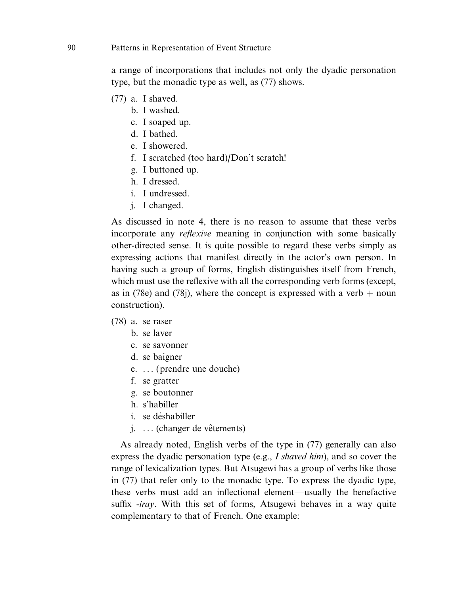a range of incorporations that includes not only the dyadic personation type, but the monadic type as well, as (77) shows.

- (77) a. I shaved.
	- b. I washed.
	- c. I soaped up.
	- d. I bathed.
	- e. I showered.
	- f. I scratched (too hard)/Don't scratch!
	- g. I buttoned up.
	- h. I dressed.
	- i. I undressed.
	- j. I changed.

As discussed in note 4, there is no reason to assume that these verbs incorporate any *reflexive* meaning in conjunction with some basically other-directed sense. It is quite possible to regard these verbs simply as expressing actions that manifest directly in the actor's own person. In having such a group of forms, English distinguishes itself from French, which must use the reflexive with all the corresponding verb forms (except, as in (78e) and (78j), where the concept is expressed with a verb  $+$  noun construction).

- (78) a. se raser
	- b. se laver
	- c. se savonner
	- d. se baigner
	- e. . . . (prendre une douche)
	- f. se gratter
	- g. se boutonner
	- h. s'habiller
	- i. se déshabiller
	- j. ... (changer de vêtements)

As already noted, English verbs of the type in (77) generally can also express the dyadic personation type (e.g., I shaved him), and so cover the range of lexicalization types. But Atsugewi has a group of verbs like those in (77) that refer only to the monadic type. To express the dyadic type, these verbs must add an inflectional element—usually the benefactive suffix -*iray*. With this set of forms, Atsugewi behaves in a way quite complementary to that of French. One example: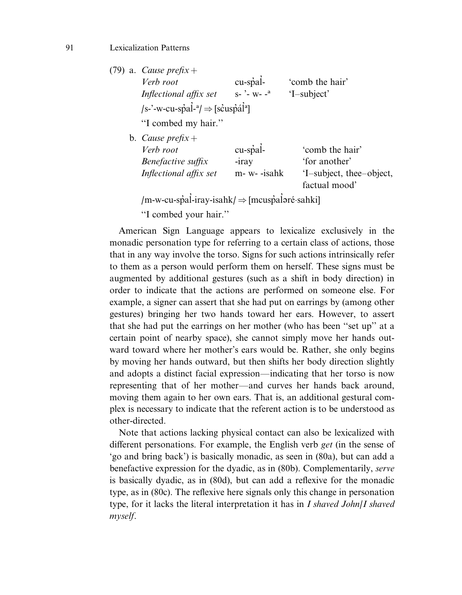(79) a. Cause prefix + Verb root Inflectional affix set cu-sṗaÌ $s-$  '-  $w-$  -<sup>a</sup> `comb the hair' 'I-subject' /s-'-w-cu-sp̊al-<sup>a</sup>/  $\Rightarrow$  [sc̓usp̊al<sup>a</sup>] ``I combed my hair.''

| b. <i>Cause prefix</i> + |              |                          |
|--------------------------|--------------|--------------------------|
| Verb root                | cu-spal-     | 'comb the hair'          |
| Benefactive suffix       | -iray        | 'for another'            |
| Inflectional affix set   | m- w- -isahk | 'I-subject, thee-object, |
|                          |              | factual mood'            |
|                          |              |                          |

/m-w-cu-sp̊alႆ-iray-isahk/ ⇒ [mcusp̊al̊əré·sahki]

``I combed your hair.''

American Sign Language appears to lexicalize exclusively in the monadic personation type for referring to a certain class of actions, those that in any way involve the torso. Signs for such actions intrinsically refer to them as a person would perform them on herself. These signs must be augmented by additional gestures (such as a shift in body direction) in order to indicate that the actions are performed on someone else. For example, a signer can assert that she had put on earrings by (among other gestures) bringing her two hands toward her ears. However, to assert that she had put the earrings on her mother (who has been "set up" at a certain point of nearby space), she cannot simply move her hands outward toward where her mother's ears would be. Rather, she only begins by moving her hands outward, but then shifts her body direction slightly and adopts a distinct facial expression—indicating that her torso is now representing that of her mother—and curves her hands back around, moving them again to her own ears. That is, an additional gestural complex is necessary to indicate that the referent action is to be understood as other-directed.

Note that actions lacking physical contact can also be lexicalized with different personations. For example, the English verb *get* (in the sense of `go and bring back') is basically monadic, as seen in (80a), but can add a benefactive expression for the dyadic, as in (80b). Complementarily, serve is basically dyadic, as in (80d), but can add a reflexive for the monadic type, as in (80c). The reflexive here signals only this change in personation type, for it lacks the literal interpretation it has in I shaved John/I shaved myself.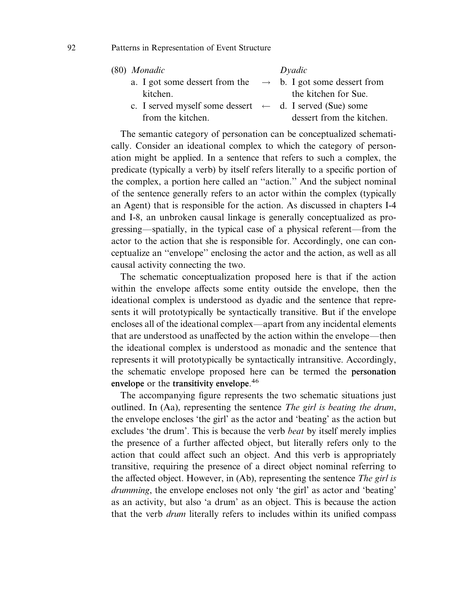| (80) Monadic |                                                                         |  | Dyadic                    |  |  |
|--------------|-------------------------------------------------------------------------|--|---------------------------|--|--|
|              | a. I got some dessert from the $\rightarrow$ b. I got some dessert from |  |                           |  |  |
|              | kitchen.                                                                |  | the kitchen for Sue.      |  |  |
|              | c. I served myself some dessert $\leftarrow$ d. I served (Sue) some     |  |                           |  |  |
|              | from the kitchen.                                                       |  | dessert from the kitchen. |  |  |
|              |                                                                         |  |                           |  |  |

The semantic category of personation can be conceptualized schematically. Consider an ideational complex to which the category of personation might be applied. In a sentence that refers to such a complex, the predicate (typically a verb) by itself refers literally to a specific portion of the complex, a portion here called an "action." And the subject nominal of the sentence generally refers to an actor within the complex (typically an Agent) that is responsible for the action. As discussed in chapters I-4 and I-8, an unbroken causal linkage is generally conceptualized as progressing—spatially, in the typical case of a physical referent—from the actor to the action that she is responsible for. Accordingly, one can conceptualize an ``envelope'' enclosing the actor and the action, as well as all causal activity connecting the two.

The schematic conceptualization proposed here is that if the action within the envelope affects some entity outside the envelope, then the ideational complex is understood as dyadic and the sentence that represents it will prototypically be syntactically transitive. But if the envelope encloses all of the ideational complex—apart from any incidental elements that are understood as unaffected by the action within the envelope—then the ideational complex is understood as monadic and the sentence that represents it will prototypically be syntactically intransitive. Accordingly, the schematic envelope proposed here can be termed the personation envelope or the transitivity envelope.<sup>46</sup>

The accompanying figure represents the two schematic situations just outlined. In (Aa), representing the sentence The girl is beating the drum, the envelope encloses 'the girl' as the actor and 'beating' as the action but excludes 'the drum'. This is because the verb *beat* by itself merely implies the presence of a further affected object, but literally refers only to the action that could affect such an object. And this verb is appropriately transitive, requiring the presence of a direct object nominal referring to the affected object. However, in  $(Ab)$ , representing the sentence The girl is drumming, the envelope encloses not only 'the girl' as actor and 'beating' as an activity, but also `a drum' as an object. This is because the action that the verb drum literally refers to includes within its unified compass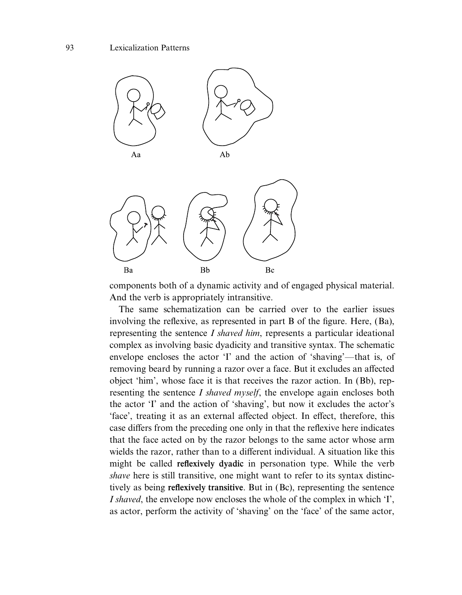

components both of a dynamic activity and of engaged physical material. And the verb is appropriately intransitive.

The same schematization can be carried over to the earlier issues involving the reflexive, as represented in part  $B$  of the figure. Here,  $(Ba)$ , representing the sentence I shaved him, represents a particular ideational complex as involving basic dyadicity and transitive syntax. The schematic envelope encloses the actor 'I' and the action of 'shaving'—that is, of removing beard by running a razor over a face. But it excludes an affected object `him', whose face it is that receives the razor action. In (Bb), representing the sentence I shaved myself, the envelope again encloses both the actor `I' and the action of `shaving', but now it excludes the actor's 'face', treating it as an external affected object. In effect, therefore, this case differs from the preceding one only in that the reflexive here indicates that the face acted on by the razor belongs to the same actor whose arm wields the razor, rather than to a different individual. A situation like this might be called reflexively dyadic in personation type. While the verb shave here is still transitive, one might want to refer to its syntax distinctively as being reflexively transitive. But in (Bc), representing the sentence I shaved, the envelope now encloses the whole of the complex in which `I', as actor, perform the activity of `shaving' on the `face' of the same actor,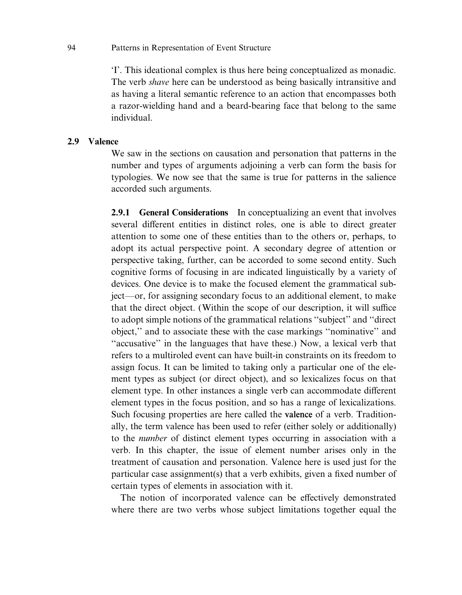`I'. This ideational complex is thus here being conceptualized as monadic. The verb shave here can be understood as being basically intransitive and as having a literal semantic reference to an action that encompasses both a razor-wielding hand and a beard-bearing face that belong to the same individual.

#### 2.9 Valence

We saw in the sections on causation and personation that patterns in the number and types of arguments adjoining a verb can form the basis for typologies. We now see that the same is true for patterns in the salience accorded such arguments.

2.9.1 General Considerations In conceptualizing an event that involves several different entities in distinct roles, one is able to direct greater attention to some one of these entities than to the others or, perhaps, to adopt its actual perspective point. A secondary degree of attention or perspective taking, further, can be accorded to some second entity. Such cognitive forms of focusing in are indicated linguistically by a variety of devices. One device is to make the focused element the grammatical subject—or, for assigning secondary focus to an additional element, to make that the direct object. (Within the scope of our description, it will suffice to adopt simple notions of the grammatical relations ``subject'' and ``direct object,'' and to associate these with the case markings ``nominative'' and ``accusative'' in the languages that have these.) Now, a lexical verb that refers to a multiroled event can have built-in constraints on its freedom to assign focus. It can be limited to taking only a particular one of the element types as subject (or direct object), and so lexicalizes focus on that element type. In other instances a single verb can accommodate different element types in the focus position, and so has a range of lexicalizations. Such focusing properties are here called the valence of a verb. Traditionally, the term valence has been used to refer (either solely or additionally) to the number of distinct element types occurring in association with a verb. In this chapter, the issue of element number arises only in the treatment of causation and personation. Valence here is used just for the particular case assignment(s) that a verb exhibits, given a fixed number of certain types of elements in association with it.

The notion of incorporated valence can be effectively demonstrated where there are two verbs whose subject limitations together equal the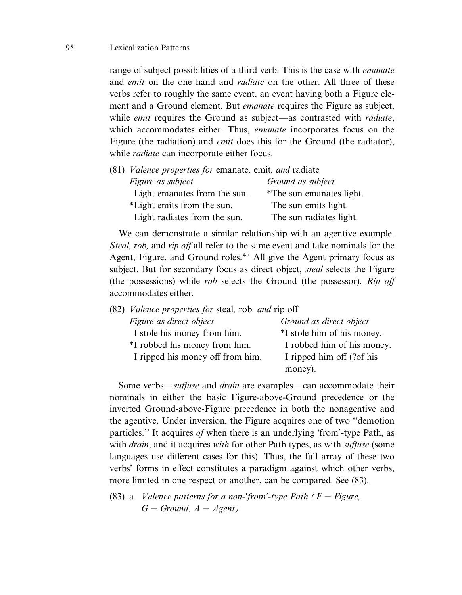## 95 Lexicalization Patterns

range of subject possibilities of a third verb. This is the case with *emanate* and *emit* on the one hand and *radiate* on the other. All three of these verbs refer to roughly the same event, an event having both a Figure element and a Ground element. But emanate requires the Figure as subject, while emit requires the Ground as subject—as contrasted with radiate, which accommodates either. Thus, *emanate* incorporates focus on the Figure (the radiation) and emit does this for the Ground (the radiator), while *radiate* can incorporate either focus.

| (81) Valence properties for emanate, emit, and radiate |                          |  |
|--------------------------------------------------------|--------------------------|--|
| Figure as subject                                      | Ground as subject        |  |
| Light emanates from the sun.                           | *The sun emanates light. |  |
| *Light emits from the sun.                             | The sun emits light.     |  |
| Light radiates from the sun.                           | The sun radiates light.  |  |

We can demonstrate a similar relationship with an agentive example. Steal, rob, and rip off all refer to the same event and take nominals for the Agent, Figure, and Ground roles.<sup>47</sup> All give the Agent primary focus as subject. But for secondary focus as direct object, *steal* selects the Figure (the possessions) while *rob* selects the Ground (the possessor). Rip off accommodates either.

 $(82)$  Valence properties for steal, rob, and rip off

| Figure as direct object          | Ground as direct object    |
|----------------------------------|----------------------------|
| I stole his money from him.      | *I stole him of his money. |
| *I robbed his money from him.    | I robbed him of his money. |
| I ripped his money off from him. | I ripped him off (?of his  |
|                                  | money).                    |

Some verbs—suffuse and drain are examples—can accommodate their nominals in either the basic Figure-above-Ground precedence or the inverted Ground-above-Figure precedence in both the nonagentive and the agentive. Under inversion, the Figure acquires one of two ``demotion particles." It acquires of when there is an underlying 'from'-type Path, as with drain, and it acquires with for other Path types, as with suffuse (some languages use different cases for this). Thus, the full array of these two verbs' forms in effect constitutes a paradigm against which other verbs, more limited in one respect or another, can be compared. See (83).

(83) a. *Valence patterns for a non-'from'-type Path (* $F = Figure$ *,*  $G = Ground, A = Agent)$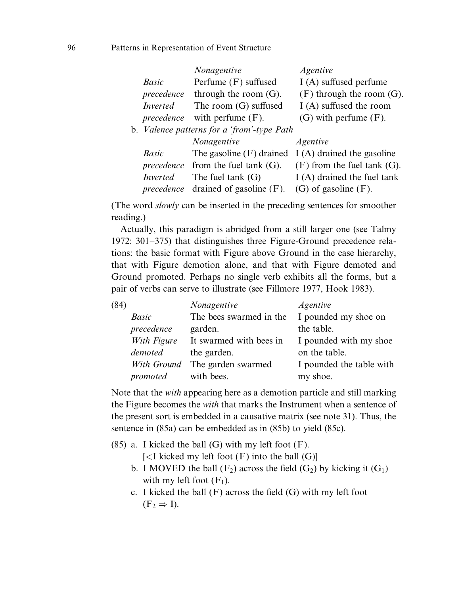|                 | Nonagentive                                | <i>Agentive</i>                  |
|-----------------|--------------------------------------------|----------------------------------|
| Basic           | Perfume (F) suffused                       | I (A) suffused perfume           |
| precedence      | through the room $(G)$ .                   | $(F)$ through the room $(G)$ .   |
| <i>Inverted</i> | The room $(G)$ suffused                    | I (A) suffused the room          |
| precedence      | with perfume $(F)$ .                       | $(G)$ with perfume $(F)$ .       |
|                 | b. Valence patterns for a 'from'-type Path |                                  |
|                 | Nonagentive                                | <i>Agentive</i>                  |
| Basic           | The gasoline $(F)$ drained                 | $I(A)$ drained the gasoline      |
|                 | <i>precedence</i> from the fuel tank (G).  | $(F)$ from the fuel tank $(G)$ . |
| <i>Inverted</i> | The fuel tank $(G)$                        | I (A) drained the fuel tank      |
|                 | <i>precedence</i> drained of gasoline (F). | $(G)$ of gasoline $(F)$ .        |

(The word slowly can be inserted in the preceding sentences for smoother reading.)

Actually, this paradigm is abridged from a still larger one (see Talmy 1972: 301–375) that distinguishes three Figure-Ground precedence relations: the basic format with Figure above Ground in the case hierarchy, that with Figure demotion alone, and that with Figure demoted and Ground promoted. Perhaps no single verb exhibits all the forms, but a pair of verbs can serve to illustrate (see Fillmore 1977, Hook 1983).

| (84) |              | Nonagentive                    | Agentive                 |
|------|--------------|--------------------------------|--------------------------|
|      | <b>Basic</b> | The bees swarmed in the        | I pounded my shoe on     |
|      | precedence   | garden.                        | the table.               |
|      | With Figure  | It swarmed with bees in        | I pounded with my shoe   |
|      | demoted      | the garden.                    | on the table.            |
|      |              | With Ground The garden swarmed | I pounded the table with |
|      | promoted     | with bees.                     | my shoe.                 |

Note that the with appearing here as a demotion particle and still marking the Figure becomes the with that marks the Instrument when a sentence of the present sort is embedded in a causative matrix (see note 31). Thus, the sentence in (85a) can be embedded as in (85b) to yield (85c).

 $(85)$  a. I kicked the ball  $(G)$  with my left foot  $(F)$ .

 $\ll$ I kicked my left foot  $(F)$  into the ball  $(G)$ ]

- b. I MOVED the ball  $(F_2)$  across the field  $(G_2)$  by kicking it  $(G_1)$ with my left foot  $(F_1)$ .
- c. I kicked the ball  $(F)$  across the field  $(G)$  with my left foot  $(F_2 \Rightarrow I).$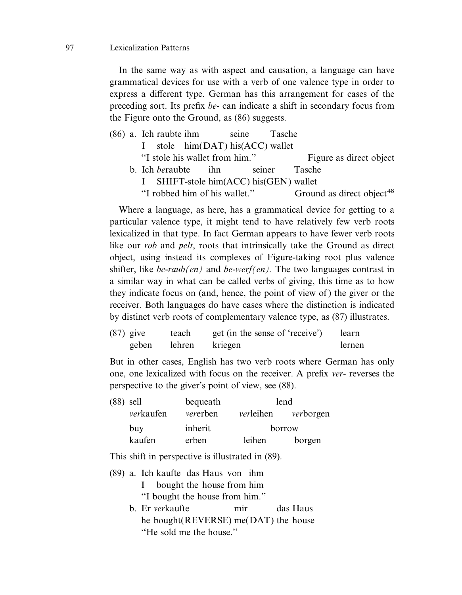#### 97 Lexicalization Patterns

In the same way as with aspect and causation, a language can have grammatical devices for use with a verb of one valence type in order to express a different type. German has this arrangement for cases of the preceding sort. Its prefix be- can indicate a shift in secondary focus from the Figure onto the Ground, as (86) suggests.

| stole $\lim(DAT)$ his $(ACC)$ wallet<br>"I stole his wallet from him."<br>Figure as direct object |  |
|---------------------------------------------------------------------------------------------------|--|
|                                                                                                   |  |
|                                                                                                   |  |
| b. Ich <i>beraubte</i><br>seiner<br>Tasche<br>ihn                                                 |  |
| I SHIFT-stole him(ACC) his(GEN) wallet                                                            |  |
| Ground as direct object <sup>48</sup><br>"I robbed him of his wallet."                            |  |

Where a language, as here, has a grammatical device for getting to a particular valence type, it might tend to have relatively few verb roots lexicalized in that type. In fact German appears to have fewer verb roots like our *rob* and *pelt*, roots that intrinsically take the Ground as direct object, using instead its complexes of Figure-taking root plus valence shifter, like be-raub(en) and be-werf(en). The two languages contrast in a similar way in what can be called verbs of giving, this time as to how they indicate focus on (and, hence, the point of view of ) the giver or the receiver. Both languages do have cases where the distinction is indicated by distinct verb roots of complementary valence type, as (87) illustrates.

| $(87)$ give | teach  | get (in the sense of 'receive') | learn  |
|-------------|--------|---------------------------------|--------|
| geben       | lehren | kriegen                         | lernen |

But in other cases, English has two verb roots where German has only one, one lexicalized with focus on the receiver. A prefix ver- reverses the perspective to the giver's point of view, see (88).

| $(88)$ sell |                  | bequeath | lend      |           |
|-------------|------------------|----------|-----------|-----------|
|             | <i>verkaufen</i> | vererben | verleihen | verborgen |
|             | buy              | inherit  | borrow    |           |
|             | kaufen           | erben    | leihen    | borgen    |

This shift in perspective is illustrated in (89).

- (89) a. Ich kaufte das Haus von ihm I bought the house from him ``I bought the house from him.''
	- b. Er verkaufte he bought(REVERSE) me(DAT) the house mir das Haus ``He sold me the house.''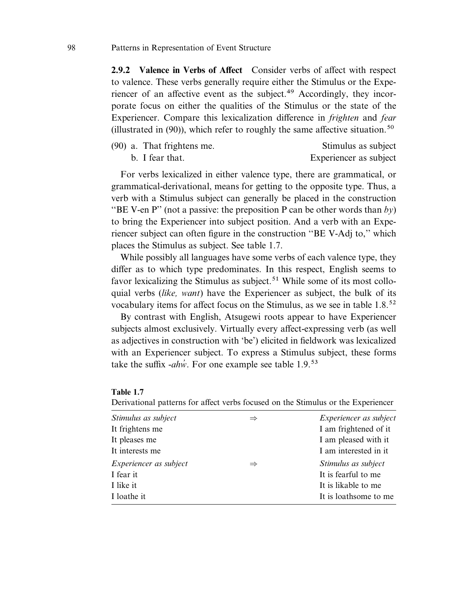98

2.9.2 Valence in Verbs of Affect Consider verbs of affect with respect to valence. These verbs generally require either the Stimulus or the Experiencer of an affective event as the subject.<sup>49</sup> Accordingly, they incorporate focus on either the qualities of the Stimulus or the state of the Experiencer. Compare this lexicalization difference in *frighten* and *fear* (illustrated in  $(90)$ ), which refer to roughly the same affective situation.<sup>50</sup>

| (90) a. That frightens me. | Stimulus as subject    |
|----------------------------|------------------------|
| b. I fear that.            | Experiencer as subject |

For verbs lexicalized in either valence type, there are grammatical, or grammatical-derivational, means for getting to the opposite type. Thus, a verb with a Stimulus subject can generally be placed in the construction "BE V-en P" (not a passive: the preposition P can be other words than  $by$ ) to bring the Experiencer into subject position. And a verb with an Experiencer subject can often figure in the construction "BE V-Adj to," which places the Stimulus as subject. See table 1.7.

While possibly all languages have some verbs of each valence type, they differ as to which type predominates. In this respect, English seems to favor lexicalizing the Stimulus as subject.<sup>51</sup> While some of its most colloquial verbs *(like, want)* have the Experiencer as subject, the bulk of its vocabulary items for affect focus on the Stimulus, as we see in table 1.8.<sup>52</sup>

By contrast with English, Atsugewi roots appear to have Experiencer subjects almost exclusively. Virtually every affect-expressing verb (as well as adjectives in construction with 'be') elicited in fieldwork was lexicalized with an Experiencer subject. To express a Stimulus subject, these forms take the suffix  $-ahw$ . For one example see table 1.9.<sup>53</sup>

#### Table 1.7

Derivational patterns for affect verbs focused on the Stimulus or the Experiencer

| $\Rightarrow$ | Experiencer as subject |
|---------------|------------------------|
|               | I am frightened of it  |
|               | I am pleased with it   |
|               | I am interested in it. |
| $\Rightarrow$ | Stimulus as subject    |
|               | It is fearful to me    |
|               | It is likable to me    |
|               | It is loathsome to me  |
|               |                        |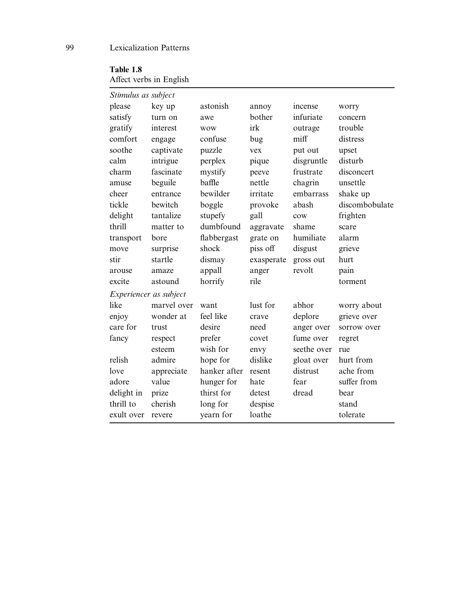99 Lexicalization Patterns

| Table 1.8 |  |                         |
|-----------|--|-------------------------|
|           |  | Affect verbs in English |

| Stimulus as subject    |             |              |            |             |                |
|------------------------|-------------|--------------|------------|-------------|----------------|
| please                 | key up      | astonish     | annoy      | incense     | worry          |
| satisfy                | turn on     | awe          | bother     | infuriate   | concern        |
| gratify                | interest    | <b>WOW</b>   | irk        | outrage     | trouble        |
| comfort                | engage      | confuse      | bug        | miff        | distress       |
| soothe                 | captivate   | puzzle       | vex        | put out     | upset          |
| calm                   | intrigue    | perplex      | pique      | disgruntle  | disturb        |
| charm                  | fascinate   | mystify      | peeve      | frustrate   | disconcert     |
| amuse                  | beguile     | baffle       | nettle     | chagrin     | unsettle       |
| cheer                  | entrance    | bewilder     | irritate   | embarrass   | shake up       |
| tickle                 | bewitch     | boggle       | provoke    | abash       | discombobulate |
| delight                | tantalize   | stupefy      | gall       | cow         | frighten       |
| thrill                 | matter to   | dumbfound    | aggravate  | shame       | scare          |
| transport              | bore        | flabbergast  | grate on   | humiliate   | alarm          |
| move                   | surprise    | shock        | piss off   | disgust     | grieve         |
| stir                   | startle     | dismay       | exasperate | gross out   | hurt           |
| arouse                 | amaze       | appall       | anger      | revolt      | pain           |
| excite                 | astound     | horrify      | rile       |             | torment        |
| Experiencer as subject |             |              |            |             |                |
| like                   | marvel over | want         | lust for   | abhor       | worry about    |
| enjoy                  | wonder at   | feel like    | crave      | deplore     | grieve over    |
| care for               | trust       | desire       | need       | anger over  | sorrow over    |
| fancy                  | respect     | prefer       | covet      | fume over   | regret         |
|                        | esteem      | wish for     | envy       | seethe over | rue            |
| relish                 | admire      | hope for     | dislike    | gloat over  | hurt from      |
| love                   | appreciate  | hanker after | resent     | distrust    | ache from      |
| adore                  | value       | hunger for   | hate       | fear        | suffer from    |
| delight in             | prize       | thirst for   | detest     | dread       | bear           |
| thrill to              | cherish     | long for     | despise    |             | stand          |
| exult over             | revere      | yearn for    | loathe     |             | tolerate       |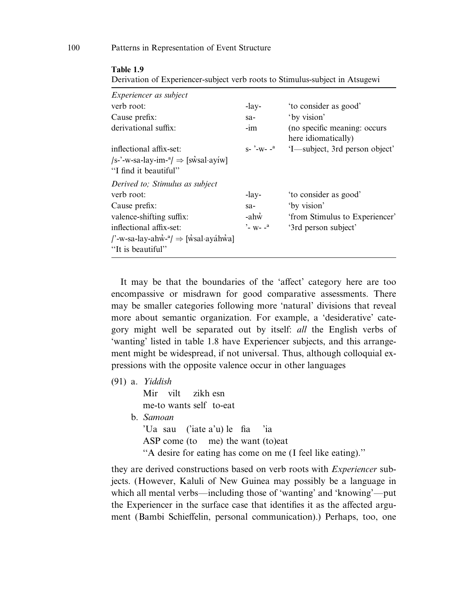#### Table 1.9

Derivation of Experiencer-subject verb roots to Stimulus-subject in Atsugewi

| Experiencer as subject                                                                      |                                   |                                                     |
|---------------------------------------------------------------------------------------------|-----------------------------------|-----------------------------------------------------|
| verb root:                                                                                  | -lay-                             | 'to consider as good'                               |
| Cause prefix:                                                                               | sa-                               | 'by vision'                                         |
| derivational suffix:                                                                        | $-im$                             | (no specific meaning: occurs<br>here idiomatically) |
| inflectional affix-set:                                                                     | $S \,^{-1}$ – W – $\,^{-a}$       | 'I—subject, 3rd person object'                      |
| $\sqrt{s}$ -'-w-sa-lay-im- <sup>a</sup> $\rightarrow$ [swsal ayiw]<br>"I find it beautiful" |                                   |                                                     |
| Derived to; Stimulus as subject                                                             |                                   |                                                     |
| verb root:                                                                                  | -lay-                             | 'to consider as good'                               |
| Cause prefix:                                                                               | sa-                               | "by vision"                                         |
| valence-shifting suffix:                                                                    | -ahw                              | 'from Stimulus to Experiencer'                      |
| inflectional affix-set:                                                                     | $\frac{1}{x}$ W- $-$ <sup>a</sup> | '3rd person subject'                                |
| /'-w-sa-lay-ahw- $a$ / $\Rightarrow$ [wsal ayáhwa]                                          |                                   |                                                     |
| "It is beautiful"                                                                           |                                   |                                                     |

It may be that the boundaries of the 'affect' category here are too encompassive or misdrawn for good comparative assessments. There may be smaller categories following more 'natural' divisions that reveal more about semantic organization. For example, a 'desiderative' category might well be separated out by itself: all the English verbs of 'wanting' listed in table 1.8 have Experiencer subjects, and this arrangement might be widespread, if not universal. Thus, although colloquial expressions with the opposite valence occur in other languages

 $(91)$  a. Yiddish

Mir vilt zikh esn me-to wants self to-eat b. Samoan 'Ua sau ('iate a'u) le fia 'ia ASP come (to  $me$ ) the want (to)eat "A desire for eating has come on me (I feel like eating)."

they are derived constructions based on verb roots with Experiencer subjects. (However, Kaluli of New Guinea may possibly be a language in which all mental verbs—including those of 'wanting' and 'knowing'—put the Experiencer in the surface case that identifies it as the affected argument (Bambi Schieffelin, personal communication).) Perhaps, too, one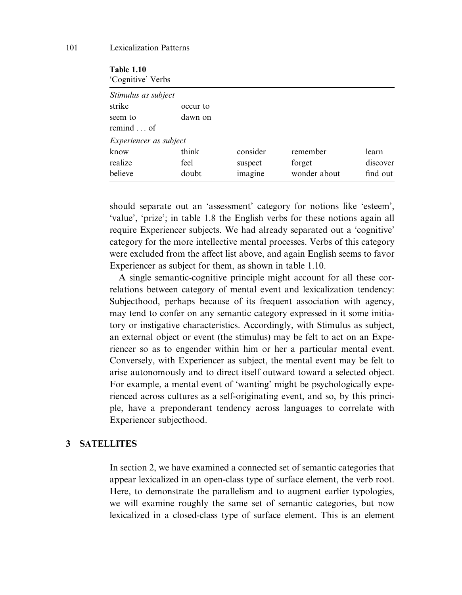| 1 AVIC 1.1V<br>'Cognitive' Verbs                               |                     |          |              |          |  |
|----------------------------------------------------------------|---------------------|----------|--------------|----------|--|
| Stimulus as subject<br>strike<br>seem to<br>remind $\ldots$ of | occur to<br>dawn on |          |              |          |  |
| Experiencer as subject                                         |                     |          |              |          |  |
| know                                                           | think               | consider | remember     | learn    |  |
| realize                                                        | feel                | suspect  | forget       | discover |  |
| believe                                                        | doubt               | imagine  | wonder about | find out |  |

should separate out an `assessment' category for notions like `esteem', `value', `prize'; in table 1.8 the English verbs for these notions again all require Experiencer subjects. We had already separated out a 'cognitive' category for the more intellective mental processes. Verbs of this category were excluded from the affect list above, and again English seems to favor Experiencer as subject for them, as shown in table 1.10.

A single semantic-cognitive principle might account for all these correlations between category of mental event and lexicalization tendency: Subjecthood, perhaps because of its frequent association with agency, may tend to confer on any semantic category expressed in it some initiatory or instigative characteristics. Accordingly, with Stimulus as subject, an external object or event (the stimulus) may be felt to act on an Experiencer so as to engender within him or her a particular mental event. Conversely, with Experiencer as subject, the mental event may be felt to arise autonomously and to direct itself outward toward a selected object. For example, a mental event of 'wanting' might be psychologically experienced across cultures as a self-originating event, and so, by this principle, have a preponderant tendency across languages to correlate with Experiencer subjecthood.

# 3 SATELLITES

In section 2, we have examined a connected set of semantic categories that appear lexicalized in an open-class type of surface element, the verb root. Here, to demonstrate the parallelism and to augment earlier typologies, we will examine roughly the same set of semantic categories, but now lexicalized in a closed-class type of surface element. This is an element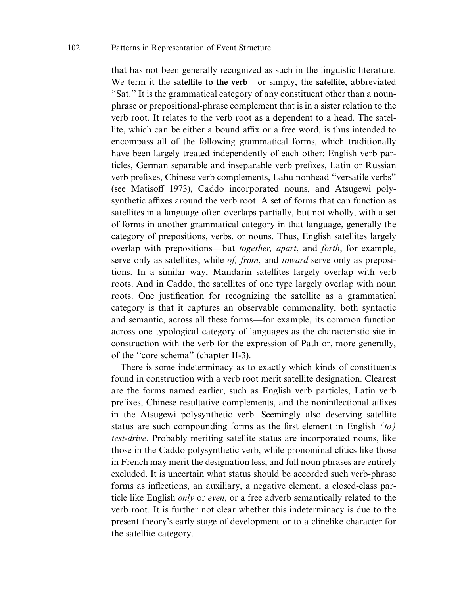that has not been generally recognized as such in the linguistic literature. We term it the satellite to the verb—or simply, the satellite, abbreviated ``Sat.'' It is the grammatical category of any constituent other than a nounphrase or prepositional-phrase complement that is in a sister relation to the verb root. It relates to the verb root as a dependent to a head. The satellite, which can be either a bound affix or a free word, is thus intended to encompass all of the following grammatical forms, which traditionally have been largely treated independently of each other: English verb particles, German separable and inseparable verb prefixes, Latin or Russian verb prefixes, Chinese verb complements, Lahu nonhead "versatile verbs" (see Matisoff 1973), Caddo incorporated nouns, and Atsugewi polysynthetic affixes around the verb root. A set of forms that can function as satellites in a language often overlaps partially, but not wholly, with a set of forms in another grammatical category in that language, generally the category of prepositions, verbs, or nouns. Thus, English satellites largely overlap with prepositions—but together, apart, and forth, for example, serve only as satellites, while *of, from*, and *toward* serve only as prepositions. In a similar way, Mandarin satellites largely overlap with verb roots. And in Caddo, the satellites of one type largely overlap with noun roots. One justification for recognizing the satellite as a grammatical category is that it captures an observable commonality, both syntactic and semantic, across all these forms—for example, its common function across one typological category of languages as the characteristic site in construction with the verb for the expression of Path or, more generally, of the "core schema" (chapter II-3).

There is some indeterminacy as to exactly which kinds of constituents found in construction with a verb root merit satellite designation. Clearest are the forms named earlier, such as English verb particles, Latin verb prefixes, Chinese resultative complements, and the noninflectional affixes in the Atsugewi polysynthetic verb. Seemingly also deserving satellite status are such compounding forms as the first element in English  $(to)$ test-drive. Probably meriting satellite status are incorporated nouns, like those in the Caddo polysynthetic verb, while pronominal clitics like those in French may merit the designation less, and full noun phrases are entirely excluded. It is uncertain what status should be accorded such verb-phrase forms as inflections, an auxiliary, a negative element, a closed-class particle like English only or even, or a free adverb semantically related to the verb root. It is further not clear whether this indeterminacy is due to the present theory's early stage of development or to a clinelike character for the satellite category.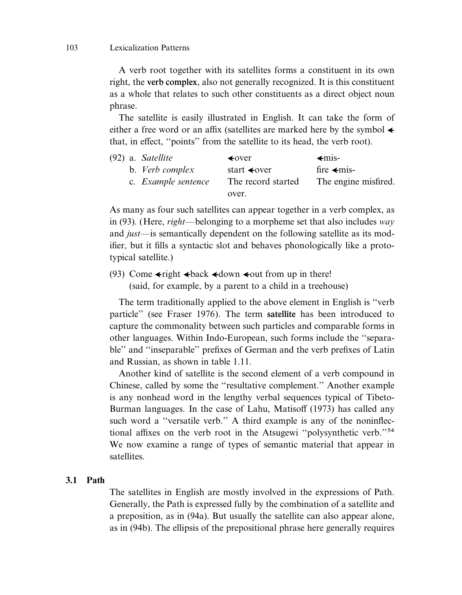A verb root together with its satellites forms a constituent in its own right, the verb complex, also not generally recognized. It is this constituent as a whole that relates to such other constituents as a direct object noun phrase.

The satellite is easily illustrated in English. It can take the form of either a free word or an affix (satellites are marked here by the symbol  $\triangleleft$ that, in effect, "points" from the satellite to its head, the verb root).

|  | (92) a. Satellite          | $\leftrightarrow$ over | $\blacktriangleleft$ mis-      |
|--|----------------------------|------------------------|--------------------------------|
|  | b. <i>Verb complex</i>     | start $\triangle$ over | fire $\blacktriangleleft$ mis- |
|  | c. <i>Example sentence</i> | The record started     | The engine misfired.           |
|  |                            | over.                  |                                |

As many as four such satellites can appear together in a verb complex, as in (93). (Here, *right*—belonging to a morpheme set that also includes *way* and just—is semantically dependent on the following satellite as its modifier, but it fills a syntactic slot and behaves phonologically like a prototypical satellite.)

(93) Come  $\triangleleft$  right  $\triangleleft$  back  $\triangleleft$  down  $\triangleleft$  out from up in there! (said, for example, by a parent to a child in a treehouse)

The term traditionally applied to the above element in English is "verb" particle'' (see Fraser 1976). The term satellite has been introduced to capture the commonality between such particles and comparable forms in other languages. Within Indo-European, such forms include the ``separable" and "inseparable" prefixes of German and the verb prefixes of Latin and Russian, as shown in table 1.11.

Another kind of satellite is the second element of a verb compound in Chinese, called by some the "resultative complement." Another example is any nonhead word in the lengthy verbal sequences typical of Tibeto-Burman languages. In the case of Lahu, Matisoff (1973) has called any such word a "versatile verb." A third example is any of the noninflectional affixes on the verb root in the Atsugewi "polysynthetic verb."<sup>54</sup> We now examine a range of types of semantic material that appear in satellites.

## 3.1 Path

The satellites in English are mostly involved in the expressions of Path. Generally, the Path is expressed fully by the combination of a satellite and a preposition, as in (94a). But usually the satellite can also appear alone, as in (94b). The ellipsis of the prepositional phrase here generally requires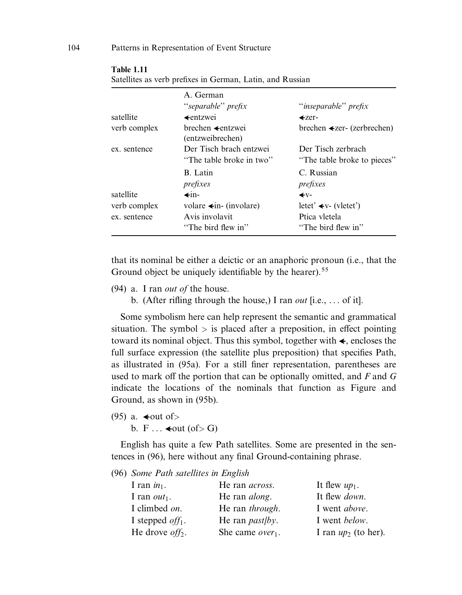|              | A. German                                    |                                        |
|--------------|----------------------------------------------|----------------------------------------|
|              | "separable" prefix                           | "inseparable" prefix                   |
| satellite    | <del>∢</del> entzwei                         | $\triangle$ zer-                       |
| verb complex | brechen <b>∢</b> entzwei<br>(entzweibrechen) | brechen $\leftarrow$ zer- (zerbrechen) |
| ex. sentence | Der Tisch brach entzwei                      | Der Tisch zerbrach                     |
|              | "The table broke in two"                     | "The table broke to pieces"            |
|              | <b>B.</b> Latin                              | C. Russian                             |
|              | prefixes                                     | prefixes                               |
| satellite    | $\div$ in-                                   | $\leftarrow$ v-                        |
| verb complex | volare $\triangleleft$ in- (involare)        | letet' $\leftarrow$ v- (vletet')       |
| ex. sentence | Avis involavit                               | Ptica vletela                          |
|              | "The bird flew in"                           | "The bird flew in"                     |

#### Table 1.11

Satellites as verb prefixes in German, Latin, and Russian

that its nominal be either a deictic or an anaphoric pronoun (i.e., that the Ground object be uniquely identifiable by the hearer).<sup>55</sup>

- (94) a. I ran out of the house.
	- b. (After rifling through the house,) I ran *out* [i.e., ... of it].

Some symbolism here can help represent the semantic and grammatical situation. The symbol  $>$  is placed after a preposition, in effect pointing toward its nominal object. Thus this symbol, together with  $\triangle$ , encloses the full surface expression (the satellite plus preposition) that specifies Path, as illustrated in (95a). For a still finer representation, parentheses are used to mark off the portion that can be optionally omitted, and  $F$  and  $G$ indicate the locations of the nominals that function as Figure and Ground, as shown in (95b).

(95) a.  $\triangleleft$ out of>

b.  $F \dots \triangleleft out (of > G)$ 

English has quite a few Path satellites. Some are presented in the sentences in (96), here without any final Ground-containing phrase.

(96) Some Path satellites in English

| I ran $in_1$ .                      | He ran <i>across</i> .              | It flew $up_1$ .       |
|-------------------------------------|-------------------------------------|------------------------|
| I ran <i>out</i> <sub>1</sub> .     | He ran <i>along</i> .               | It flew <i>down</i> .  |
| I climbed on.                       | He ran <i>through</i> .             | I went <i>above</i> .  |
| I stepped <i>off</i> <sub>1</sub> . | He ran $past/by$ .                  | I went <i>below</i> .  |
| He drove $off_2$ .                  | She came <i>over</i> <sub>1</sub> . | I ran $up_2$ (to her). |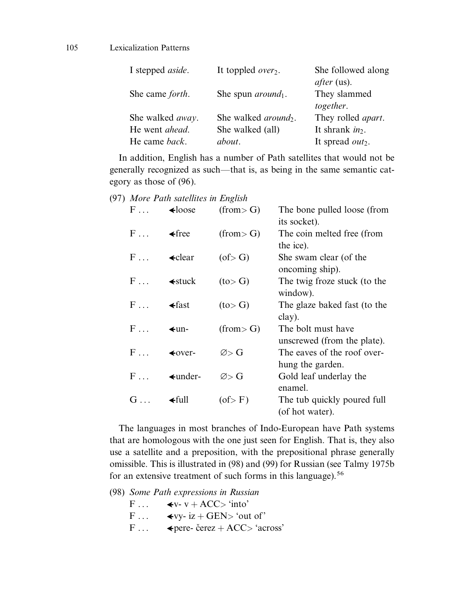| I stepped <i>aside</i> . | It toppled <i>over</i> <sub>2</sub> . | She followed along         |
|--------------------------|---------------------------------------|----------------------------|
|                          |                                       | <i>after</i> (us).         |
| She came <i>forth</i> .  | She spun <i>around</i> <sup>1</sup> . | They slammed               |
|                          |                                       | together.                  |
| She walked away.         | She walked <i>around</i> .            | They rolled <i>apart</i> . |
| He went <i>ahead</i> .   | She walked (all)                      | It shrank $in_2$ .         |
| He came <i>back</i> .    | about.                                | It spread $out_2$ .        |

In addition, English has a number of Path satellites that would not be generally recognized as such—that is, as being in the same semantic category as those of (96).

|                               | (97) More Path satellites in English                      |                   |                                                   |
|-------------------------------|-----------------------------------------------------------|-------------------|---------------------------------------------------|
|                               | $F \dots$ $\triangleleft$ loose (from $\triangleright$ G) |                   | The bone pulled loose (from<br>its socket).       |
| $F \dots$ $\leftarrow$ free   |                                                           | (from>G)          | The coin melted free (from<br>the ice).           |
| $F \dots$ $\leftarrow$ clear  |                                                           | (of>G)            | She swam clear (of the<br>oncoming ship).         |
| $F \dots$ $\leftarrow$ stuck  |                                                           | (to>G)            | The twig froze stuck (to the<br>window).          |
| $F \dots \quad \text{#fast}$  |                                                           | (to>G)            | The glaze baked fast (to the<br>clay).            |
| $F \dots$ $\leftarrow$ un-    |                                                           | (from>G)          | The bolt must have<br>unscrewed (from the plate). |
| $F \dots$ $\leftarrow$ over-  |                                                           | $\varnothing$ > G | The eaves of the roof over-<br>hung the garden.   |
| $F \dots$ $\leftarrow$ under- |                                                           | $\varnothing$ G   | Gold leaf underlay the<br>enamel.                 |
| $G \ldots$ $\leftarrow$ full  |                                                           | (of > F)          | The tub quickly poured full<br>(of hot water).    |

The languages in most branches of Indo-European have Path systems that are homologous with the one just seen for English. That is, they also use a satellite and a preposition, with the prepositional phrase generally omissible. This is illustrated in (98) and (99) for Russian (see Talmy 1975b for an extensive treatment of such forms in this language).<sup>56</sup>

(98) Some Path expressions in Russian

- F...  $\leftarrow v v + ACC > \text{`into'}$ <br>F...  $\leftarrow v iz + GEN > \text{`out}$
- $\leftarrow$ vy- iz + GEN> 'out of'
- F...  $\leftarrow$  Pere- c̆erez + ACC> 'across'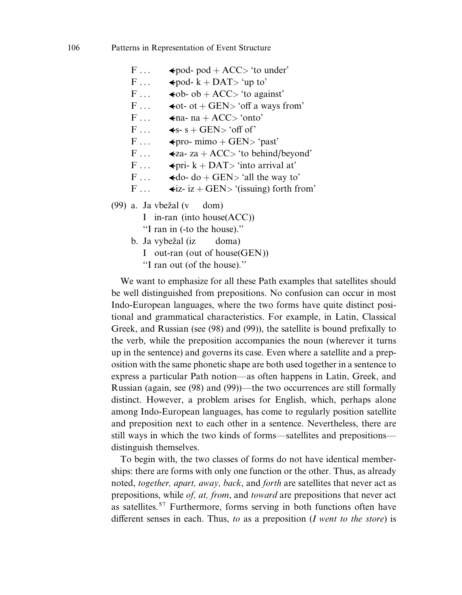- F...  $\leftarrow$  pod- pod + ACC> 'to under'<br>F...  $\leftarrow$  nod- k + DAT> 'up to'
- F...  $\leftarrow$  pod- k + DAT> 'up to'<br>F  $\leftarrow$  ob- ob + ACC> 'to aga
- F...  $\leftarrow \text{ob- ob} + \text{ACC} > \text{ to against'}$ <br>F...  $\leftarrow \text{ot- ot} + \text{GEN} > \text{ of a ways f}$
- F...  $\leftarrow$  ot- ot + GEN> 'off a ways from'<br>F...  $\leftarrow$  ana- na + ACC> 'onto'
- F...  $\leftarrow$ na- na + ACC> 'onto'<br>F...  $\leftarrow$ s- s + GEN> 'off of'
- F...  $\leftarrow s s + GEN > 'off \text{ of'}$ <br>F...  $\leftarrow \text{ prop- min} + GEN >$
- F...  $\leftarrow$  pro- mimo + GEN> 'past'<br>F...  $\leftarrow$  za- za + ACC> 'to behind
- F...  $\leftarrow$  za za + ACC> 'to behind/beyond'<br>F...  $\leftarrow$  pri- k + DAT> 'into arrival at'
- F...  $\leftarrow$  pri- k + DAT> 'into arrival at'<br>F...  $\leftarrow$  do- do + GEN> 'all the way to
- F...  $\triangleleft$ do- do + GEN> 'all the way to'<br>F...  $\triangleleft$ iz- iz + GEN> '(issuing) forth free
	- $\triangleleft$ iz- iz + GEN> '(issuing) forth from'
- (99) a. Ja vbežal (v dom)
	- I in-ran (into house(ACC))
	- ``I ran in (-to the house).''
	- b. Ja vybežal (iz doma)
		- I out-ran (out of house(GEN ))
		- ``I ran out (of the house).''

We want to emphasize for all these Path examples that satellites should be well distinguished from prepositions. No confusion can occur in most Indo-European languages, where the two forms have quite distinct positional and grammatical characteristics. For example, in Latin, Classical Greek, and Russian (see  $(98)$  and  $(99)$ ), the satellite is bound prefixally to the verb, while the preposition accompanies the noun (wherever it turns up in the sentence) and governs its case. Even where a satellite and a preposition with the same phonetic shape are both used together in a sentence to express a particular Path notion—as often happens in Latin, Greek, and Russian (again, see  $(98)$  and  $(99)$ )—the two occurrences are still formally distinct. However, a problem arises for English, which, perhaps alone among Indo-European languages, has come to regularly position satellite and preposition next to each other in a sentence. Nevertheless, there are still ways in which the two kinds of forms—satellites and prepositions distinguish themselves.

To begin with, the two classes of forms do not have identical memberships: there are forms with only one function or the other. Thus, as already noted, together, apart, away, back, and forth are satellites that never act as prepositions, while of, at, from, and toward are prepositions that never act as satellites.57 Furthermore, forms serving in both functions often have different senses in each. Thus, to as a preposition (I went to the store) is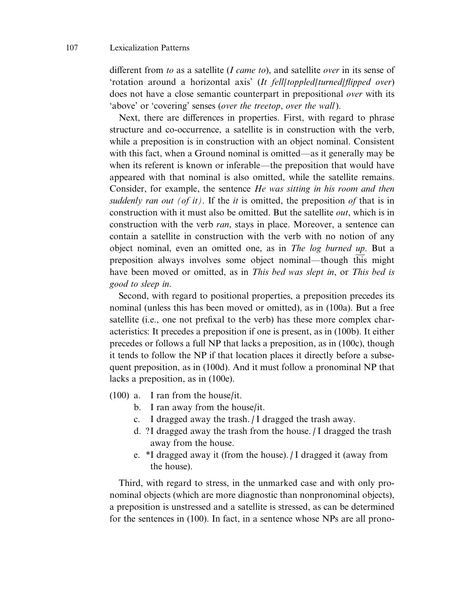different from to as a satellite ( $I$  came to), and satellite over in its sense of 'rotation around a horizontal axis' (It fell/toppled/turned/flipped over) does not have a close semantic counterpart in prepositional over with its 'above' or 'covering' senses (over the treetop, over the wall).

Next, there are differences in properties. First, with regard to phrase structure and co-occurrence, a satellite is in construction with the verb, while a preposition is in construction with an object nominal. Consistent with this fact, when a Ground nominal is omitted—as it generally may be when its referent is known or inferable—the preposition that would have appeared with that nominal is also omitted, while the satellite remains. Consider, for example, the sentence He was sitting in his room and then suddenly ran out (of it). If the it is omitted, the preposition of that is in construction with it must also be omitted. But the satellite out, which is in construction with the verb ran, stays in place. Moreover, a sentence can contain a satellite in construction with the verb with no notion of any object nominal, even an omitted one, as in The log burned up. But a preposition always involves some object nominal—though this might have been moved or omitted, as in This bed was slept in, or This bed is good to sleep in.

Second, with regard to positional properties, a preposition precedes its nominal (unless this has been moved or omitted), as in (100a). But a free satellite (i.e., one not prefixal to the verb) has these more complex characteristics: It precedes a preposition if one is present, as in (100b). It either precedes or follows a full NP that lacks a preposition, as in (100c), though it tends to follow the NP if that location places it directly before a subsequent preposition, as in (100d). And it must follow a pronominal NP that lacks a preposition, as in (100e).

- (100) a. I ran from the house/it.
	- b. I ran away from the house/it.
	- c. I dragged away the trash. / I dragged the trash away.
	- d. ? I dragged away the trash from the house. / I dragged the trash away from the house.
	- e. \*I dragged away it (from the house). / I dragged it (away from the house).

Third, with regard to stress, in the unmarked case and with only pronominal objects (which are more diagnostic than nonpronominal objects), a preposition is unstressed and a satellite is stressed, as can be determined for the sentences in (100). In fact, in a sentence whose NPs are all prono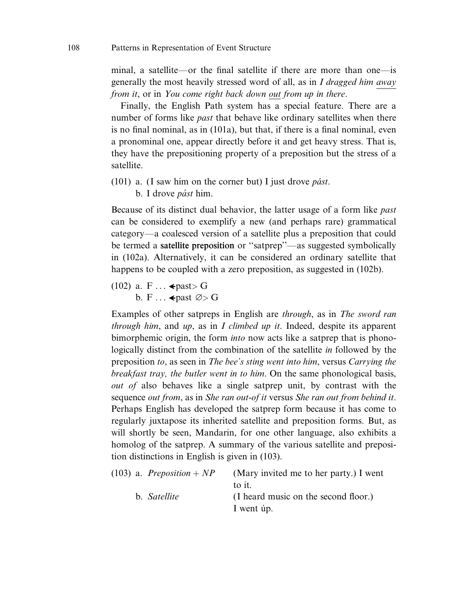minal, a satellite—or the final satellite if there are more than one—is generally the most heavily stressed word of all, as in I dragged him away from it, or in You come right back down out from up in there.

Finally, the English Path system has a special feature. There are a number of forms like *past* that behave like ordinary satellites when there is no final nominal, as in  $(101a)$ , but that, if there is a final nominal, even a pronominal one, appear directly before it and get heavy stress. That is, they have the prepositioning property of a preposition but the stress of a satellite.

- (101) a. (I saw him on the corner but) I just drove *pást*.
	- b. I drove  $p$ ást him.

Because of its distinct dual behavior, the latter usage of a form like past can be considered to exemplify a new (and perhaps rare) grammatical category—a coalesced version of a satellite plus a preposition that could be termed a **satellite preposition** or "satprep"—as suggested symbolically in (102a). Alternatively, it can be considered an ordinary satellite that happens to be coupled with a zero preposition, as suggested in (102b).

(102) a. F  $\ldots$   $\leftarrow$  past> G b. F  $\ldots$   $\Longleftrightarrow$  past  $\emptyset$  > G

Examples of other satpreps in English are through, as in The sword ran through him, and  $up$ , as in I climbed up it. Indeed, despite its apparent bimorphemic origin, the form into now acts like a satprep that is phonologically distinct from the combination of the satellite in followed by the preposition to, as seen in The bee's sting went into him, versus Carrying the breakfast tray, the butler went in to him. On the same phonological basis, out of also behaves like a single satprep unit, by contrast with the sequence *out from*, as in *She ran out-of it versus She ran out from behind it.* Perhaps English has developed the satprep form because it has come to regularly juxtapose its inherited satellite and preposition forms. But, as will shortly be seen, Mandarin, for one other language, also exhibits a homolog of the satprep. A summary of the various satellite and preposition distinctions in English is given in (103).

| (Mary invited me to her party.) I went |
|----------------------------------------|
| to it.                                 |
| (I heard music on the second floor.)   |
| I went úp.                             |
|                                        |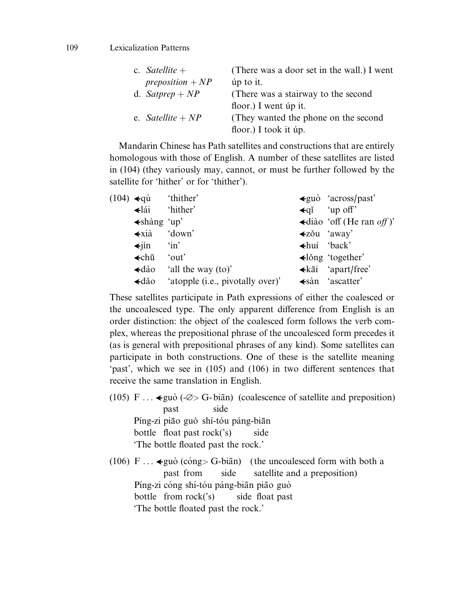| c. Satellite $+$    | (There was a door set in the wall.) I went |
|---------------------|--------------------------------------------|
| preposition $+ NP$  | $úp$ to it.                                |
| d. Satprep + $NP$   | (There was a stairway to the second        |
|                     | floor.) I went up it.                      |
| e. Satellite + $NP$ | (They wanted the phone on the second       |
|                     | floor.) I took it úp.                      |

Mandarin Chinese has Path satellites and constructions that are entirely homologous with those of English. A number of these satellites are listed in (104) (they variously may, cannot, or must be further followed by the satellite for 'hither' or for 'thither').

| $(104)$ <del>∢</del> qù    | 'thither'                        |                            | $\leftarrow$ guò 'across/past'                  |
|----------------------------|----------------------------------|----------------------------|-------------------------------------------------|
| $\triangleleft$ lái        | 'hither'                         | $\leftarrow$ ai            | $'up$ off'                                      |
| $\triangleleft$ shàng 'up' |                                  |                            | $\triangleleft$ diào 'off (He ran <i>off</i> )' |
| $\triangleleft$ xià 'down' |                                  |                            | <b>∢zou</b> 'away'                              |
| $\triangleleft$ in         | in'                              | $\triangleleft$ huí 'back' |                                                 |
| ←chū                       | 'out'                            |                            | $\triangleleft$ long 'together'                 |
| $\triangleleft$ dào        | 'all the way (to)'               |                            | $\triangleleft$ kāi 'apart/free'                |
| $\triangleleft$ dăo        | 'atopple (i.e., pivotally over)' |                            | $\triangleleft$ sàn 'ascatter'                  |

These satellites participate in Path expressions of either the coalesced or the uncoalesced type. The only apparent difference from English is an order distinction: the object of the coalesced form follows the verb complex, whereas the prepositional phrase of the uncoalesced form precedes it (as is general with prepositional phrases of any kind). Some satellites can participate in both constructions. One of these is the satellite meaning 'past', which we see in (105) and (106) in two different sentences that receive the same translation in English.

- (105) F ...  $\triangleleft$  guò ( $\odot$  G bian) (coalescence of satellite and preposition) past side Píng-zi pião guò shí-tóu páng-biān bottle float past rock('s) side 'The bottle floated past the rock.'
- (106) F ...  $\triangleleft$  guò (cóng> G-biān) (the uncoalesced form with both a past from side satellite and a preposition) Píng-zi cóng shí-tóu páng-biān pião guò bottle from rock('s) side float past 'The bottle floated past the rock.'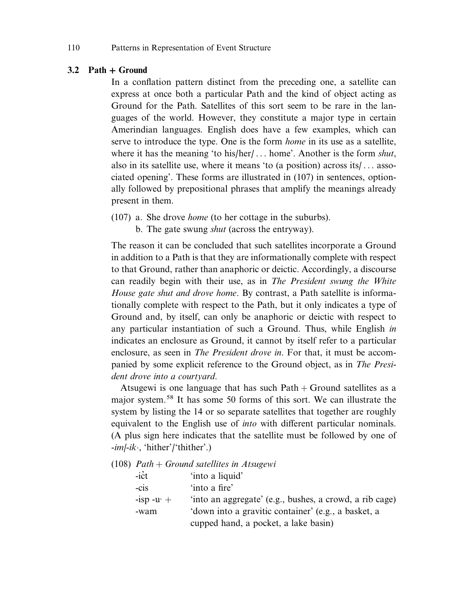## $3.2$  Path + Ground

In a conflation pattern distinct from the preceding one, a satellite can express at once both a particular Path and the kind of object acting as Ground for the Path. Satellites of this sort seem to be rare in the languages of the world. However, they constitute a major type in certain Amerindian languages. English does have a few examples, which can serve to introduce the type. One is the form home in its use as a satellite, where it has the meaning 'to his/her/  $\dots$  home'. Another is the form shut, also in its satellite use, where it means 'to (a position) across its/ $\dots$  associated opening'. These forms are illustrated in (107) in sentences, optionally followed by prepositional phrases that amplify the meanings already present in them.

(107) a. She drove home (to her cottage in the suburbs).

b. The gate swung shut (across the entryway).

The reason it can be concluded that such satellites incorporate a Ground in addition to a Path is that they are informationally complete with respect to that Ground, rather than anaphoric or deictic. Accordingly, a discourse can readily begin with their use, as in The President swung the White House gate shut and drove home. By contrast, a Path satellite is informationally complete with respect to the Path, but it only indicates a type of Ground and, by itself, can only be anaphoric or deictic with respect to any particular instantiation of such a Ground. Thus, while English in indicates an enclosure as Ground, it cannot by itself refer to a particular enclosure, as seen in The President drove in. For that, it must be accompanied by some explicit reference to the Ground object, as in The President drove into a courtyard.

Atsugewi is one language that has such  $Path + Ground$  satellites as a major system.58 It has some 50 forms of this sort. We can illustrate the system by listing the 14 or so separate satellites that together are roughly equivalent to the English use of *into* with different particular nominals. (A plus sign here indicates that the satellite must be followed by one of  $-im/-ik$ , 'hither'/'thither'.)

(108) Path  $+$  Ground satellites in Atsugewi

| -ict             | 'into a liquid'                                         |
|------------------|---------------------------------------------------------|
| -cis             | 'into a fire'                                           |
| $-$ isp $-u^2$ + | 'into an aggregate' (e.g., bushes, a crowd, a rib cage) |
| -wam             | 'down into a gravitic container' (e.g., a basket, a     |
|                  | cupped hand, a pocket, a lake basin)                    |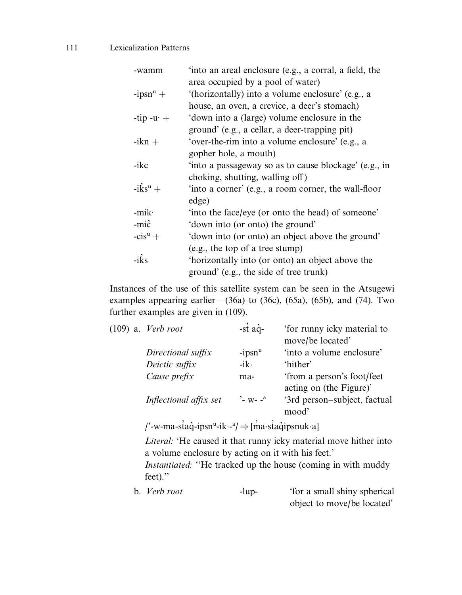| -wamm       | 'into an areal enclosure (e.g., a corral, a field, the |
|-------------|--------------------------------------------------------|
|             | area occupied by a pool of water)                      |
| $-ipsn^u +$ | '(horizontally) into a volume enclosure' (e.g., a      |
|             | house, an oven, a crevice, a deer's stomach)           |
| -tip -u $+$ | 'down into a (large) volume enclosure in the           |
|             | ground' (e.g., a cellar, a deer-trapping pit)          |
| $-ikn +$    | 'over-the-rim into a volume enclosure' (e.g., a        |
|             | gopher hole, a mouth)                                  |
| -ikc        | 'into a passageway so as to cause blockage' (e.g., in  |
|             | choking, shutting, walling off)                        |
| $-iks^u$ +  | 'into a corner' (e.g., a room corner, the wall-floor   |
|             | edge)                                                  |
| -mik·       | 'into the face/eye (or onto the head) of someone'      |
| -mic        | 'down into (or onto) the ground'                       |
| $-cis^u$ +  | 'down into (or onto) an object above the ground'       |
|             | (e.g., the top of a tree stump)                        |
| -iks        | 'horizontally into (or onto) an object above the       |
|             | ground' (e.g., the side of tree trunk)                 |

Instances of the use of this satellite system can be seen in the Atsugewi examples appearing earlier $-(36a)$  to (36c), (65a), (65b), and (74). Two further examples are given in (109).

| $(109)$ a. <i>Verb</i> root | $- \dot{st}$ a $\dot{q}$   | 'for runny icky material to  |
|-----------------------------|----------------------------|------------------------------|
|                             |                            | move/be located'             |
| Directional suffix          | $-ipsnu$                   | 'into a volume enclosure'    |
| Deictic suffix              | $-ik$                      | 'hither'                     |
| Cause prefix                | ma-                        | 'from a person's foot/feet   |
|                             |                            | acting on (the Figure)'      |
| Inflectional affix set      | $\sim$ W- $-$ <sup>a</sup> | '3rd person-subject, factual |
|                             |                            | mood'                        |
|                             |                            |                              |

/'-w-ma-staqʻ-ipsn<sup>u</sup>-ik $\cdot$ -<sup>a</sup>/ $\Rightarrow$  [ma $\cdot$ staqtipsnuk $\cdot$ a]

Literal: 'He caused it that runny icky material move hither into a volume enclosure by acting on it with his feet.'

Instantiated: "He tracked up the house (coming in with muddy feet).''

| b. <i>Verb</i> root | -lup- | 'for a small shiny spherical |
|---------------------|-------|------------------------------|
|                     |       | object to move/be located'   |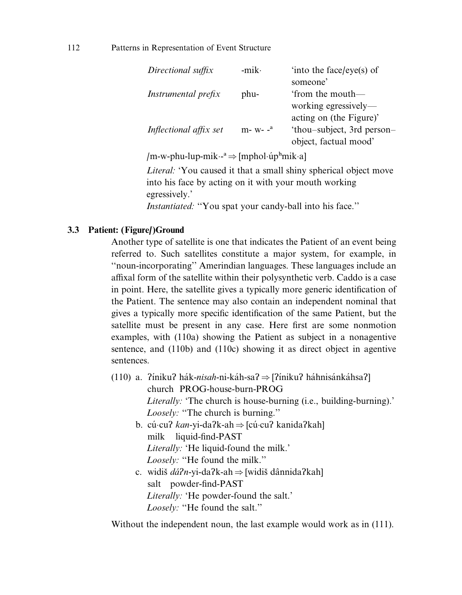| Directional suffix         | -mik $\cdot$ | 'into the face/eye(s) of   |
|----------------------------|--------------|----------------------------|
|                            |              | someone'                   |
| <i>Instrumental prefix</i> | phu-         | from the mouth—            |
|                            |              | working egressively-       |
|                            |              | acting on (the Figure)'    |
| Inflectional affix set     | $m - w - -a$ | 'thou-subject, 3rd person- |
|                            |              | object, factual mood'      |

/m-w-phu-lup-mik $\cdot$ <sup>a</sup>  $\Rightarrow$  [mphol $\cdot$ úp<sup>h</sup>mik $\cdot$ a]

*Literal:* 'You caused it that a small shiny spherical object move into his face by acting on it with your mouth working egressively.'

*Instantiated:* "You spat your candy-ball into his face."

# 3.3 Patient: (Figure/)Ground

Another type of satellite is one that indicates the Patient of an event being referred to. Such satellites constitute a major system, for example, in "noun-incorporating" Amerindian languages. These languages include an affixal form of the satellite within their polysynthetic verb. Caddo is a case in point. Here, the satellite gives a typically more generic identification of the Patient. The sentence may also contain an independent nominal that gives a typically more specific identification of the same Patient, but the satellite must be present in any case. Here first are some nonmotion examples, with (110a) showing the Patient as subject in a nonagentive sentence, and (110b) and (110c) showing it as direct object in agentive sentences

- $(110)$  a. ?íniku? hák-*nisah*-ni-káh-sa?  $\Rightarrow$  [?íniku? háhnisánkáhsa?] church PROG-house-burn-PROG *Literally:* 'The church is house-burning (i.e., building-burning).' Loosely: "The church is burning."
	- b. cú cu?  $kan$ -vi-da?k-ah  $\Rightarrow$  [cú cu? kanida?kah] milk liquid-find-PAST Literally: 'He liquid-found the milk.' Loosely: "He found the milk."
	- c. widiš  $d\hat{a}$ ?n-yi-da?k-ah  $\Rightarrow$  [widiš dânnida?kah] salt powder-find-PAST Literally: 'He powder-found the salt.' Loosely: "He found the salt."

Without the independent noun, the last example would work as in (111).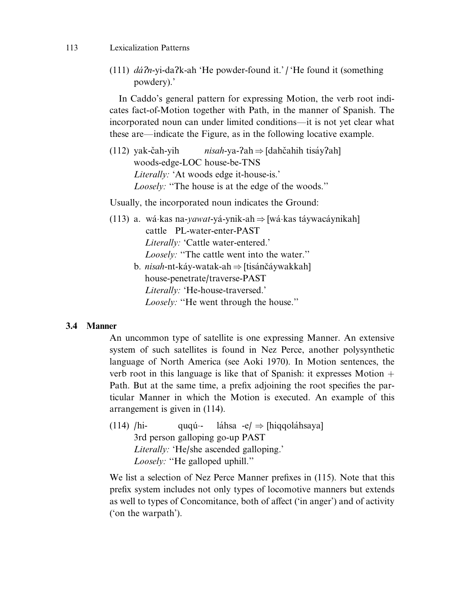#### 113 **Lexicalization Patterns**

(111)  $d\hat{a}$   $2n$ -yi-da $2k$ -ah 'He powder-found it.' / 'He found it (something powdery).'

In Caddo's general pattern for expressing Motion, the verb root indicates fact-of-Motion together with Path, in the manner of Spanish. The incorporated noun can under limited conditions—it is not yet clear what these are—indicate the Figure, as in the following locative example.

 $(112)$  yak-čah-yih *nisah*-ya-?ah  $\Rightarrow$  [dahčahih tisáy?ah] woods-edge-LOC house-be-TNS Literally: 'At woods edge it-house-is.' *Looselv:* "The house is at the edge of the woods."

Usually, the incorporated noun indicates the Ground:

(113) a. wá kas na-vawat-yá-ynik-ah  $\Rightarrow$  [wá kas táywacáynikah] cattle PL-water-enter-PAST Literally: 'Cattle water-entered.' Loosely: "The cattle went into the water." b. *nisah*-nt-káy-watak-ah  $\Rightarrow$  [tisánčáywakkah] house-penetrate/traverse-PAST

Literally: 'He-house-traversed.'

Loosely: "He went through the house."

#### 3.4 Manner

An uncommon type of satellite is one expressing Manner. An extensive system of such satellites is found in Nez Perce, another polysynthetic language of North America (see Aoki 1970). In Motion sentences, the verb root in this language is like that of Spanish: it expresses Motion  $+$ Path. But at the same time, a prefix adjoining the root specifies the particular Manner in which the Motion is executed. An example of this arrangement is given in  $(114)$ .

 $(114)$  /hiquaúláhsa -e/ $\Rightarrow$  [higgoláhsaya] 3rd person galloping go-up PAST *Literally:* 'He/she ascended galloping.' Loosely: "He galloped uphill."

We list a selection of Nez Perce Manner prefixes in (115). Note that this prefix system includes not only types of locomotive manners but extends as well to types of Concomitance, both of affect ('in anger') and of activity ('on the warpath').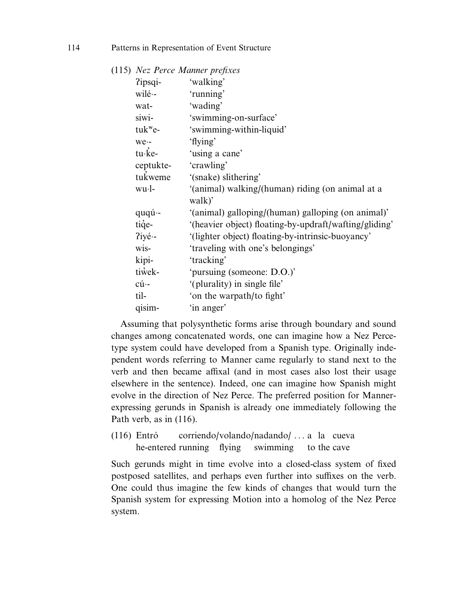| (115) Nez Perce Manner prefixes |  |
|---------------------------------|--|
|---------------------------------|--|

| <i>rica</i> <b><i>r</i></b> <i>rice manner preferes</i> |                                                        |  |
|---------------------------------------------------------|--------------------------------------------------------|--|
| ?ipsqi-                                                 | 'walking'                                              |  |
| wilé∙-                                                  | 'running'                                              |  |
| wat-                                                    | 'wading'                                               |  |
| siwi-                                                   | 'swimming-on-surface'                                  |  |
| tuk <sup>w</sup> e-                                     | 'swimming-within-liquid'                               |  |
| we-                                                     | 'flying'                                               |  |
| $tu$ $\kappa$ e-                                        | 'using a cane'                                         |  |
| ceptukte- 'crawling'                                    |                                                        |  |
| tukweme                                                 | '(snake) slithering'                                   |  |
| wu∙l-                                                   | '(animal) walking/(human) riding (on animal at a       |  |
|                                                         | walk)'                                                 |  |
| quqú -                                                  | '(animal) galloping/(human) galloping (on animal)'     |  |
| tiqe-                                                   | '(heavier object) floating-by-updraft/wafting/gliding' |  |
| $7i$ yé -                                               | '(lighter object) floating-by-intrinsic-buoyancy'      |  |
| wis-                                                    | 'traveling with one's belongings'                      |  |
| kipi-                                                   | 'tracking'                                             |  |
| tiwek-                                                  | 'pursuing (someone: D.O.)'                             |  |
| $c\acute{u}$ .                                          | '(plurality) in single file'                           |  |
| til-                                                    | 'on the warpath/to fight'                              |  |
| qisim-                                                  | 'in anger'                                             |  |

Assuming that polysynthetic forms arise through boundary and sound changes among concatenated words, one can imagine how a Nez Percetype system could have developed from a Spanish type. Originally independent words referring to Manner came regularly to stand next to the verb and then became affixal (and in most cases also lost their usage elsewhere in the sentence). Indeed, one can imagine how Spanish might evolve in the direction of Nez Perce. The preferred position for Mannerexpressing gerunds in Spanish is already one immediately following the Path verb, as in (116).

 $(116)$  Entró he-entered running flying corriendo/ volando/ nadando/ . . . a la cueva swimming to the cave

Such gerunds might in time evolve into a closed-class system of fixed postposed satellites, and perhaps even further into suffixes on the verb. One could thus imagine the few kinds of changes that would turn the Spanish system for expressing Motion into a homolog of the Nez Perce system.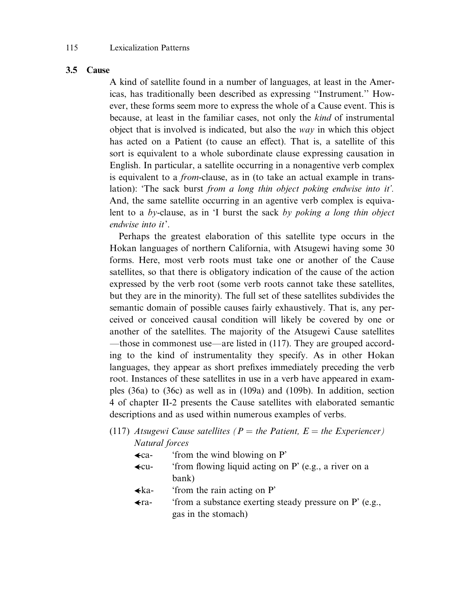## 115 Lexicalization Patterns

#### 3.5 Cause

A kind of satellite found in a number of languages, at least in the Americas, has traditionally been described as expressing "Instrument." However, these forms seem more to express the whole of a Cause event. This is because, at least in the familiar cases, not only the kind of instrumental object that is involved is indicated, but also the way in which this object has acted on a Patient (to cause an effect). That is, a satellite of this sort is equivalent to a whole subordinate clause expressing causation in English. In particular, a satellite occurring in a nonagentive verb complex is equivalent to a from-clause, as in (to take an actual example in translation): 'The sack burst from a long thin object poking endwise into it'. And, the same satellite occurring in an agentive verb complex is equivalent to a  $by$ -clause, as in  $\mathcal I$  burst the sack by poking a long thin object endwise into it'.

Perhaps the greatest elaboration of this satellite type occurs in the Hokan languages of northern California, with Atsugewi having some 30 forms. Here, most verb roots must take one or another of the Cause satellites, so that there is obligatory indication of the cause of the action expressed by the verb root (some verb roots cannot take these satellites, but they are in the minority). The full set of these satellites subdivides the semantic domain of possible causes fairly exhaustively. That is, any perceived or conceived causal condition will likely be covered by one or another of the satellites. The majority of the Atsugewi Cause satellites —those in commonest use—are listed in  $(117)$ . They are grouped according to the kind of instrumentality they specify. As in other Hokan languages, they appear as short prefixes immediately preceding the verb root. Instances of these satellites in use in a verb have appeared in examples (36a) to (36c) as well as in (109a) and (109b). In addition, section 4 of chapter II-2 presents the Cause satellites with elaborated semantic descriptions and as used within numerous examples of verbs.

- (117) Atsugewi Cause satellites ( $P =$  the Patient,  $E =$  the Experiencer) Natural forces
	- $\triangleleft$ ca-`from the wind blowing on P'
	- $\leftarrow$ cu-'from flowing liquid acting on P' (e.g., a river on a bank)
	- $\triangleleft$ ka-`from the rain acting on P'
	- $\triangleleft$ ra-`from a substance exerting steady pressure on P' (e.g., gas in the stomach)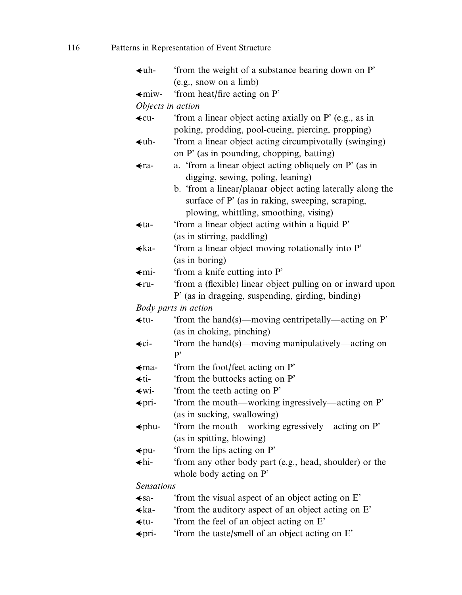| ←uh-                                                                  | 'from the weight of a substance bearing down on P'         |  |
|-----------------------------------------------------------------------|------------------------------------------------------------|--|
|                                                                       | (e.g., snow on a limb)                                     |  |
| 'from heat/fire acting on P'<br>$\leftarrow$ miw-                     |                                                            |  |
| Objects in action                                                     |                                                            |  |
| $\leftarrow$ cu-                                                      | 'from a linear object acting axially on P' (e.g., as in    |  |
|                                                                       | poking, prodding, pool-cueing, piercing, propping)         |  |
| <b>∢</b> uh-                                                          | 'from a linear object acting circumpivotally (swinging)    |  |
|                                                                       | on P' (as in pounding, chopping, batting)                  |  |
| <b>∢</b> ra-                                                          | a. 'from a linear object acting obliquely on P' (as in     |  |
|                                                                       | digging, sewing, poling, leaning)                          |  |
|                                                                       | b. 'from a linear/planar object acting laterally along the |  |
|                                                                       | surface of P' (as in raking, sweeping, scraping,           |  |
|                                                                       | plowing, whittling, smoothing, vising)                     |  |
| $\triangleleft$ ta-                                                   | 'from a linear object acting within a liquid P'            |  |
|                                                                       | (as in stirring, paddling)                                 |  |
| $\triangleleft$ ka-                                                   | 'from a linear object moving rotationally into P'          |  |
|                                                                       | (as in boring)                                             |  |
| $\leftarrow$ mi-                                                      | 'from a knife cutting into P'                              |  |
| ←ru-                                                                  | 'from a (flexible) linear object pulling on or inward upon |  |
|                                                                       | P' (as in dragging, suspending, girding, binding)          |  |
|                                                                       | Body parts in action                                       |  |
| ←tu-                                                                  | 'from the hand(s)—moving centripetally—acting on P'        |  |
|                                                                       | (as in choking, pinching)                                  |  |
| 'from the hand(s)—moving manipulatively—acting on<br>$\leftarrow$ ci- |                                                            |  |
|                                                                       | P'                                                         |  |
| $\triangleleft$ ma-                                                   | 'from the foot/feet acting on P'                           |  |
| $\leftarrow$ ti-                                                      | 'from the buttocks acting on P'                            |  |
| $\leftarrow$ wi-                                                      | 'from the teeth acting on P'                               |  |
| $\leftarrow$ pri-                                                     | 'from the mouth—working ingressively—acting on P'          |  |
|                                                                       | (as in sucking, swallowing)                                |  |
| $\n  phu-\n$                                                          | 'from the mouth—working egressively—acting on P'           |  |
|                                                                       | (as in spitting, blowing)                                  |  |
| ←pu+                                                                  | 'from the lips acting on P'                                |  |
| $\triangleleft$ hi-                                                   | 'from any other body part (e.g., head, shoulder) or the    |  |
|                                                                       | whole body acting on P'                                    |  |
| <i>Sensations</i>                                                     |                                                            |  |
| $\triangleleft$ sa-                                                   | 'from the visual aspect of an object acting on E'          |  |
| $\triangleleft$ ka-                                                   | 'from the auditory aspect of an object acting on E'        |  |

- $+tu-$ `from the feel of an object acting on E'
- $\leftarrow$ pri-`from the taste/smell of an object acting on E'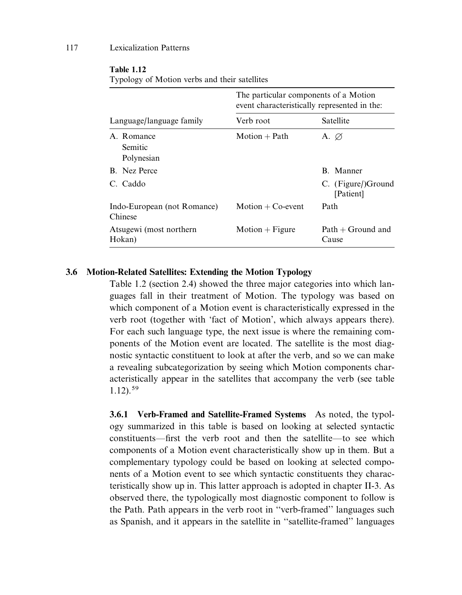## 117 Lexicalization Patterns

#### Table 1.12

Typology of Motion verbs and their satellites

|                                        | The particular components of a Motion<br>event characteristically represented in the: |                                 |  |
|----------------------------------------|---------------------------------------------------------------------------------------|---------------------------------|--|
| Language/language family               | Verb root                                                                             | Satellite                       |  |
| A. Romance<br>Semitic<br>Polynesian    | $Motion + Path$                                                                       | A. $\varnothing$                |  |
| <b>B.</b> Nez Perce                    |                                                                                       | <b>B.</b> Manner                |  |
| C. Caddo                               |                                                                                       | C. (Figure/)Ground<br>[Patient] |  |
| Indo-European (not Romance)<br>Chinese | $Motion + Co-event$                                                                   | Path                            |  |
| Atsugewi (most northern<br>Hokan)      | $Motion + Figure$                                                                     | $Path + Ground$ and<br>Cause    |  |

# 3.6 Motion-Related Satellites: Extending the Motion Typology

Table 1.2 (section 2.4) showed the three major categories into which languages fall in their treatment of Motion. The typology was based on which component of a Motion event is characteristically expressed in the verb root (together with `fact of Motion', which always appears there). For each such language type, the next issue is where the remaining components of the Motion event are located. The satellite is the most diagnostic syntactic constituent to look at after the verb, and so we can make a revealing subcategorization by seeing which Motion components characteristically appear in the satellites that accompany the verb (see table  $1.12$ ).<sup>59</sup>

3.6.1 Verb-Framed and Satellite-Framed Systems As noted, the typology summarized in this table is based on looking at selected syntactic constituents—first the verb root and then the satellite—to see which components of a Motion event characteristically show up in them. But a complementary typology could be based on looking at selected components of a Motion event to see which syntactic constituents they characteristically show up in. This latter approach is adopted in chapter II-3. As observed there, the typologically most diagnostic component to follow is the Path. Path appears in the verb root in "verb-framed" languages such as Spanish, and it appears in the satellite in "satellite-framed" languages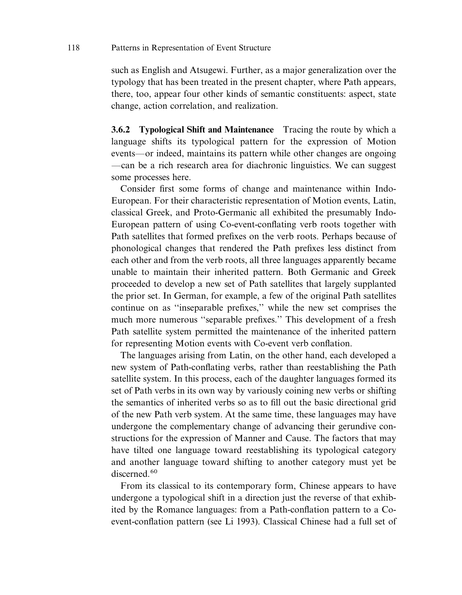such as English and Atsugewi. Further, as a major generalization over the typology that has been treated in the present chapter, where Path appears, there, too, appear four other kinds of semantic constituents: aspect, state change, action correlation, and realization.

3.6.2 Typological Shift and Maintenance Tracing the route by which a language shifts its typological pattern for the expression of Motion events—or indeed, maintains its pattern while other changes are ongoing Ðcan be a rich research area for diachronic linguistics. We can suggest some processes here.

Consider first some forms of change and maintenance within Indo-European. For their characteristic representation of Motion events, Latin, classical Greek, and Proto-Germanic all exhibited the presumably Indo-European pattern of using Co-event-conflating verb roots together with Path satellites that formed prefixes on the verb roots. Perhaps because of phonological changes that rendered the Path prefixes less distinct from each other and from the verb roots, all three languages apparently became unable to maintain their inherited pattern. Both Germanic and Greek proceeded to develop a new set of Path satellites that largely supplanted the prior set. In German, for example, a few of the original Path satellites continue on as "inseparable prefixes," while the new set comprises the much more numerous "separable prefixes." This development of a fresh Path satellite system permitted the maintenance of the inherited pattern for representing Motion events with Co-event verb conflation.

The languages arising from Latin, on the other hand, each developed a new system of Path-conflating verbs, rather than reestablishing the Path satellite system. In this process, each of the daughter languages formed its set of Path verbs in its own way by variously coining new verbs or shifting the semantics of inherited verbs so as to fill out the basic directional grid of the new Path verb system. At the same time, these languages may have undergone the complementary change of advancing their gerundive constructions for the expression of Manner and Cause. The factors that may have tilted one language toward reestablishing its typological category and another language toward shifting to another category must yet be discerned<sup>60</sup>

From its classical to its contemporary form, Chinese appears to have undergone a typological shift in a direction just the reverse of that exhibited by the Romance languages: from a Path-conflation pattern to a Coevent-conflation pattern (see Li 1993). Classical Chinese had a full set of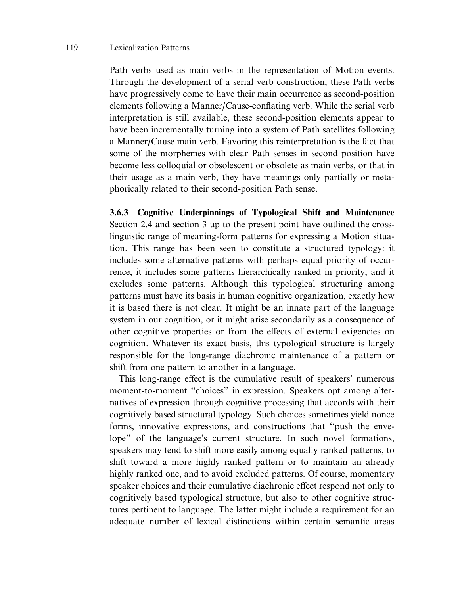## 119 Lexicalization Patterns

Path verbs used as main verbs in the representation of Motion events. Through the development of a serial verb construction, these Path verbs have progressively come to have their main occurrence as second-position elements following a Manner/Cause-conflating verb. While the serial verb interpretation is still available, these second-position elements appear to have been incrementally turning into a system of Path satellites following a Manner/Cause main verb. Favoring this reinterpretation is the fact that some of the morphemes with clear Path senses in second position have become less colloquial or obsolescent or obsolete as main verbs, or that in their usage as a main verb, they have meanings only partially or metaphorically related to their second-position Path sense.

3.6.3 Cognitive Underpinnings of Typological Shift and Maintenance Section 2.4 and section 3 up to the present point have outlined the crosslinguistic range of meaning-form patterns for expressing a Motion situation. This range has been seen to constitute a structured typology: it includes some alternative patterns with perhaps equal priority of occurrence, it includes some patterns hierarchically ranked in priority, and it excludes some patterns. Although this typological structuring among patterns must have its basis in human cognitive organization, exactly how it is based there is not clear. It might be an innate part of the language system in our cognition, or it might arise secondarily as a consequence of other cognitive properties or from the effects of external exigencies on cognition. Whatever its exact basis, this typological structure is largely responsible for the long-range diachronic maintenance of a pattern or shift from one pattern to another in a language.

This long-range effect is the cumulative result of speakers' numerous moment-to-moment "choices" in expression. Speakers opt among alternatives of expression through cognitive processing that accords with their cognitively based structural typology. Such choices sometimes yield nonce forms, innovative expressions, and constructions that "push the envelope'' of the language's current structure. In such novel formations, speakers may tend to shift more easily among equally ranked patterns, to shift toward a more highly ranked pattern or to maintain an already highly ranked one, and to avoid excluded patterns. Of course, momentary speaker choices and their cumulative diachronic effect respond not only to cognitively based typological structure, but also to other cognitive structures pertinent to language. The latter might include a requirement for an adequate number of lexical distinctions within certain semantic areas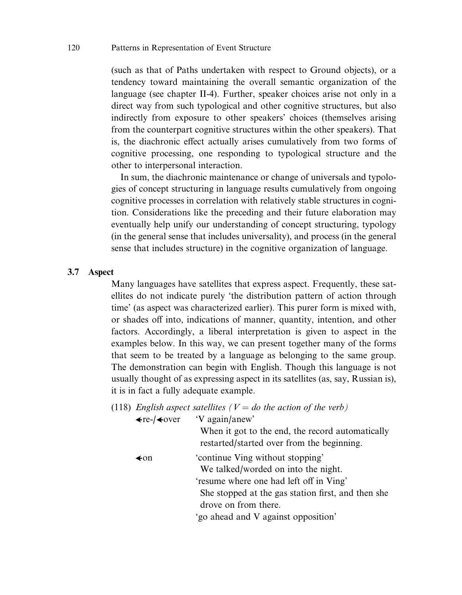(such as that of Paths undertaken with respect to Ground objects), or a tendency toward maintaining the overall semantic organization of the language (see chapter II-4). Further, speaker choices arise not only in a direct way from such typological and other cognitive structures, but also indirectly from exposure to other speakers' choices (themselves arising from the counterpart cognitive structures within the other speakers). That is, the diachronic effect actually arises cumulatively from two forms of cognitive processing, one responding to typological structure and the other to interpersonal interaction.

In sum, the diachronic maintenance or change of universals and typologies of concept structuring in language results cumulatively from ongoing cognitive processes in correlation with relatively stable structures in cognition. Considerations like the preceding and their future elaboration may eventually help unify our understanding of concept structuring, typology (in the general sense that includes universality), and process (in the general sense that includes structure) in the cognitive organization of language.

## 3.7 Aspect

Many languages have satellites that express aspect. Frequently, these satellites do not indicate purely `the distribution pattern of action through time' (as aspect was characterized earlier). This purer form is mixed with, or shades off into, indications of manner, quantity, intention, and other factors. Accordingly, a liberal interpretation is given to aspect in the examples below. In this way, we can present together many of the forms that seem to be treated by a language as belonging to the same group. The demonstration can begin with English. Though this language is not usually thought of as expressing aspect in its satellites (as, say, Russian is), it is in fact a fully adequate example.

(118) English aspect satellites ( $V = do$  the action of the verb)

| $\leftarrow$ re-/ $\leftarrow$ over | 'V again/anew'                                                                                 |
|-------------------------------------|------------------------------------------------------------------------------------------------|
|                                     | When it got to the end, the record automatically<br>restarted/started over from the beginning. |
| $\triangleleft$ on                  | 'continue Ving without stopping'                                                               |
|                                     | We talked/worded on into the night.                                                            |
|                                     | 'resume where one had left off in Ving'                                                        |
|                                     | She stopped at the gas station first, and then she                                             |
|                                     | drove on from there.                                                                           |
|                                     | 'go ahead and V against opposition'                                                            |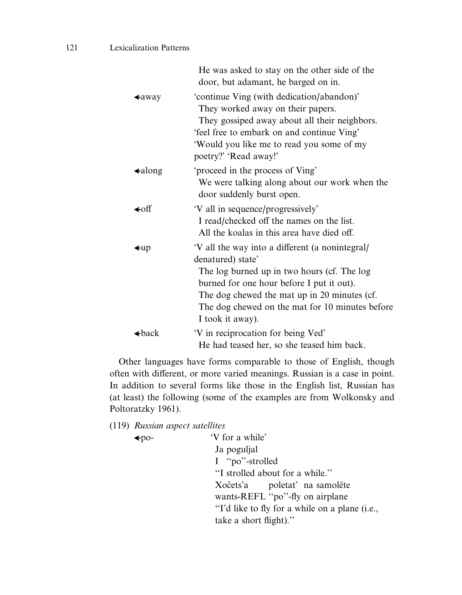| He was asked to stay on the other side of the   |
|-------------------------------------------------|
| door, but adamant, he barged on in.             |
| 'continue Ving (with dedication/abandon)'       |
| They worked away on their papers.               |
| They gossiped away about all their neighbors.   |
| 'feel free to embark on and continue Ving'      |
| 'Would you like me to read you some of my       |
| poetry?' 'Read away!'                           |
| 'proceed in the process of Ving'                |
| We were talking along about our work when the   |
| door suddenly burst open.                       |
| 'V all in sequence/progressively'               |
| I read/checked off the names on the list.       |
| All the koalas in this area have died off.      |
| 'V all the way into a different (a nonintegral/ |
| denatured) state'                               |
| The log burned up in two hours (cf. The log     |
| burned for one hour before I put it out).       |
| The dog chewed the mat up in 20 minutes (cf.    |
| The dog chewed on the mat for 10 minutes before |
| I took it away).                                |
| 'V in reciprocation for being Ved'              |
| He had teased her, so she teased him back.      |
|                                                 |

Other languages have forms comparable to those of English, though often with different, or more varied meanings. Russian is a case in point. In addition to several forms like those in the English list, Russian has (at least) the following (some of the examples are from Wolkonsky and Poltoratzky 1961).

(119) Russian aspect satellites

 $\triangleleft$ po-

| 'V for a while'                                |
|------------------------------------------------|
| Ja poguljal                                    |
| I "po"-strolled                                |
| "I strolled about for a while."                |
| Xočets'a poletat' na samolëte                  |
| wants-REFL "po"-fly on airplane                |
| "I'd like to fly for a while on a plane (i.e., |
| take a short flight)."                         |
|                                                |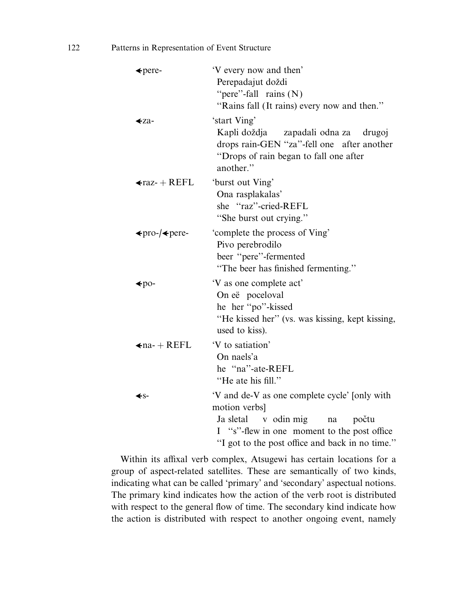| $\triangle$ pere-                     | 'V every now and then'<br>Perepadajut doždi<br>"pere"-fall rains $(N)$<br>"Rains fall (It rains) every now and then."                                                                                      |  |
|---------------------------------------|------------------------------------------------------------------------------------------------------------------------------------------------------------------------------------------------------------|--|
| ∢za-                                  | 'start Ving'<br>Kapli doždja<br>zapadali odna za<br>drugoj<br>drops rain-GEN "za"-fell one after another<br>"Drops of rain began to fall one after<br>another."                                            |  |
| $\triangle$ raz- + REFL               | 'burst out Ving'<br>Ona rasplakalas'<br>she "raz"-cried-REFL<br>"She burst out crying."                                                                                                                    |  |
| $\leftarrow$ pro-/ $\leftarrow$ pere- | 'complete the process of Ving'<br>Pivo perebrodilo<br>beer "pere"-fermented<br>"The beer has finished fermenting."                                                                                         |  |
| $\triangleleft$ po-                   | 'V as one complete act'<br>On eë poceloval<br>he her "po"-kissed<br>"He kissed her" (vs. was kissing, kept kissing,<br>used to kiss).                                                                      |  |
| $\triangleleft$ na- + REFL            | 'V to satiation'<br>On naels'a<br>he "na"-ate-REFL<br>"He ate his fill."                                                                                                                                   |  |
| ∕s-                                   | 'V and de-V as one complete cycle' [only with<br>motion verbs]<br>v odin mig<br>Ja sletal<br>počtu<br>na<br>I "s"-flew in one moment to the post office<br>"I got to the post office and back in no time." |  |

Within its affixal verb complex, Atsugewi has certain locations for a group of aspect-related satellites. These are semantically of two kinds, indicating what can be called 'primary' and 'secondary' aspectual notions. The primary kind indicates how the action of the verb root is distributed with respect to the general flow of time. The secondary kind indicate how the action is distributed with respect to another ongoing event, namely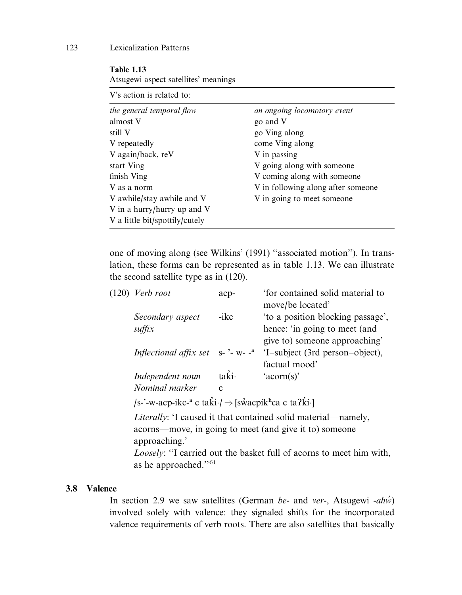## Table 1.13

Atsugewi aspect satellites' meanings

|  | V's action is related to: |  |
|--|---------------------------|--|
|  |                           |  |

| the general temporal flow      | an ongoing locomotory event        |
|--------------------------------|------------------------------------|
| almost V                       | go and V                           |
| still V                        | go Ving along                      |
| V repeatedly                   | come Ving along                    |
| V again/back, reV              | V in passing                       |
| start Ving                     | V going along with someone         |
| finish Ving                    | V coming along with someone        |
| V as a norm                    | V in following along after someone |
| V awhile/stay awhile and V     | V in going to meet someone         |
| V in a hurry/hurry up and V    |                                    |
| V a little bit/spottily/cutely |                                    |
|                                |                                    |

one of moving along (see Wilkins' (1991) "associated motion"). In translation, these forms can be represented as in table 1.13. We can illustrate the second satellite type as in (120).

| $(120)$ Verb root                                                                              | acp-         | for contained solid material to   |  |  |  |
|------------------------------------------------------------------------------------------------|--------------|-----------------------------------|--|--|--|
|                                                                                                |              | move/be located'                  |  |  |  |
| Secondary aspect                                                                               | -ikc         | 'to a position blocking passage', |  |  |  |
| suffix                                                                                         |              | hence: 'in going to meet (and     |  |  |  |
|                                                                                                |              | give to) someone approaching'     |  |  |  |
| Inflectional affix set s-'- $w$ - $-$ <sup>a</sup>                                             |              | 'I-subject (3rd person-object),   |  |  |  |
|                                                                                                |              | factual mood'                     |  |  |  |
| Independent noun                                                                               | taki·        | 'acorn(s)'                        |  |  |  |
| Nominal marker                                                                                 | $\mathbf{C}$ |                                   |  |  |  |
| /s-'-w-acp-ikc- <sup>a</sup> c taki $\cdot$ / $\Rightarrow$ [swacpík <sup>h</sup> ca c ta?ki·] |              |                                   |  |  |  |
|                                                                                                |              |                                   |  |  |  |

Literally: 'I caused it that contained solid material—namely, acorns—move, in going to meet (and give it to) someone approaching.' Loosely: "I carried out the basket full of acorns to meet him with, as he approached.''61

## 3.8 Valence

In section 2.9 we saw satellites (German be- and ver-, Atsugewi -ahw) involved solely with valence: they signaled shifts for the incorporated valence requirements of verb roots. There are also satellites that basically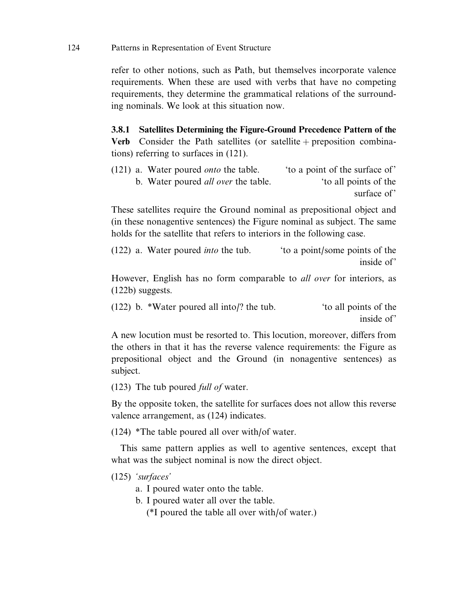refer to other notions, such as Path, but themselves incorporate valence requirements. When these are used with verbs that have no competing requirements, they determine the grammatical relations of the surrounding nominals. We look at this situation now.

3.8.1 Satellites Determining the Figure-Ground Precedence Pattern of the Verb Consider the Path satellites (or satellite  $+$  preposition combinations) referring to surfaces in (121).

 $(121)$  a. Water poured *onto* the table.  $\qquad$  to a point of the surface of  $\qquad$ b. Water poured *all over* the table.  $\qquad \qquad$  'to all points of the surface of'

These satellites require the Ground nominal as prepositional object and (in these nonagentive sentences) the Figure nominal as subject. The same holds for the satellite that refers to interiors in the following case.

 $(122)$  a. Water poured *into* the tub.  $\qquad \qquad$  'to a point/some points of the inside of'

However, English has no form comparable to all over for interiors, as (122b) suggests.

(122) b. \*Water poured all into/? the tub.  $\qquad \qquad$  'to all points of the inside of'

A new locution must be resorted to. This locution, moreover, differs from the others in that it has the reverse valence requirements: the Figure as prepositional object and the Ground (in nonagentive sentences) as subject.

(123) The tub poured full of water.

By the opposite token, the satellite for surfaces does not allow this reverse valence arrangement, as (124) indicates.

(124) \*The table poured all over with/of water.

This same pattern applies as well to agentive sentences, except that what was the subject nominal is now the direct object.

(125) `surfaces'

- a. I poured water onto the table.
- b. I poured water all over the table.

(\*I poured the table all over with/of water.)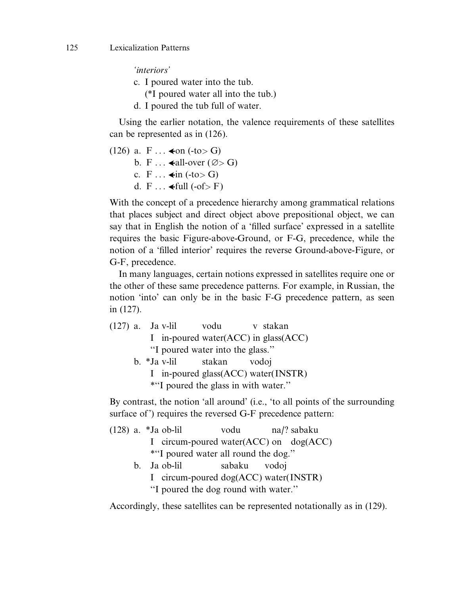`interiors'

- c. I poured water into the tub.
	- (\*I poured water all into the tub.)
- d. I poured the tub full of water.

Using the earlier notation, the valence requirements of these satellites can be represented as in (126).

(126) a. F ...  $\blacktriangleleft$  on (-to > G) b. F  $\ldots$   $\triangleleft$  all-over ( $\emptyset$   $>$  G) c. F  $\ldots$   $\neq$  in (-to  $\gt$  G) d. F  $\ldots$   $\le$  full (-of > F)

With the concept of a precedence hierarchy among grammatical relations that places subject and direct object above prepositional object, we can say that in English the notion of a 'filled surface' expressed in a satellite requires the basic Figure-above-Ground, or F-G, precedence, while the notion of a 'filled interior' requires the reverse Ground-above-Figure, or G-F, precedence.

In many languages, certain notions expressed in satellites require one or the other of these same precedence patterns. For example, in Russian, the notion 'into' can only be in the basic F-G precedence pattern, as seen in (127).

| $(127)$ a. Ja v-lil              | vodu   | v stakan                                   |  |  |  |
|----------------------------------|--------|--------------------------------------------|--|--|--|
|                                  |        | I in-poured water $(ACC)$ in glass $(ACC)$ |  |  |  |
| "I poured water into the glass." |        |                                            |  |  |  |
| b. *Ja v-lil                     | stakan | vodoj                                      |  |  |  |
|                                  |        |                                            |  |  |  |

I in-poured glass(ACC) water(INSTR)

\*``I poured the glass in with water.''

By contrast, the notion 'all around' (i.e., 'to all points of the surrounding surface of') requires the reversed G-F precedence pattern:

|  | (128) a. *Ja ob-lil                          | vodu         |  | na/? sabaku |  |
|--|----------------------------------------------|--------------|--|-------------|--|
|  | I circum-poured water $(ACC)$ on dog $(ACC)$ |              |  |             |  |
|  | *"I poured water all round the dog."         |              |  |             |  |
|  | b. Ja ob-lil                                 | sabaku vodoj |  |             |  |
|  | I circum-poured dog(ACC) water(INSTR)        |              |  |             |  |
|  | "I poured the dog round with water."         |              |  |             |  |

Accordingly, these satellites can be represented notationally as in (129).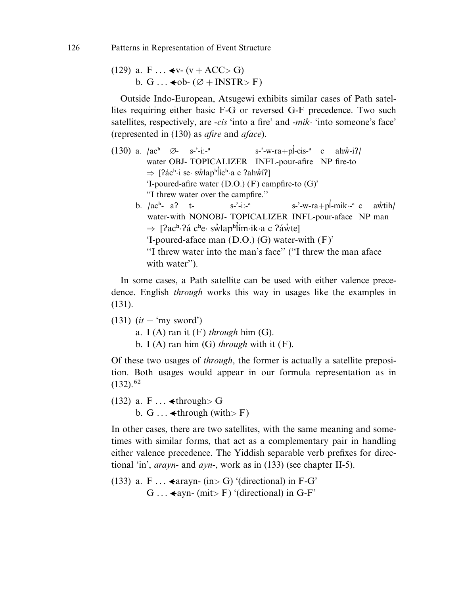126

(129) a. F...  $\leftrightarrow$ v- (v + ACC> G) b. G...  $\triangleleft$ ob- $(\emptyset + INSTR > F)$ 

Outside Indo-European, Atsugewi exhibits similar cases of Path satellites requiring either basic F-G or reversed G-F precedence. Two such satellites, respectively, are -*cis* 'into a fire' and -*mik*· 'into someone's face' (represented in (130) as *afire* and *aface*).

(130) a.  $/ac^h$   $\varnothing$ - s-'-i:-<sup>a</sup>  $s^{-1}$ -w-ra+pl-cis-<sup>a</sup> c ahw-i?/ water OBJ- TOPICALIZER INFL-pour-afire NP fire-to  $\Rightarrow$  [?ác<sup>h</sup>·i se· sw≀lap<sup>h</sup>lic<sup>h</sup>·a c ?ahwi?] 'I-poured-afire water  $(D.O.)$   $(F)$  campfire-to  $(G)'$ "I threw water over the campfire." b.  $/ac^h$ - a? t $s^{-2}$ -i:-<sup>a</sup>  $s$ -'-w-ra+pl-mik-- $a$  c awtih/ water-with NONOBJ- TOPICALIZER INFL-pour-aface NP man  $\Rightarrow$  [?ac<sup>h</sup>·?á c<sup>h</sup>e· swlap<sup>h</sup>lím·ik·a c ?áwte] 'I-poured-aface man  $(D.O.)$  (G) water-with  $(F)$ ' "I threw water into the man's face" ("I threw the man aface with water").

In some cases, a Path satellite can be used with either valence precedence. English *through* works this way in usages like the examples in  $(131)$ .

- $(131)$   $(it = 'my svord')$ 
	- a. I (A) ran it  $(F)$  through him  $(G)$ .
	- b. I (A) ran him (G) *through* with it  $(F)$ .

Of these two usages of *through*, the former is actually a satellite preposition. Both usages would appear in our formula representation as in  $(132).^{62}$ 

 $(132)$  a. F ...  $\triangleleft$  through  $\triangleright$  G b. G ...  $\triangleleft$  through (with > F)

In other cases, there are two satellites, with the same meaning and sometimes with similar forms, that act as a complementary pair in handling either valence precedence. The Yiddish separable verb prefixes for directional 'in', *arayn*- and *ayn*-, work as in  $(133)$  (see chapter II-5).

```
(133) a. F... \triangleleftarayn- (in > G) '(directional) in F-G'
G \ldots \triangleleft ayn- (mit > F) '(directional) in G-F'
```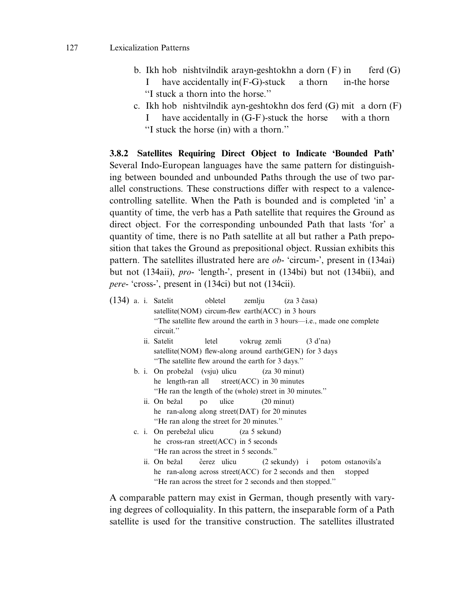- b. Ikh hob nishtvilndik arayn-geshtokhn a dorn (F) in I have accidentally in(F-G)-stuck a thorn in-the horse ferd (G) ``I stuck a thorn into the horse.''
- c. Ikh hob nishtvilndik ayn-geshtokhn dos ferd (G) mit a dorn (F) I have accidentally in (G-F)-stuck the horse with a thorn ``I stuck the horse (in) with a thorn.''

3.8.2 Satellites Requiring Direct Object to Indicate `Bounded Path' Several Indo-European languages have the same pattern for distinguishing between bounded and unbounded Paths through the use of two parallel constructions. These constructions differ with respect to a valencecontrolling satellite. When the Path is bounded and is completed `in' a quantity of time, the verb has a Path satellite that requires the Ground as direct object. For the corresponding unbounded Path that lasts `for' a quantity of time, there is no Path satellite at all but rather a Path preposition that takes the Ground as prepositional object. Russian exhibits this pattern. The satellites illustrated here are  $ob$ - 'circum-', present in  $(134ai)$ but not (134aii), *pro*- 'length-', present in (134bi) but not (134bii), and pere- 'cross-', present in (134ci) but not (134cii).

- (134) a. i. Satelit satellite(NOM) circum-flew earth(ACC) in 3 hours obletel zemlju  $(za 3 časa)$  $"The satellite$  flew around the earth in 3 hours—i.e., made one complete circuit.'' ii. Satelit satellite(NOM) flew-along around earth(GEN) for 3 days letel vokrug zemli (3 d'na) "The satellite flew around the earth for 3 days." b. i. On probežal (vsju) ulicu he length-ran all street(ACC) in 30 minutes (za 30 minut)
	- ``He ran the length of the (whole) street in 30 minutes.'' ii. On bežal he ran-along along street(DAT) for 20 minutes po ulice (20 minut) ``He ran along the street for 20 minutes.''
	- c. i. On perebežal ulicu he cross-ran street(ACC) in 5 seconds (za 5 sekund) ``He ran across the street in 5 seconds.''
		- ii. On bežal he ran-along across street(ACC) for 2 seconds and then čerez ulicu (2 sekundy) i potom ostanovils'a stopped ``He ran across the street for 2 seconds and then stopped.''

A comparable pattern may exist in German, though presently with varying degrees of colloquiality. In this pattern, the inseparable form of a Path satellite is used for the transitive construction. The satellites illustrated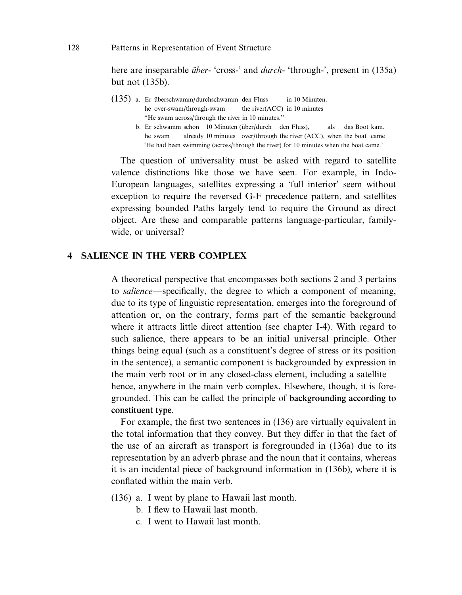here are inseparable *über*- 'cross-' and *durch*- 'through-', present in (135a) but not (135b).

- (135) a. Er uÈberschwamm/durchschwamm den Fluss he over-swam/through-swam the river(ACC) in 10 minutes in 10 Minuten. ``He swam across/through the river in 10 minutes.''
	- b. Er schwamm schon 10 Minuten (über/durch den Fluss), he swam already 10 minutes over/through the river (ACC), when the boat came als das Boot kam. `He had been swimming (across/through the river) for 10 minutes when the boat came.'

The question of universality must be asked with regard to satellite valence distinctions like those we have seen. For example, in Indo-European languages, satellites expressing a `full interior' seem without exception to require the reversed G-F precedence pattern, and satellites expressing bounded Paths largely tend to require the Ground as direct object. Are these and comparable patterns language-particular, familywide, or universal?

# 4 SALIENCE IN THE VERB COMPLEX

A theoretical perspective that encompasses both sections 2 and 3 pertains to *salience*—specifically, the degree to which a component of meaning, due to its type of linguistic representation, emerges into the foreground of attention or, on the contrary, forms part of the semantic background where it attracts little direct attention (see chapter I-4). With regard to such salience, there appears to be an initial universal principle. Other things being equal (such as a constituent's degree of stress or its position in the sentence), a semantic component is backgrounded by expression in the main verb root or in any closed-class element, including a satellite hence, anywhere in the main verb complex. Elsewhere, though, it is foregrounded. This can be called the principle of backgrounding according to constituent type.

For example, the first two sentences in (136) are virtually equivalent in the total information that they convey. But they differ in that the fact of the use of an aircraft as transport is foregrounded in (136a) due to its representation by an adverb phrase and the noun that it contains, whereas it is an incidental piece of background information in (136b), where it is conflated within the main verb.

- (136) a. I went by plane to Hawaii last month.
	- b. I flew to Hawaii last month.
	- c. I went to Hawaii last month.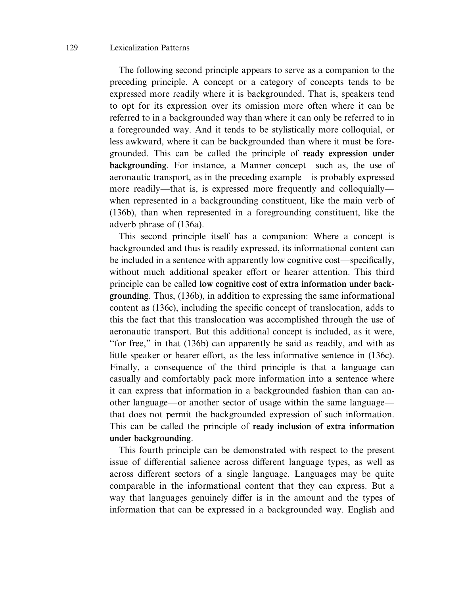The following second principle appears to serve as a companion to the preceding principle. A concept or a category of concepts tends to be expressed more readily where it is backgrounded. That is, speakers tend to opt for its expression over its omission more often where it can be referred to in a backgrounded way than where it can only be referred to in a foregrounded way. And it tends to be stylistically more colloquial, or less awkward, where it can be backgrounded than where it must be foregrounded. This can be called the principle of ready expression under backgrounding. For instance, a Manner concept—such as, the use of aeronautic transport, as in the preceding example—is probably expressed more readily—that is, is expressed more frequently and colloquially when represented in a backgrounding constituent, like the main verb of (136b), than when represented in a foregrounding constituent, like the adverb phrase of (136a).

This second principle itself has a companion: Where a concept is backgrounded and thus is readily expressed, its informational content can be included in a sentence with apparently low cognitive cost—specifically, without much additional speaker effort or hearer attention. This third principle can be called low cognitive cost of extra information under backgrounding. Thus, (136b), in addition to expressing the same informational content as (136c), including the specific concept of translocation, adds to this the fact that this translocation was accomplished through the use of aeronautic transport. But this additional concept is included, as it were, ``for free,'' in that (136b) can apparently be said as readily, and with as little speaker or hearer effort, as the less informative sentence in  $(136c)$ . Finally, a consequence of the third principle is that a language can casually and comfortably pack more information into a sentence where it can express that information in a backgrounded fashion than can another language—or another sector of usage within the same language that does not permit the backgrounded expression of such information. This can be called the principle of ready inclusion of extra information under backgrounding.

This fourth principle can be demonstrated with respect to the present issue of differential salience across different language types, as well as across different sectors of a single language. Languages may be quite comparable in the informational content that they can express. But a way that languages genuinely differ is in the amount and the types of information that can be expressed in a backgrounded way. English and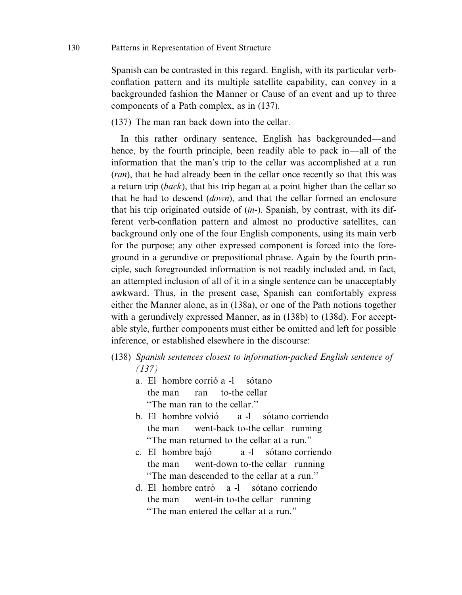Spanish can be contrasted in this regard. English, with its particular verbconflation pattern and its multiple satellite capability, can convey in a backgrounded fashion the Manner or Cause of an event and up to three components of a Path complex, as in (137).

(137) The man ran back down into the cellar.

In this rather ordinary sentence, English has backgrounded—and hence, by the fourth principle, been readily able to pack in—all of the information that the man's trip to the cellar was accomplished at a run (ran), that he had already been in the cellar once recently so that this was a return trip (back), that his trip began at a point higher than the cellar so that he had to descend (down), and that the cellar formed an enclosure that his trip originated outside of  $(in-)$ . Spanish, by contrast, with its different verb-conflation pattern and almost no productive satellites, can background only one of the four English components, using its main verb for the purpose; any other expressed component is forced into the foreground in a gerundive or prepositional phrase. Again by the fourth principle, such foregrounded information is not readily included and, in fact, an attempted inclusion of all of it in a single sentence can be unacceptably awkward. Thus, in the present case, Spanish can comfortably express either the Manner alone, as in (138a), or one of the Path notions together with a gerundively expressed Manner, as in (138b) to (138d). For acceptable style, further components must either be omitted and left for possible inference, or established elsewhere in the discourse:

- (138) Spanish sentences closest to information-packed English sentence of (137)
	- a. El hombre corrió a -l the man ran to -the cellar sótano ``The man ran to the cellar.''
	- b. El hombre volvió the man went-back to -the cellar running a -l sótano corriendo ``The man returned to the cellar at a run.''
	- c. El hombre bajó the man went-down to-the cellar running a -l sótano corriendo ``The man descended to the cellar at a run.''
	- d. El hombre entró a -l the man went-in to-the cellar running sótano corriendo ``The man entered the cellar at a run.''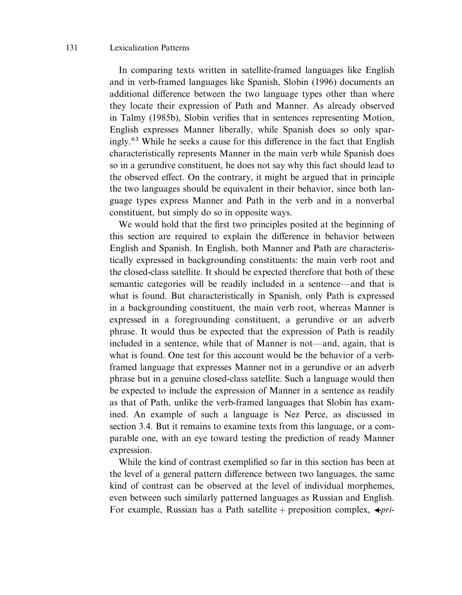In comparing texts written in satellite-framed languages like English and in verb-framed languages like Spanish, Slobin (1996) documents an additional difference between the two language types other than where they locate their expression of Path and Manner. As already observed in Talmy (1985b), Slobin verifies that in sentences representing Motion, English expresses Manner liberally, while Spanish does so only sparingly.<sup>63</sup> While he seeks a cause for this difference in the fact that English characteristically represents Manner in the main verb while Spanish does so in a gerundive constituent, he does not say why this fact should lead to the observed effect. On the contrary, it might be argued that in principle the two languages should be equivalent in their behavior, since both language types express Manner and Path in the verb and in a nonverbal constituent, but simply do so in opposite ways.

We would hold that the first two principles posited at the beginning of this section are required to explain the difference in behavior between English and Spanish. In English, both Manner and Path are characteristically expressed in backgrounding constituents: the main verb root and the closed-class satellite. It should be expected therefore that both of these semantic categories will be readily included in a sentence—and that is what is found. But characteristically in Spanish, only Path is expressed in a backgrounding constituent, the main verb root, whereas Manner is expressed in a foregrounding constituent, a gerundive or an adverb phrase. It would thus be expected that the expression of Path is readily included in a sentence, while that of Manner is not—and, again, that is what is found. One test for this account would be the behavior of a verbframed language that expresses Manner not in a gerundive or an adverb phrase but in a genuine closed-class satellite. Such a language would then be expected to include the expression of Manner in a sentence as readily as that of Path, unlike the verb-framed languages that Slobin has examined. An example of such a language is Nez Perce, as discussed in section 3.4. But it remains to examine texts from this language, or a comparable one, with an eye toward testing the prediction of ready Manner expression.

While the kind of contrast exemplified so far in this section has been at the level of a general pattern difference between two languages, the same kind of contrast can be observed at the level of individual morphemes, even between such similarly patterned languages as Russian and English. For example, Russian has a Path satellite + preposition complex,  $\leftarrow$ *pri*-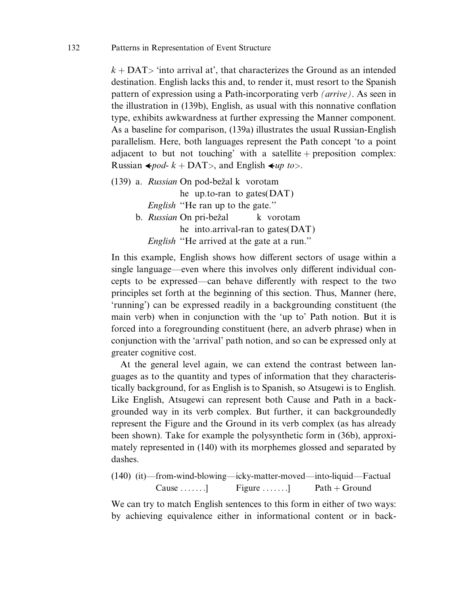$k +$  DAT> 'into arrival at', that characterizes the Ground as an intended destination. English lacks this and, to render it, must resort to the Spanish pattern of expression using a Path-incorporating verb (arrive). As seen in the illustration in  $(139b)$ , English, as usual with this nonnative conflation type, exhibits awkwardness at further expressing the Manner component. As a baseline for comparison, (139a) illustrates the usual Russian-English parallelism. Here, both languages represent the Path concept `to a point adjacent to but not touching' with a satellite  $+$  preposition complex: Russian  $\triangleleft pod-k+DAT>$ , and English  $\triangleleft up$  to>.

(139) a. Russian On pod-bežal k vorotam he up.to-ran to gates(DAT) English "He ran up to the gate." b. Russian On pri-bežal he into.arrival-ran to gates(DAT) k vorotam English "He arrived at the gate at a run."

In this example, English shows how different sectors of usage within a single language—even where this involves only different individual concepts to be expressed—can behave differently with respect to the two principles set forth at the beginning of this section. Thus, Manner (here, `running') can be expressed readily in a backgrounding constituent (the main verb) when in conjunction with the `up to' Path notion. But it is forced into a foregrounding constituent (here, an adverb phrase) when in conjunction with the `arrival' path notion, and so can be expressed only at greater cognitive cost.

At the general level again, we can extend the contrast between languages as to the quantity and types of information that they characteristically background, for as English is to Spanish, so Atsugewi is to English. Like English, Atsugewi can represent both Cause and Path in a backgrounded way in its verb complex. But further, it can backgroundedly represent the Figure and the Ground in its verb complex (as has already been shown). Take for example the polysynthetic form in (36b), approximately represented in (140) with its morphemes glossed and separated by dashes.

(140) (it)—from-wind-blowing—icky-matter-moved—into-liquid—Factual Cause . . . . . . .] Figure  $\dots$ ...  $Path + Ground$ 

We can try to match English sentences to this form in either of two ways: by achieving equivalence either in informational content or in back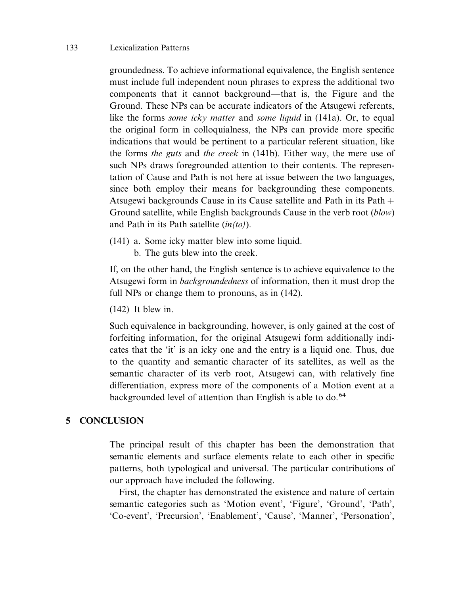groundedness. To achieve informational equivalence, the English sentence must include full independent noun phrases to express the additional two components that it cannot background—that is, the Figure and the Ground. These NPs can be accurate indicators of the Atsugewi referents, like the forms *some icky matter* and *some liquid* in (141a). Or, to equal the original form in colloquialness, the NPs can provide more specific indications that would be pertinent to a particular referent situation, like the forms the guts and the creek in (141b). Either way, the mere use of such NPs draws foregrounded attention to their contents. The representation of Cause and Path is not here at issue between the two languages, since both employ their means for backgrounding these components. Atsugewi backgrounds Cause in its Cause satellite and Path in its Path Ground satellite, while English backgrounds Cause in the verb root (blow) and Path in its Path satellite  $(in(to))$ .

- (141) a. Some icky matter blew into some liquid.
	- b. The guts blew into the creek.

If, on the other hand, the English sentence is to achieve equivalence to the Atsugewi form in backgroundedness of information, then it must drop the full NPs or change them to pronouns, as in (142).

(142) It blew in.

Such equivalence in backgrounding, however, is only gained at the cost of forfeiting information, for the original Atsugewi form additionally indicates that the `it' is an icky one and the entry is a liquid one. Thus, due to the quantity and semantic character of its satellites, as well as the semantic character of its verb root, Atsugewi can, with relatively fine differentiation, express more of the components of a Motion event at a backgrounded level of attention than English is able to do.<sup>64</sup>

# 5 CONCLUSION

The principal result of this chapter has been the demonstration that semantic elements and surface elements relate to each other in specific patterns, both typological and universal. The particular contributions of our approach have included the following.

First, the chapter has demonstrated the existence and nature of certain semantic categories such as 'Motion event', 'Figure', 'Ground', 'Path', `Co-event', `Precursion', `Enablement', `Cause', `Manner', `Personation',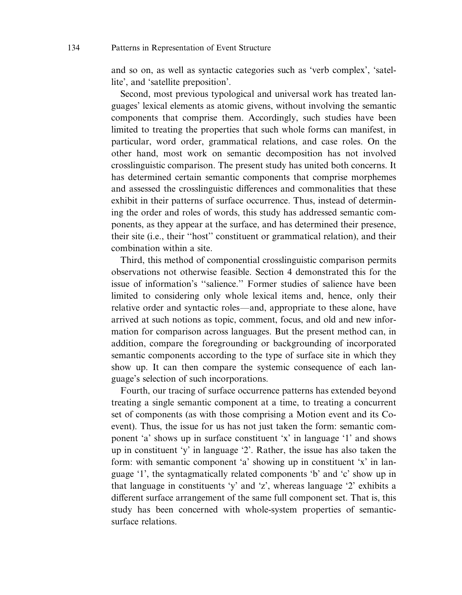and so on, as well as syntactic categories such as `verb complex', `satellite', and `satellite preposition'.

Second, most previous typological and universal work has treated languages' lexical elements as atomic givens, without involving the semantic components that comprise them. Accordingly, such studies have been limited to treating the properties that such whole forms can manifest, in particular, word order, grammatical relations, and case roles. On the other hand, most work on semantic decomposition has not involved crosslinguistic comparison. The present study has united both concerns. It has determined certain semantic components that comprise morphemes and assessed the crosslinguistic differences and commonalities that these exhibit in their patterns of surface occurrence. Thus, instead of determining the order and roles of words, this study has addressed semantic components, as they appear at the surface, and has determined their presence, their site (i.e., their "host" constituent or grammatical relation), and their combination within a site.

Third, this method of componential crosslinguistic comparison permits observations not otherwise feasible. Section 4 demonstrated this for the issue of information's "salience." Former studies of salience have been limited to considering only whole lexical items and, hence, only their relative order and syntactic roles—and, appropriate to these alone, have arrived at such notions as topic, comment, focus, and old and new information for comparison across languages. But the present method can, in addition, compare the foregrounding or backgrounding of incorporated semantic components according to the type of surface site in which they show up. It can then compare the systemic consequence of each language's selection of such incorporations.

Fourth, our tracing of surface occurrence patterns has extended beyond treating a single semantic component at a time, to treating a concurrent set of components (as with those comprising a Motion event and its Coevent). Thus, the issue for us has not just taken the form: semantic component `a' shows up in surface constituent `x' in language `1' and shows up in constituent `y' in language `2'. Rather, the issue has also taken the form: with semantic component `a' showing up in constituent `x' in language `1', the syntagmatically related components `b' and `c' show up in that language in constituents 'y' and 'z', whereas language  $2'$  exhibits a different surface arrangement of the same full component set. That is, this study has been concerned with whole-system properties of semanticsurface relations.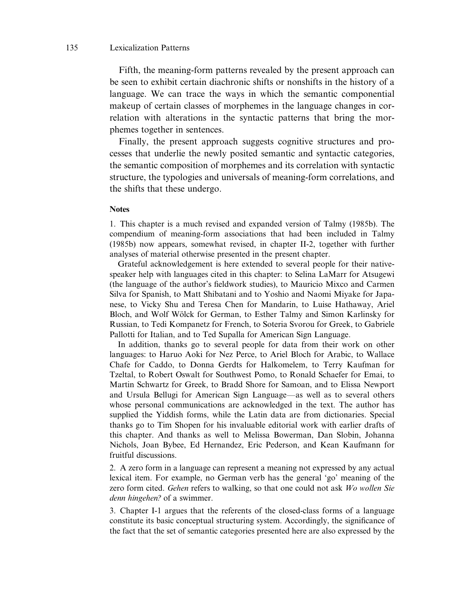Fifth, the meaning-form patterns revealed by the present approach can be seen to exhibit certain diachronic shifts or nonshifts in the history of a language. We can trace the ways in which the semantic componential makeup of certain classes of morphemes in the language changes in correlation with alterations in the syntactic patterns that bring the morphemes together in sentences.

Finally, the present approach suggests cognitive structures and processes that underlie the newly posited semantic and syntactic categories, the semantic composition of morphemes and its correlation with syntactic structure, the typologies and universals of meaning-form correlations, and the shifts that these undergo.

#### **Notes**

1. This chapter is a much revised and expanded version of Talmy (1985b). The compendium of meaning-form associations that had been included in Talmy (1985b) now appears, somewhat revised, in chapter II-2, together with further analyses of material otherwise presented in the present chapter.

Grateful acknowledgement is here extended to several people for their nativespeaker help with languages cited in this chapter: to Selina LaMarr for Atsugewi (the language of the author's fieldwork studies), to Mauricio Mixco and Carmen Silva for Spanish, to Matt Shibatani and to Yoshio and Naomi Miyake for Japanese, to Vicky Shu and Teresa Chen for Mandarin, to Luise Hathaway, Ariel Bloch, and Wolf Wölck for German, to Esther Talmy and Simon Karlinsky for Russian, to Tedi Kompanetz for French, to Soteria Svorou for Greek, to Gabriele Pallotti for Italian, and to Ted Supalla for American Sign Language.

In addition, thanks go to several people for data from their work on other languages: to Haruo Aoki for Nez Perce, to Ariel Bloch for Arabic, to Wallace Chafe for Caddo, to Donna Gerdts for Halkomelem, to Terry Kaufman for Tzeltal, to Robert Oswalt for Southwest Pomo, to Ronald Schaefer for Emai, to Martin Schwartz for Greek, to Bradd Shore for Samoan, and to Elissa Newport and Ursula Bellugi for American Sign Language—as well as to several others whose personal communications are acknowledged in the text. The author has supplied the Yiddish forms, while the Latin data are from dictionaries. Special thanks go to Tim Shopen for his invaluable editorial work with earlier drafts of this chapter. And thanks as well to Melissa Bowerman, Dan Slobin, Johanna Nichols, Joan Bybee, Ed Hernandez, Eric Pederson, and Kean Kaufmann for fruitful discussions.

2. A zero form in a language can represent a meaning not expressed by any actual lexical item. For example, no German verb has the general `go' meaning of the zero form cited. Gehen refers to walking, so that one could not ask Wo wollen Sie denn hingehen? of a swimmer.

3. Chapter I-1 argues that the referents of the closed-class forms of a language constitute its basic conceptual structuring system. Accordingly, the significance of the fact that the set of semantic categories presented here are also expressed by the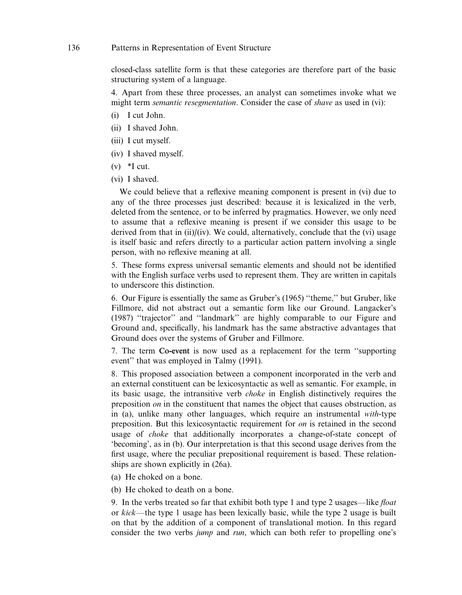closed-class satellite form is that these categories are therefore part of the basic structuring system of a language.

4. Apart from these three processes, an analyst can sometimes invoke what we might term semantic resegmentation. Consider the case of shave as used in (vi):

- (i) I cut John.
- (ii) I shaved John.
- (iii) I cut myself.
- (iv) I shaved myself.
- $(v)$  \*I cut.
- (vi) I shaved.

We could believe that a reflexive meaning component is present in (vi) due to any of the three processes just described: because it is lexicalized in the verb, deleted from the sentence, or to be inferred by pragmatics. However, we only need to assume that a reflexive meaning is present if we consider this usage to be derived from that in  $(ii)/(iv)$ . We could, alternatively, conclude that the  $(vi)$  usage is itself basic and refers directly to a particular action pattern involving a single person, with no reflexive meaning at all.

5. These forms express universal semantic elements and should not be identified with the English surface verbs used to represent them. They are written in capitals to underscore this distinction.

6. Our Figure is essentially the same as Gruber's (1965) ``theme,'' but Gruber, like Fillmore, did not abstract out a semantic form like our Ground. Langacker's (1987) "trajector" and "landmark" are highly comparable to our Figure and Ground and, specifically, his landmark has the same abstractive advantages that Ground does over the systems of Gruber and Fillmore.

7. The term Co-event is now used as a replacement for the term ``supporting event'' that was employed in Talmy (1991).

8. This proposed association between a component incorporated in the verb and an external constituent can be lexicosyntactic as well as semantic. For example, in its basic usage, the intransitive verb choke in English distinctively requires the preposition on in the constituent that names the object that causes obstruction, as in (a), unlike many other languages, which require an instrumental with-type preposition. But this lexicosyntactic requirement for on is retained in the second usage of choke that additionally incorporates a change-of-state concept of `becoming', as in (b). Our interpretation is that this second usage derives from the first usage, where the peculiar prepositional requirement is based. These relationships are shown explicitly in (26a).

- (a) He choked on a bone.
- (b) He choked to death on a bone.

9. In the verbs treated so far that exhibit both type 1 and type 2 usages—like *float* or  $kick$ —the type 1 usage has been lexically basic, while the type 2 usage is built on that by the addition of a component of translational motion. In this regard consider the two verbs jump and run, which can both refer to propelling one's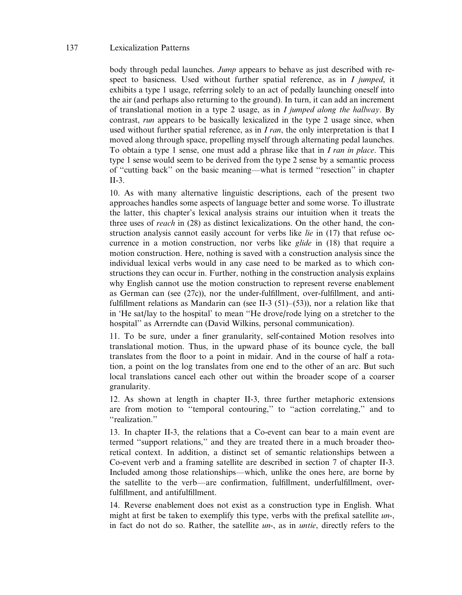body through pedal launches. Jump appears to behave as just described with respect to basicness. Used without further spatial reference, as in  $I$  jumped, it exhibits a type 1 usage, referring solely to an act of pedally launching oneself into the air (and perhaps also returning to the ground). In turn, it can add an increment of translational motion in a type 2 usage, as in  $I$  jumped along the hallway. By contrast, *run* appears to be basically lexicalized in the type 2 usage since, when used without further spatial reference, as in  $I$  ran, the only interpretation is that I moved along through space, propelling myself through alternating pedal launches. To obtain a type 1 sense, one must add a phrase like that in  $I$  ran in place. This type 1 sense would seem to be derived from the type 2 sense by a semantic process of "cutting back" on the basic meaning—what is termed "resection" in chapter II-3.

10. As with many alternative linguistic descriptions, each of the present two approaches handles some aspects of language better and some worse. To illustrate the latter, this chapter's lexical analysis strains our intuition when it treats the three uses of reach in (28) as distinct lexicalizations. On the other hand, the construction analysis cannot easily account for verbs like *lie* in (17) that refuse occurrence in a motion construction, nor verbs like glide in (18) that require a motion construction. Here, nothing is saved with a construction analysis since the individual lexical verbs would in any case need to be marked as to which constructions they can occur in. Further, nothing in the construction analysis explains why English cannot use the motion construction to represent reverse enablement as German can (see  $(27c)$ ), nor the under-fulfillment, over-fulfillment, and antifulfillment relations as Mandarin can (see II-3  $(51)–(53)$ ), nor a relation like that in 'He sat/lay to the hospital' to mean "He drove/rode lying on a stretcher to the hospital'' as Arrerndte can (David Wilkins, personal communication).

11. To be sure, under a finer granularity, self-contained Motion resolves into translational motion. Thus, in the upward phase of its bounce cycle, the ball translates from the floor to a point in midair. And in the course of half a rotation, a point on the log translates from one end to the other of an arc. But such local translations cancel each other out within the broader scope of a coarser granularity.

12. As shown at length in chapter II-3, three further metaphoric extensions are from motion to "temporal contouring," to "action correlating," and to ``realization.''

13. In chapter II-3, the relations that a Co-event can bear to a main event are termed "support relations," and they are treated there in a much broader theoretical context. In addition, a distinct set of semantic relationships between a Co-event verb and a framing satellite are described in section 7 of chapter II-3. Included among those relationships—which, unlike the ones here, are borne by the satellite to the verb—are confirmation, fulfillment, underfulfillment, overfulfillment, and antifulfillment.

14. Reverse enablement does not exist as a construction type in English. What might at first be taken to exemplify this type, verbs with the prefixal satellite  $un$ -, in fact do not do so. Rather, the satellite un-, as in untie, directly refers to the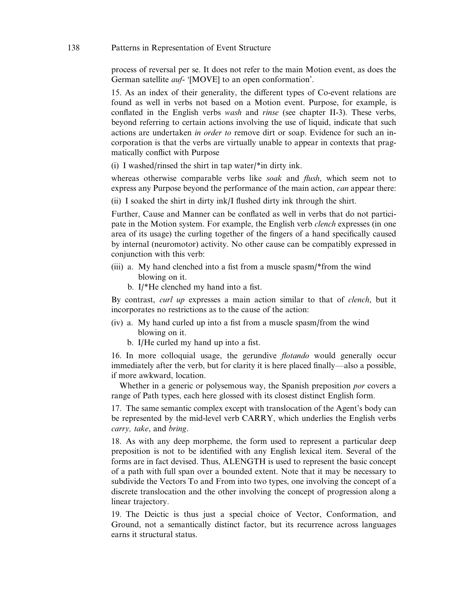process of reversal per se. It does not refer to the main Motion event, as does the German satellite *auf*- '[MOVE] to an open conformation'.

15. As an index of their generality, the different types of Co-event relations are found as well in verbs not based on a Motion event. Purpose, for example, is conflated in the English verbs *wash* and *rinse* (see chapter II-3). These verbs, beyond referring to certain actions involving the use of liquid, indicate that such actions are undertaken in order to remove dirt or soap. Evidence for such an incorporation is that the verbs are virtually unable to appear in contexts that pragmatically conflict with Purpose

(i) I washed/rinsed the shirt in tap water/\*in dirty ink.

whereas otherwise comparable verbs like soak and  $flush$ , which seem not to express any Purpose beyond the performance of the main action, *can* appear there:

(ii) I soaked the shirt in dirty  $ink/I$  flushed dirty ink through the shirt.

Further, Cause and Manner can be conflated as well in verbs that do not participate in the Motion system. For example, the English verb clench expresses (in one area of its usage) the curling together of the fingers of a hand specifically caused by internal (neuromotor) activity. No other cause can be compatibly expressed in conjunction with this verb:

- (iii) a. My hand clenched into a fist from a muscle spasm/ $*$ from the wind blowing on it.
	- b.  $I/*$  He clenched my hand into a fist.

By contrast, *curl up* expresses a main action similar to that of *clench*, but it incorporates no restrictions as to the cause of the action:

- $(iv)$  a. My hand curled up into a fist from a muscle spasm/from the wind blowing on it.
	- b. I/He curled my hand up into a fist.

16. In more colloquial usage, the gerundive  $flotando$  would generally occur immediately after the verb, but for clarity it is here placed finally—also a possible, if more awkward, location.

Whether in a generic or polysemous way, the Spanish preposition por covers a range of Path types, each here glossed with its closest distinct English form.

17. The same semantic complex except with translocation of the Agent's body can be represented by the mid-level verb CARRY, which underlies the English verbs carry, take, and bring.

18. As with any deep morpheme, the form used to represent a particular deep preposition is not to be identified with any English lexical item. Several of the forms are in fact devised. Thus, ALENGTH is used to represent the basic concept of a path with full span over a bounded extent. Note that it may be necessary to subdivide the Vectors To and From into two types, one involving the concept of a discrete translocation and the other involving the concept of progression along a linear trajectory.

19. The Deictic is thus just a special choice of Vector, Conformation, and Ground, not a semantically distinct factor, but its recurrence across languages earns it structural status.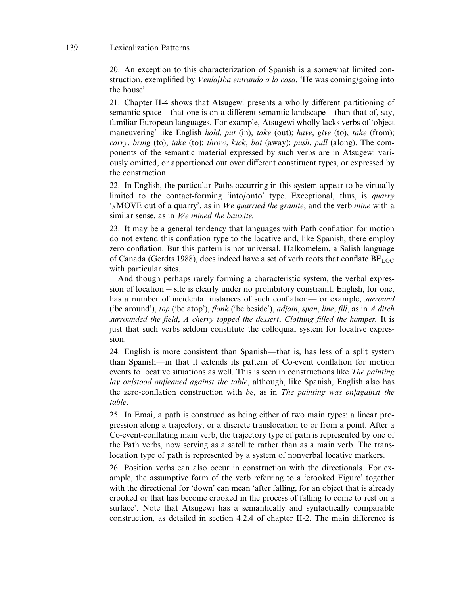20. An exception to this characterization of Spanish is a somewhat limited construction, exemplified by *Venía*/*Iba entrando a la casa*, 'He was coming/going into the house'.

21. Chapter II-4 shows that Atsugewi presents a wholly different partitioning of semantic space—that one is on a different semantic landscape—than that of, say, familiar European languages. For example, Atsugewi wholly lacks verbs of `object maneuvering' like English *hold, put* (in), take (out); have, give (to), take (from); carry, bring (to), take (to); throw, kick, bat (away); push, pull (along). The components of the semantic material expressed by such verbs are in Atsugewi variously omitted, or apportioned out over different constituent types, or expressed by the construction.

22. In English, the particular Paths occurring in this system appear to be virtually limited to the contact-forming 'into/onto' type. Exceptional, thus, is *quarry*  $A_{\text{A}}$ MOVE out of a quarry', as in *We quarried the granite*, and the verb *mine* with a similar sense, as in We mined the bauxite.

23. It may be a general tendency that languages with Path conflation for motion do not extend this conflation type to the locative and, like Spanish, there employ zero conflation. But this pattern is not universal. Halkomelem, a Salish language of Canada (Gerdts 1988), does indeed have a set of verb roots that conflate  $BE_{\text{LOC}}$ with particular sites.

And though perhaps rarely forming a characteristic system, the verbal expression of location  $+$  site is clearly under no prohibitory constraint. English, for one, has a number of incidental instances of such conflation—for example, *surround* ('be around'), top ('be atop'), flank ('be beside'), adjoin, span, line, fill, as in A ditch surrounded the field,  $\vec{A}$  cherry topped the dessert, Clothing filled the hamper. It is just that such verbs seldom constitute the colloquial system for locative expression.

24. English is more consistent than Spanish—that is, has less of a split system than Spanish—in that it extends its pattern of Co-event conflation for motion events to locative situations as well. This is seen in constructions like The painting lay on/stood on/leaned against the table, although, like Spanish, English also has the zero-conflation construction with be, as in The painting was onlagainst the table.

25. In Emai, a path is construed as being either of two main types: a linear progression along a trajectory, or a discrete translocation to or from a point. After a Co-event-conflating main verb, the trajectory type of path is represented by one of the Path verbs, now serving as a satellite rather than as a main verb. The translocation type of path is represented by a system of nonverbal locative markers.

26. Position verbs can also occur in construction with the directionals. For example, the assumptive form of the verb referring to a `crooked Figure' together with the directional for 'down' can mean 'after falling, for an object that is already crooked or that has become crooked in the process of falling to come to rest on a surface'. Note that Atsugewi has a semantically and syntactically comparable construction, as detailed in section  $4.2.4$  of chapter II-2. The main difference is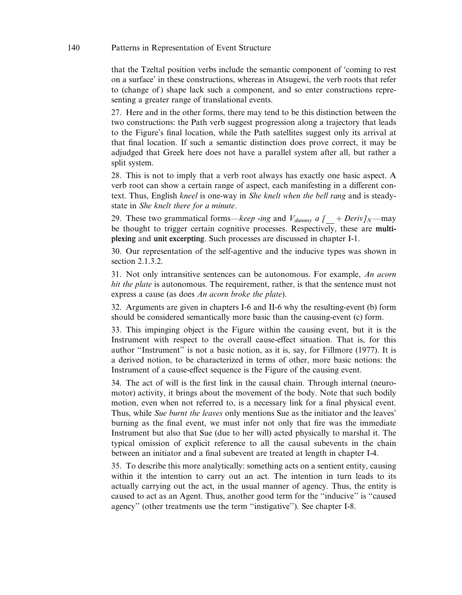that the Tzeltal position verbs include the semantic component of `coming to rest on a surface' in these constructions, whereas in Atsugewi, the verb roots that refer to (change of) shape lack such a component, and so enter constructions representing a greater range of translational events.

27. Here and in the other forms, there may tend to be this distinction between the two constructions: the Path verb suggest progression along a trajectory that leads to the Figure's final location, while the Path satellites suggest only its arrival at that final location. If such a semantic distinction does prove correct, it may be adjudged that Greek here does not have a parallel system after all, but rather a split system.

28. This is not to imply that a verb root always has exactly one basic aspect. A verb root can show a certain range of aspect, each manifesting in a different context. Thus, English kneel is one-way in She knelt when the bell rang and is steadystate in She knelt there for a minute.

29. These two grammatical forms—keep -ing and  $V_{dummy}$  a  $[- + Deriv]_N$ —may be thought to trigger certain cognitive processes. Respectively, these are multiplexing and unit excerpting. Such processes are discussed in chapter I-1.

30. Our representation of the self-agentive and the inducive types was shown in section 2.1.3.2.

31. Not only intransitive sentences can be autonomous. For example, An acorn hit the plate is autonomous. The requirement, rather, is that the sentence must not express a cause (as does An acorn broke the plate).

32. Arguments are given in chapters I-6 and II-6 why the resulting-event (b) form should be considered semantically more basic than the causing-event (c) form.

33. This impinging object is the Figure within the causing event, but it is the Instrument with respect to the overall cause-effect situation. That is, for this author "Instrument" is not a basic notion, as it is, say, for Fillmore (1977). It is a derived notion, to be characterized in terms of other, more basic notions: the Instrument of a cause-effect sequence is the Figure of the causing event.

34. The act of will is the first link in the causal chain. Through internal (neuromotor) activity, it brings about the movement of the body. Note that such bodily motion, even when not referred to, is a necessary link for a final physical event. Thus, while Sue burnt the leaves only mentions Sue as the initiator and the leaves' burning as the final event, we must infer not only that fire was the immediate Instrument but also that Sue (due to her will) acted physically to marshal it. The typical omission of explicit reference to all the causal subevents in the chain between an initiator and a final subevent are treated at length in chapter I-4.

35. To describe this more analytically: something acts on a sentient entity, causing within it the intention to carry out an act. The intention in turn leads to its actually carrying out the act, in the usual manner of agency. Thus, the entity is caused to act as an Agent. Thus, another good term for the "inducive" is "caused agency" (other treatments use the term "instigative"). See chapter I-8.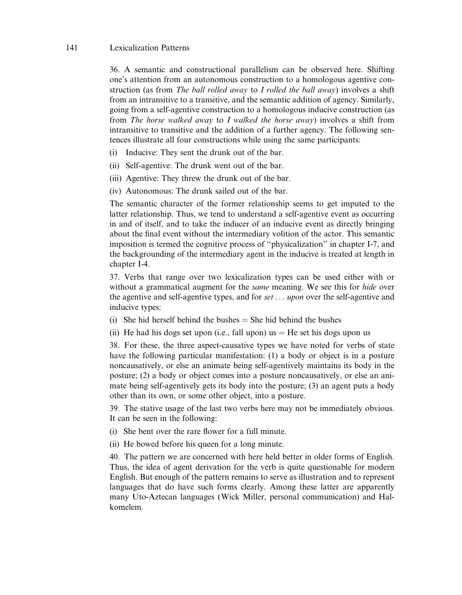36. A semantic and constructional parallelism can be observed here. Shifting one's attention from an autonomous construction to a homologous agentive construction (as from The ball rolled away to  $I$  rolled the ball away) involves a shift from an intransitive to a transitive, and the semantic addition of agency. Similarly, going from a self-agentive construction to a homologous inducive construction (as from *The horse walked away* to *I walked the horse away*) involves a shift from intransitive to transitive and the addition of a further agency. The following sentences illustrate all four constructions while using the same participants:

- (i) Inducive: They sent the drunk out of the bar.
- (ii) Self-agentive: The drunk went out of the bar.
- (iii) Agentive: They threw the drunk out of the bar.
- (iv) Autonomous: The drunk sailed out of the bar.

The semantic character of the former relationship seems to get imputed to the latter relationship. Thus, we tend to understand a self-agentive event as occurring in and of itself, and to take the inducer of an inducive event as directly bringing about the final event without the intermediary volition of the actor. This semantic imposition is termed the cognitive process of "physicalization" in chapter I-7, and the backgrounding of the intermediary agent in the inducive is treated at length in chapter I-4.

37. Verbs that range over two lexicalization types can be used either with or without a grammatical augment for the *same* meaning. We see this for *hide* over the agentive and self-agentive types, and for set . . . upon over the self-agentive and inducive types:

- (i) She hid herself behind the bushes  $=$  She hid behind the bushes
- (ii) He had his dogs set upon (i.e., fall upon) us  $=$  He set his dogs upon us

38. For these, the three aspect-causative types we have noted for verbs of state have the following particular manifestation: (1) a body or object is in a posture noncausatively, or else an animate being self-agentively maintains its body in the posture; (2) a body or object comes into a posture noncausatively, or else an animate being self-agentively gets its body into the posture; (3) an agent puts a body other than its own, or some other object, into a posture.

39. The stative usage of the last two verbs here may not be immediately obvious. It can be seen in the following:

- $(i)$  She bent over the rare flower for a full minute.
- (ii) He bowed before his queen for a long minute.

40. The pattern we are concerned with here held better in older forms of English. Thus, the idea of agent derivation for the verb is quite questionable for modern English. But enough of the pattern remains to serve as illustration and to represent languages that do have such forms clearly. Among these latter are apparently many Uto-Aztecan languages (Wick Miller, personal communication) and Halkomelem.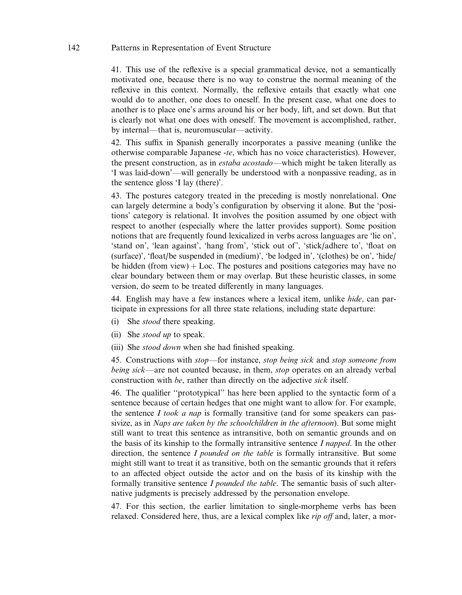41. This use of the reflexive is a special grammatical device, not a semantically motivated one, because there is no way to construe the normal meaning of the reflexive in this context. Normally, the reflexive entails that exactly what one would do to another, one does to oneself. In the present case, what one does to another is to place one's arms around his or her body, lift, and set down. But that is clearly not what one does with oneself. The movement is accomplished, rather, by internal—that is, neuromuscular—activity.

42. This suffix in Spanish generally incorporates a passive meaning (unlike the otherwise comparable Japanese -te, which has no voice characteristics). However, the present construction, as in *estaba acostado*—which might be taken literally as `I was laid-down'Ðwill generally be understood with a nonpassive reading, as in the sentence gloss `I lay (there)'.

43. The postures category treated in the preceding is mostly nonrelational. One can largely determine a body's configuration by observing it alone. But the 'positions' category is relational. It involves the position assumed by one object with respect to another (especially where the latter provides support). Some position notions that are frequently found lexicalized in verbs across languages are `lie on', 'stand on', 'lean against', 'hang from', 'stick out of', 'stick/adhere to', 'float on  $(surface)'$ , 'float/be suspended in  $(medium)'$ , 'be lodged in', ' $(clothes)$  be on', 'hide/ be hidden (from view)  $+$  Loc. The postures and positions categories may have no clear boundary between them or may overlap. But these heuristic classes, in some version, do seem to be treated differently in many languages.

44. English may have a few instances where a lexical item, unlike hide, can participate in expressions for all three state relations, including state departure:

- (i) She stood there speaking.
- (ii) She stood up to speak.
- (iii) She *stood down* when she had finished speaking.

45. Constructions with stop—for instance, stop being sick and stop someone from being sick—are not counted because, in them, stop operates on an already verbal construction with be, rather than directly on the adjective sick itself.

46. The qualifier "prototypical" has here been applied to the syntactic form of a sentence because of certain hedges that one might want to allow for. For example, the sentence  $I$  took a nap is formally transitive (and for some speakers can passivize, as in Naps are taken by the schoolchildren in the afternoon). But some might still want to treat this sentence as intransitive, both on semantic grounds and on the basis of its kinship to the formally intransitive sentence I napped. In the other direction, the sentence I pounded on the table is formally intransitive. But some might still want to treat it as transitive, both on the semantic grounds that it refers to an affected object outside the actor and on the basis of its kinship with the formally transitive sentence I pounded the table. The semantic basis of such alternative judgments is precisely addressed by the personation envelope.

47. For this section, the earlier limitation to single-morpheme verbs has been relaxed. Considered here, thus, are a lexical complex like  $rip$  off and, later, a mor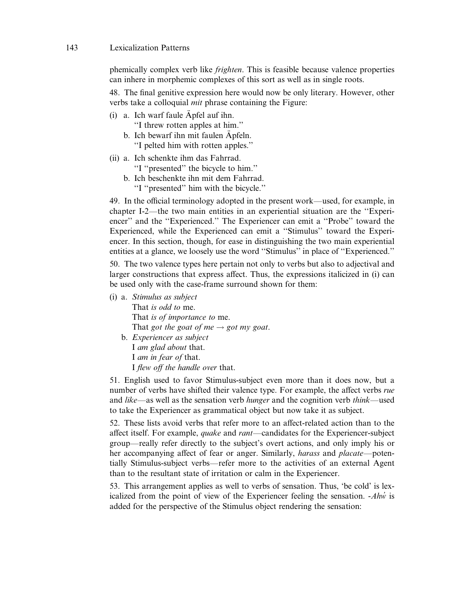phemically complex verb like frighten. This is feasible because valence properties can inhere in morphemic complexes of this sort as well as in single roots.

48. The final genitive expression here would now be only literary. However, other verbs take a colloquial mit phrase containing the Figure:

- (i) a. Ich warf faule  $\ddot{A}$  pfel auf ihn. ``I threw rotten apples at him.''
	- b. Ich bewarf ihn mit faulen Äpfeln. ``I pelted him with rotten apples.''
- (ii) a. Ich schenkte ihm das Fahrrad.
	- ``I ``presented'' the bicycle to him.''
	- b. Ich beschenkte ihn mit dem Fahrrad. ``I ``presented'' him with the bicycle.''

49. In the official terminology adopted in the present work—used, for example, in chapter I-2—the two main entities in an experiential situation are the "Experiencer" and the "Experienced." The Experiencer can emit a "Probe" toward the Experienced, while the Experienced can emit a "Stimulus" toward the Experiencer. In this section, though, for ease in distinguishing the two main experiential entities at a glance, we loosely use the word "Stimulus" in place of "Experienced."

50. The two valence types here pertain not only to verbs but also to adjectival and larger constructions that express affect. Thus, the expressions italicized in  $(i)$  can be used only with the case-frame surround shown for them:

(i) a. Stimulus as subject

That is odd to me. That is of importance to me. That got the goat of me  $\rightarrow$  got my goat.

b. Experiencer as subject I am glad about that. I am in fear of that. I flew off the handle over that.

51. English used to favor Stimulus-subject even more than it does now, but a number of verbs have shifted their valence type. For example, the affect verbs rue and like—as well as the sensation verb hunger and the cognition verb think—used to take the Experiencer as grammatical object but now take it as subject.

52. These lists avoid verbs that refer more to an affect-related action than to the affect itself. For example, *quake* and *rant*—candidates for the Experiencer-subject group—really refer directly to the subject's overt actions, and only imply his or her accompanying affect of fear or anger. Similarly, harass and placate—potentially Stimulus-subject verbs—refer more to the activities of an external Agent than to the resultant state of irritation or calm in the Experiencer.

53. This arrangement applies as well to verbs of sensation. Thus, `be cold' is lexicalized from the point of view of the Experiencer feeling the sensation. -Ahw' is added for the perspective of the Stimulus object rendering the sensation: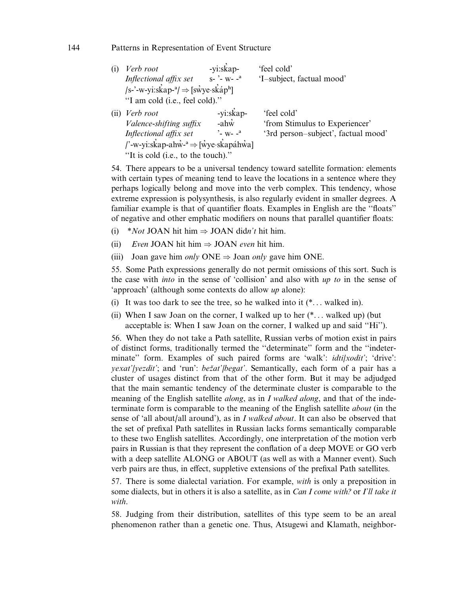|                                | Verb root                                                          | -yi:skap-                     | 'feel cold'                         |
|--------------------------------|--------------------------------------------------------------------|-------------------------------|-------------------------------------|
|                                | Inflectional affix set                                             | $S \cdot$ W- $-$ <sup>a</sup> | 'I-subject, factual mood'           |
|                                | /s-'-w-yi:skap- $a$ / $\Rightarrow$ [swye-skáph]                   |                               |                                     |
| "I am cold (i.e., feel cold)." |                                                                    |                               |                                     |
|                                | $(ii)$ <i>Verb</i> root                                            | -yi:skap-                     | 'feel cold'                         |
|                                | Valence-shifting suffix                                            | -ahŵ                          | 'from Stimulus to Experiencer'      |
|                                | Inflectional affix set                                             | $\sim$ W- $-$ <sup>a</sup>    | '3rd person-subject', factual mood' |
|                                | $\gamma$ -w-yi:skap-ahw- <sup>a</sup> $\Rightarrow$ [wye-skapáhwa] |                               |                                     |
|                                | "It is cold (i.e., to the touch)."                                 |                               |                                     |

54. There appears to be a universal tendency toward satellite formation: elements with certain types of meaning tend to leave the locations in a sentence where they perhaps logically belong and move into the verb complex. This tendency, whose extreme expression is polysynthesis, is also regularly evident in smaller degrees. A familiar example is that of quantifier floats. Examples in English are the "floats" of negative and other emphatic modifiers on nouns that parallel quantifier floats:

- (i) \**Not* JOAN hit him  $\Rightarrow$  JOAN didn't hit him.
- (ii) Even JOAN hit him  $\Rightarrow$  JOAN even hit him.
- (iii) Joan gave him *only* ONE  $\Rightarrow$  Joan *only* gave him ONE.

55. Some Path expressions generally do not permit omissions of this sort. Such is the case with *into* in the sense of 'collision' and also with  $up$  to in the sense of `approach' (although some contexts do allow up alone):

- (i) It was too dark to see the tree, so he walked into it  $(*...$  walked in).
- (ii) When I saw Joan on the corner, I walked up to her  $(*...$  walked up) (but acceptable is: When I saw Joan on the corner, I walked up and said "Hi").

56. When they do not take a Path satellite, Russian verbs of motion exist in pairs of distinct forms, traditionally termed the "determinate" form and the "indeterminate" form. Examples of such paired forms are 'walk': *idtilxodit'*; 'drive': yexat'/yezdit'; and 'run': bežat'/begat'. Semantically, each form of a pair has a cluster of usages distinct from that of the other form. But it may be adjudged that the main semantic tendency of the determinate cluster is comparable to the meaning of the English satellite *along*, as in *I walked along*, and that of the indeterminate form is comparable to the meaning of the English satellite about (in the sense of 'all about/all around'), as in I walked about. It can also be observed that the set of prefixal Path satellites in Russian lacks forms semantically comparable to these two English satellites. Accordingly, one interpretation of the motion verb pairs in Russian is that they represent the conflation of a deep MOVE or GO verb with a deep satellite ALONG or ABOUT (as well as with a Manner event). Such verb pairs are thus, in effect, suppletive extensions of the prefixal Path satellites.

57. There is some dialectal variation. For example, with is only a preposition in some dialects, but in others it is also a satellite, as in *Can I come with?* or *I'll take it* with.

58. Judging from their distribution, satellites of this type seem to be an areal phenomenon rather than a genetic one. Thus, Atsugewi and Klamath, neighbor-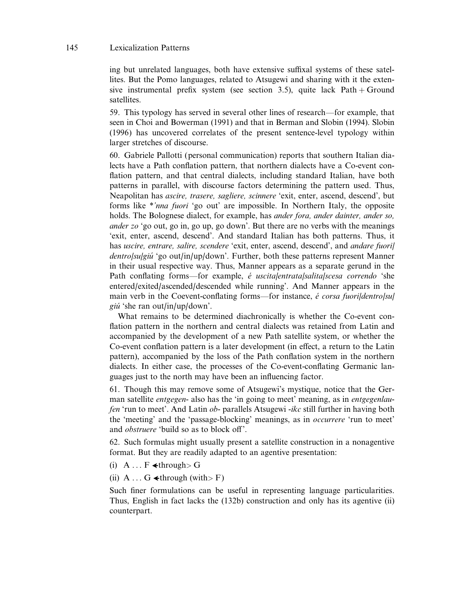ing but unrelated languages, both have extensive suffixal systems of these satellites. But the Pomo languages, related to Atsugewi and sharing with it the extensive instrumental prefix system (see section 3.5), quite lack  $Path + Ground$ satellites.

59. This typology has served in several other lines of research—for example, that seen in Choi and Bowerman (1991) and that in Berman and Slobin (1994). Slobin (1996) has uncovered correlates of the present sentence-level typology within larger stretches of discourse.

60. Gabriele Pallotti (personal communication) reports that southern Italian dialects have a Path conflation pattern, that northern dialects have a Co-event conflation pattern, and that central dialects, including standard Italian, have both patterns in parallel, with discourse factors determining the pattern used. Thus, Neapolitan has ascire, trasere, sagliere, scinnere `exit, enter, ascend, descend', but forms like \*'nna fuori `go out' are impossible. In Northern Italy, the opposite holds. The Bolognese dialect, for example, has ander fora, ander dainter, ander so, ander zo 'go out, go in, go up, go down'. But there are no verbs with the meanings `exit, enter, ascend, descend'. And standard Italian has both patterns. Thus, it has uscire, entrare, salire, scendere 'exit, enter, ascend, descend', and andare fuoril dentro/su/giu 'go out/in/up/down'. Further, both these patterns represent Manner in their usual respective way. Thus, Manner appears as a separate gerund in the Path conflating forms—for example,  $\acute{e}$  uscita/entrata/salita/scesa correndo 'she entered/exited/ascended/descended while running'. And Manner appears in the main verb in the Coevent-conflating forms—for instance,  $\acute{e}$  corsa fuorildentrolsul giú 'she ran out/in/up/down'.

What remains to be determined diachronically is whether the Co-event con flation pattern in the northern and central dialects was retained from Latin and accompanied by the development of a new Path satellite system, or whether the Co-event conflation pattern is a later development (in effect, a return to the Latin pattern), accompanied by the loss of the Path conflation system in the northern dialects. In either case, the processes of the Co-event-conflating Germanic languages just to the north may have been an influencing factor.

61. Though this may remove some of Atsugewi's mystique, notice that the German satellite *entgegen*- also has the 'in going to meet' meaning, as in *entgegenlau*fen 'run to meet'. And Latin  $ob$ - parallels Atsugewi -ikc still further in having both the 'meeting' and the 'passage-blocking' meanings, as in *occurrere* 'run to meet' and *obstruere* 'build so as to block off'.

62. Such formulas might usually present a satellite construction in a nonagentive format. But they are readily adapted to an agentive presentation:

- (i)  $A \ldots F$   $\triangleleft$  through  $\triangleright$  G
- (ii) A ...  $G \triangleleft$  through (with > F)

Such finer formulations can be useful in representing language particularities. Thus, English in fact lacks the (132b) construction and only has its agentive (ii) counterpart.